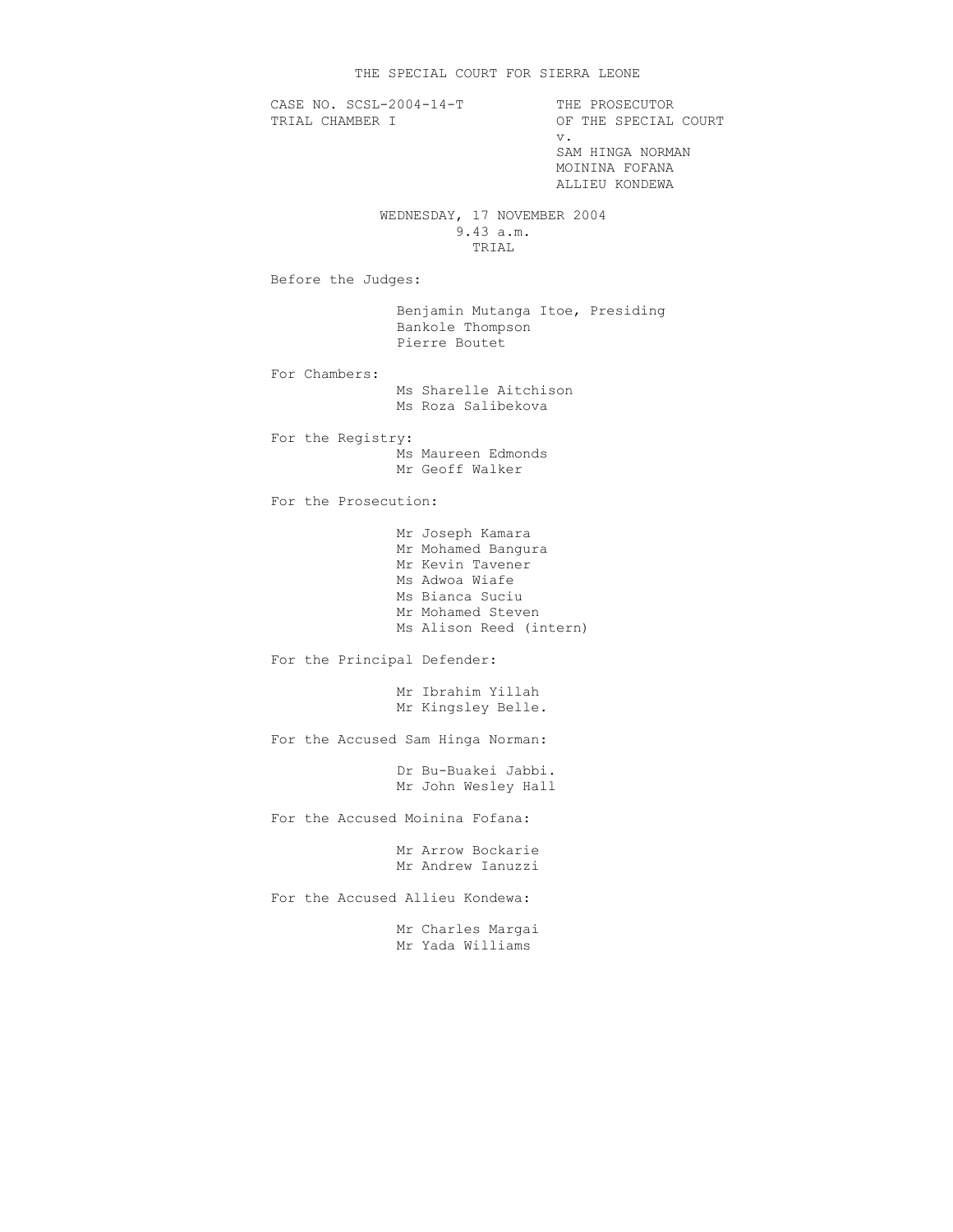CASE NO. SCSL-2004-14-T THE PROSECUTOR<br>TRIAL CHAMBER I OF THE SPECIAL OF THE SPECIAL COURT v. SAM HINGA NORMAN MOININA FOFANA ALLIEU KONDEWA WEDNESDAY, 17 NOVEMBER 2004 9.43 a.m. TRIAL Before the Judges: Benjamin Mutanga Itoe, Presiding Bankole Thompson Pierre Boutet For Chambers: Ms Sharelle Aitchison Ms Roza Salibekova For the Registry: Ms Maureen Edmonds Mr Geoff Walker For the Prosecution: Mr Joseph Kamara Mr Mohamed Bangura Mr Kevin Tavener Ms Adwoa Wiafe Ms Bianca Suciu Mr Mohamed Steven Ms Alison Reed (intern) For the Principal Defender: Mr Ibrahim Yillah Mr Kingsley Belle. For the Accused Sam Hinga Norman: Dr Bu-Buakei Jabbi. Mr John Wesley Hall For the Accused Moinina Fofana: Mr Arrow Bockarie Mr Andrew Ianuzzi For the Accused Allieu Kondewa: Mr Charles Margai Mr Yada Williams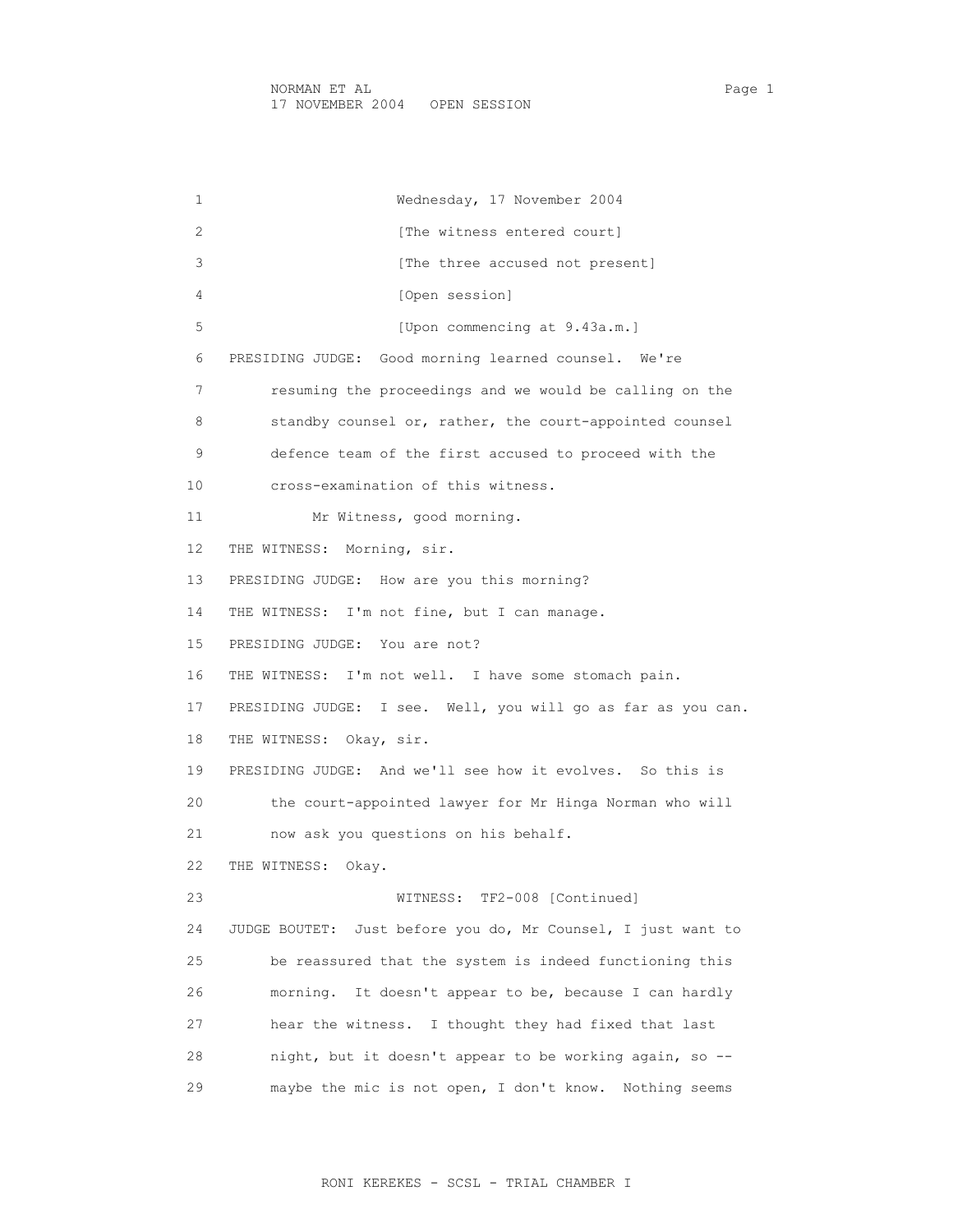1 Wednesday, 17 November 2004 2 [The witness entered court] 3 [The three accused not present] 4 [Open session] 5 [Upon commencing at 9.43a.m.] 6 PRESIDING JUDGE: Good morning learned counsel. We're 7 resuming the proceedings and we would be calling on the 8 standby counsel or, rather, the court-appointed counsel 9 defence team of the first accused to proceed with the 10 cross-examination of this witness. 11 Mr Witness, good morning. 12 THE WITNESS: Morning, sir. 13 PRESIDING JUDGE: How are you this morning? 14 THE WITNESS: I'm not fine, but I can manage. 15 PRESIDING JUDGE: You are not? 16 THE WITNESS: I'm not well. I have some stomach pain. 17 PRESIDING JUDGE: I see. Well, you will go as far as you can. 18 THE WITNESS: Okay, sir. 19 PRESIDING JUDGE: And we'll see how it evolves. So this is 20 the court-appointed lawyer for Mr Hinga Norman who will 21 now ask you questions on his behalf. 22 THE WITNESS: Okay. 23 WITNESS: TF2-008 [Continued] 24 JUDGE BOUTET: Just before you do, Mr Counsel, I just want to 25 be reassured that the system is indeed functioning this 26 morning. It doesn't appear to be, because I can hardly 27 hear the witness. I thought they had fixed that last 28 night, but it doesn't appear to be working again, so -- 29 maybe the mic is not open, I don't know. Nothing seems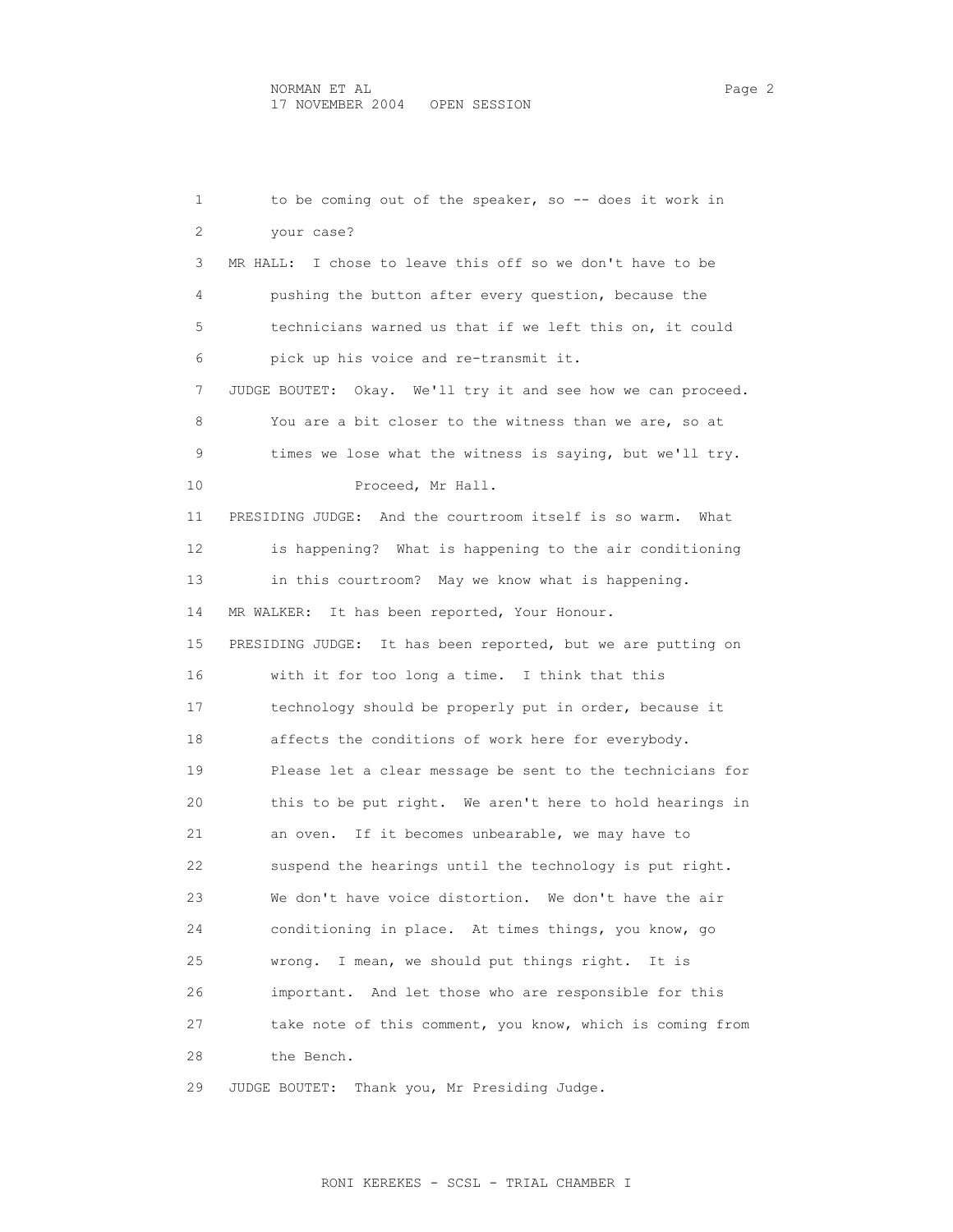1 to be coming out of the speaker, so -- does it work in 2 your case? 3 MR HALL: I chose to leave this off so we don't have to be 4 pushing the button after every question, because the 5 technicians warned us that if we left this on, it could 6 pick up his voice and re-transmit it. 7 JUDGE BOUTET: Okay. We'll try it and see how we can proceed. 8 You are a bit closer to the witness than we are, so at 9 times we lose what the witness is saying, but we'll try. 10 Proceed, Mr Hall. 11 PRESIDING JUDGE: And the courtroom itself is so warm. What 12 is happening? What is happening to the air conditioning 13 in this courtroom? May we know what is happening. 14 MR WALKER: It has been reported, Your Honour. 15 PRESIDING JUDGE: It has been reported, but we are putting on 16 with it for too long a time. I think that this 17 technology should be properly put in order, because it 18 affects the conditions of work here for everybody. 19 Please let a clear message be sent to the technicians for 20 this to be put right. We aren't here to hold hearings in 21 an oven. If it becomes unbearable, we may have to 22 suspend the hearings until the technology is put right. 23 We don't have voice distortion. We don't have the air 24 conditioning in place. At times things, you know, go 25 wrong. I mean, we should put things right. It is 26 important. And let those who are responsible for this 27 take note of this comment, you know, which is coming from 28 the Bench. 29 JUDGE BOUTET: Thank you, Mr Presiding Judge.

RONI KEREKES - SCSL - TRIAL CHAMBER I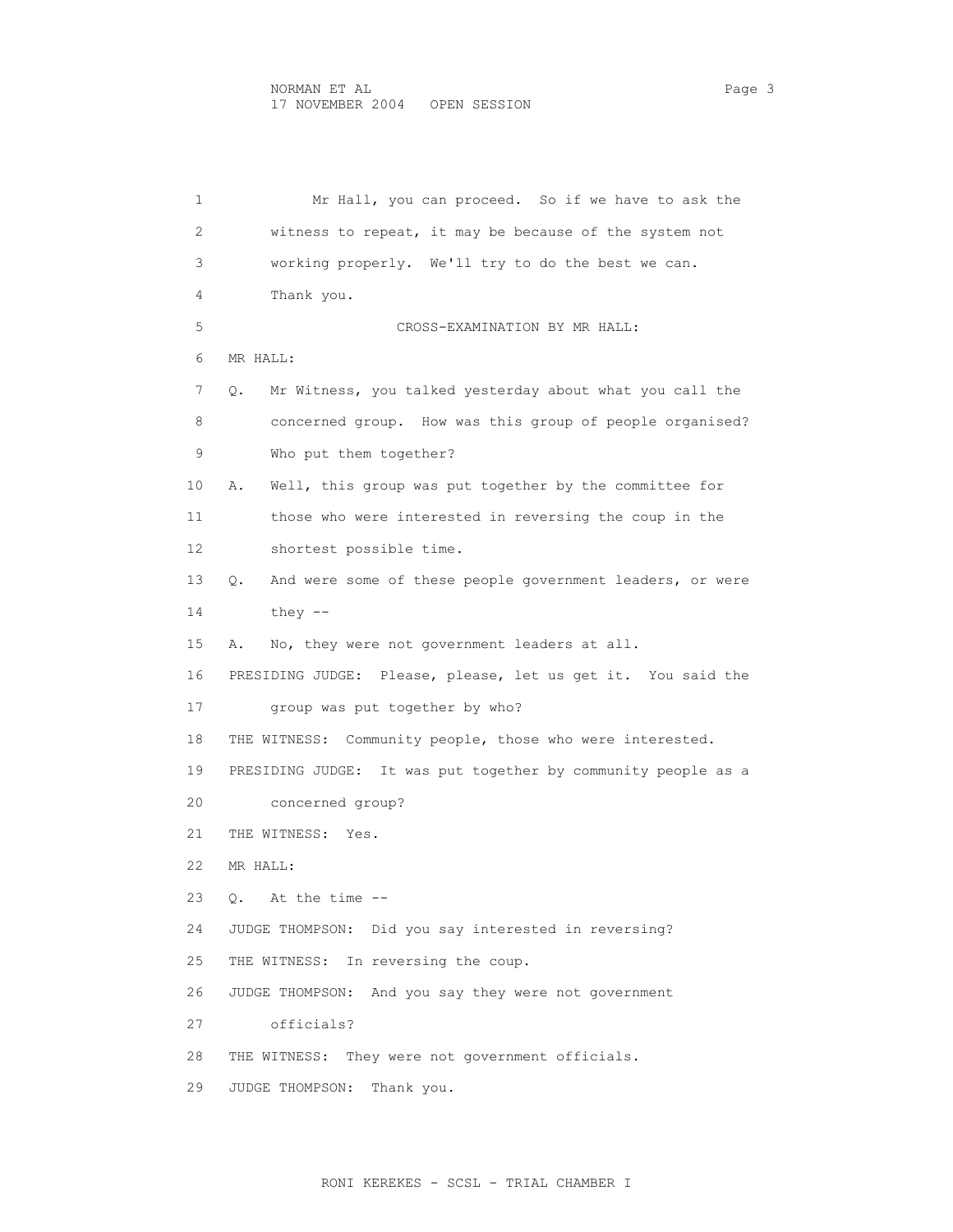| 1  | Mr Hall, you can proceed. So if we have to ask the              |
|----|-----------------------------------------------------------------|
| 2  | witness to repeat, it may be because of the system not          |
| 3  | working properly. We'll try to do the best we can.              |
| 4  | Thank you.                                                      |
| 5  | CROSS-EXAMINATION BY MR HALL:                                   |
| 6  | MR HALL:                                                        |
| 7  | Mr Witness, you talked yesterday about what you call the<br>Q.  |
| 8  | concerned group. How was this group of people organised?        |
| 9  | Who put them together?                                          |
| 10 | Well, this group was put together by the committee for<br>Α.    |
| 11 | those who were interested in reversing the coup in the          |
| 12 | shortest possible time.                                         |
| 13 | And were some of these people government leaders, or were<br>Q. |
| 14 | they $--$                                                       |
| 15 | No, they were not government leaders at all.<br>Α.              |
| 16 | PRESIDING JUDGE: Please, please, let us get it. You said the    |
| 17 | group was put together by who?                                  |
| 18 | THE WITNESS: Community people, those who were interested.       |
| 19 | PRESIDING JUDGE: It was put together by community people as a   |
| 20 | concerned group?                                                |
| 21 | THE WITNESS: Yes.                                               |
| 22 | MR HALL:                                                        |
| 23 | Q. At the time --                                               |
| 24 | JUDGE THOMPSON: Did you say interested in reversing?            |
| 25 | THE WITNESS:<br>In reversing the coup.                          |
| 26 | JUDGE THOMPSON: And you say they were not government            |
| 27 | officials?                                                      |
| 28 | They were not government officials.<br>THE WITNESS:             |
| 29 | JUDGE THOMPSON:<br>Thank you.                                   |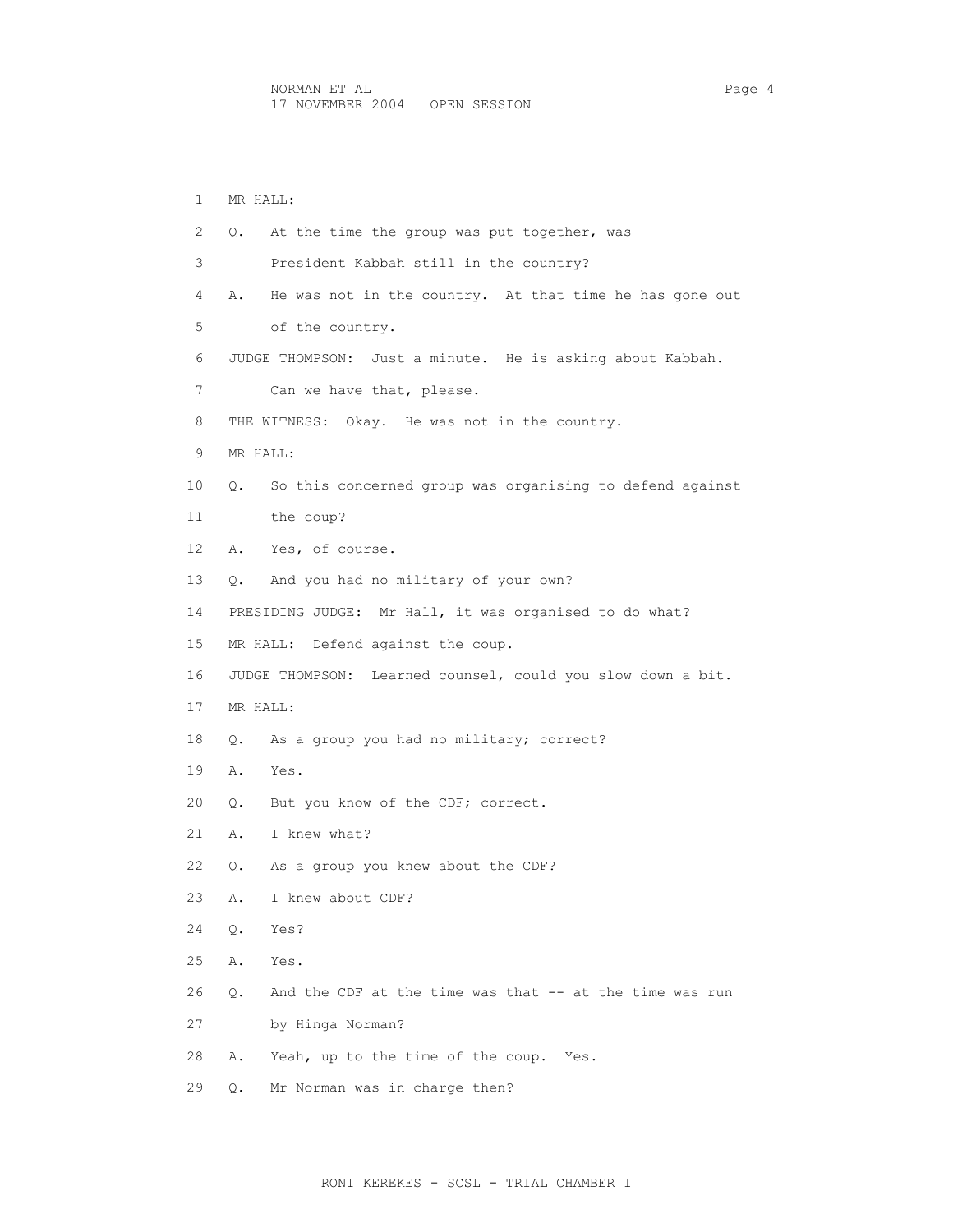1 MR HALL: 2 Q. At the time the group was put together, was 3 President Kabbah still in the country? 4 A. He was not in the country. At that time he has gone out 5 of the country. 6 JUDGE THOMPSON: Just a minute. He is asking about Kabbah. 7 Can we have that, please. 8 THE WITNESS: Okay. He was not in the country. 9 MR HALL: 10 Q. So this concerned group was organising to defend against 11 the coup? 12 A. Yes, of course. 13 Q. And you had no military of your own? 14 PRESIDING JUDGE: Mr Hall, it was organised to do what? 15 MR HALL: Defend against the coup. 16 JUDGE THOMPSON: Learned counsel, could you slow down a bit. 17 MR HALL: 18 Q. As a group you had no military; correct? 19 A. Yes. 20 Q. But you know of the CDF; correct. 21 A. I knew what? 22 Q. As a group you knew about the CDF? 23 A. I knew about CDF? 24 Q. Yes? 25 A. Yes. 26 Q. And the CDF at the time was that -- at the time was run 27 by Hinga Norman? 28 A. Yeah, up to the time of the coup. Yes. 29 Q. Mr Norman was in charge then?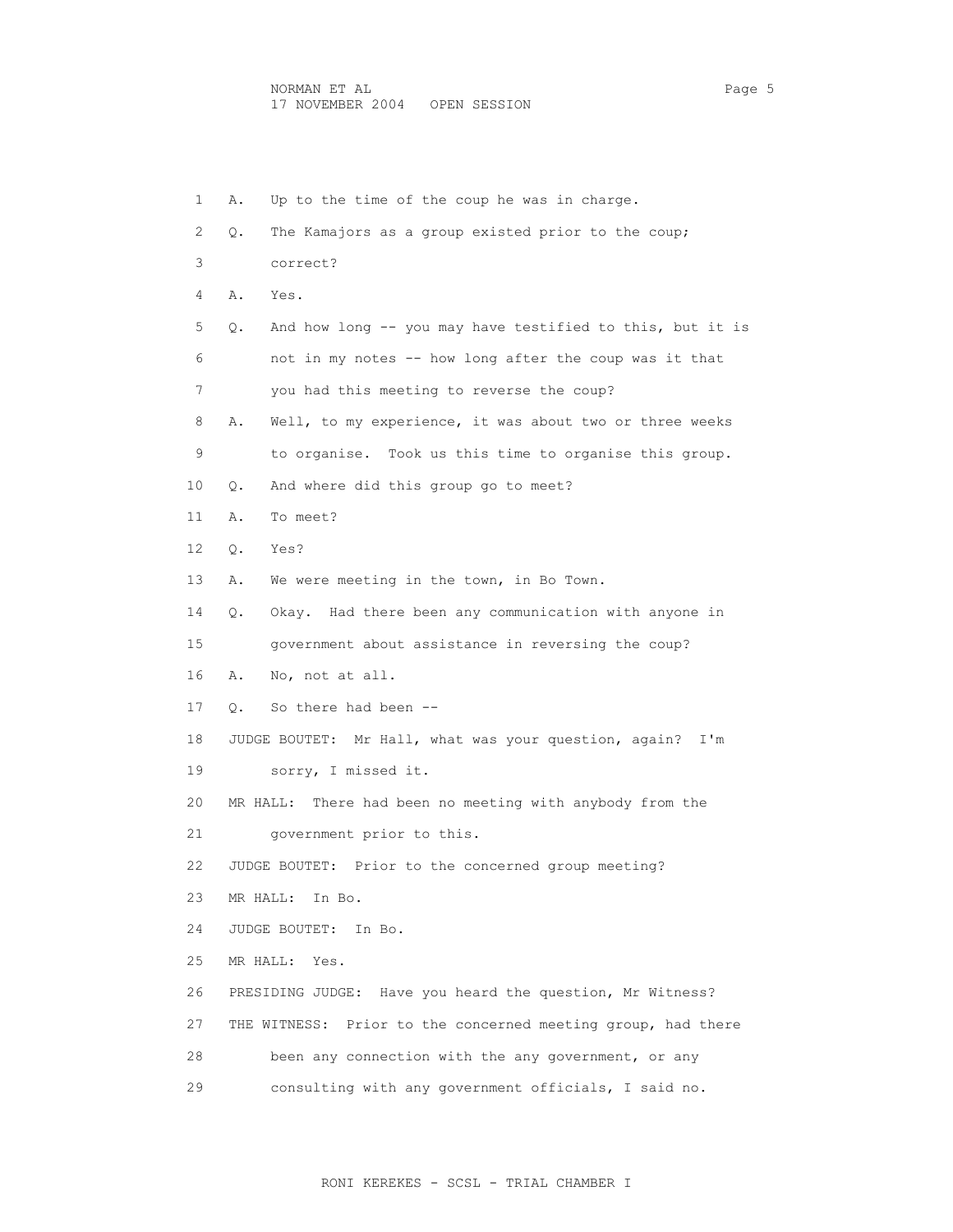| 1  | Up to the time of the coup he was in charge.<br>Α.              |
|----|-----------------------------------------------------------------|
| 2  | The Kamajors as a group existed prior to the coup;<br>Q.        |
| 3  | correct?                                                        |
| 4  | Α.<br>Yes.                                                      |
| 5  | And how long -- you may have testified to this, but it is<br>Q. |
| 6  | not in my notes -- how long after the coup was it that          |
| 7  | you had this meeting to reverse the coup?                       |
| 8  | Well, to my experience, it was about two or three weeks<br>Α.   |
| 9  | to organise. Took us this time to organise this group.          |
| 10 | And where did this group go to meet?<br>О.                      |
| 11 | To meet?<br>Α.                                                  |
| 12 | Yes?<br>Q.                                                      |
| 13 | We were meeting in the town, in Bo Town.<br>Α.                  |
| 14 | Okay. Had there been any communication with anyone in<br>Q.     |
| 15 | government about assistance in reversing the coup?              |
| 16 | No, not at all.<br>Α.                                           |
| 17 | So there had been --<br>О.                                      |
| 18 | JUDGE BOUTET: Mr Hall, what was your question, again? I'm       |
| 19 | sorry, I missed it.                                             |
| 20 | There had been no meeting with anybody from the<br>MR HALL:     |
| 21 | government prior to this.                                       |
| 22 | JUDGE BOUTET: Prior to the concerned group meeting?             |
| 23 | MR HALL:<br>In Bo.                                              |
| 24 | JUDGE BOUTET:<br>In Bo.                                         |
| 25 | MR HALL:<br>Yes.                                                |
| 26 | PRESIDING JUDGE: Have you heard the question, Mr Witness?       |
| 27 | Prior to the concerned meeting group, had there<br>THE WITNESS: |
| 28 | been any connection with the any government, or any             |
| 29 | consulting with any government officials, I said no.            |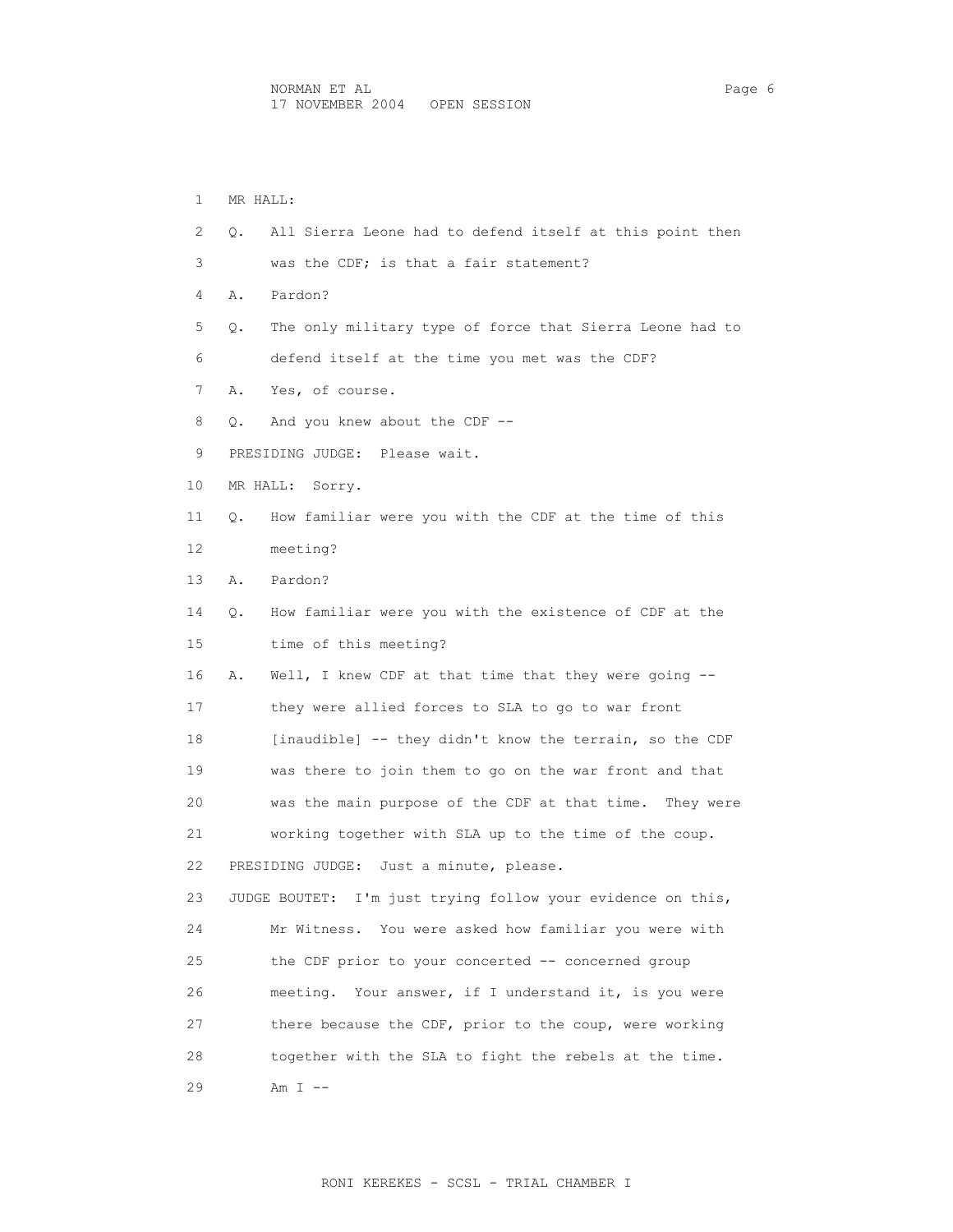1 MR HALL: 2 Q. All Sierra Leone had to defend itself at this point then 3 was the CDF; is that a fair statement? 4 A. Pardon? 5 Q. The only military type of force that Sierra Leone had to 6 defend itself at the time you met was the CDF? 7 A. Yes, of course. 8 Q. And you knew about the CDF -- 9 PRESIDING JUDGE: Please wait. 10 MR HALL: Sorry. 11 Q. How familiar were you with the CDF at the time of this 12 meeting? 13 A. Pardon? 14 Q. How familiar were you with the existence of CDF at the 15 time of this meeting? 16 A. Well, I knew CDF at that time that they were going -- 17 they were allied forces to SLA to go to war front 18 [inaudible] -- they didn't know the terrain, so the CDF 19 was there to join them to go on the war front and that 20 was the main purpose of the CDF at that time. They were 21 working together with SLA up to the time of the coup. 22 PRESIDING JUDGE: Just a minute, please. 23 JUDGE BOUTET: I'm just trying follow your evidence on this, 24 Mr Witness. You were asked how familiar you were with 25 the CDF prior to your concerted -- concerned group 26 meeting. Your answer, if I understand it, is you were 27 there because the CDF, prior to the coup, were working 28 together with the SLA to fight the rebels at the time. 29 Am I --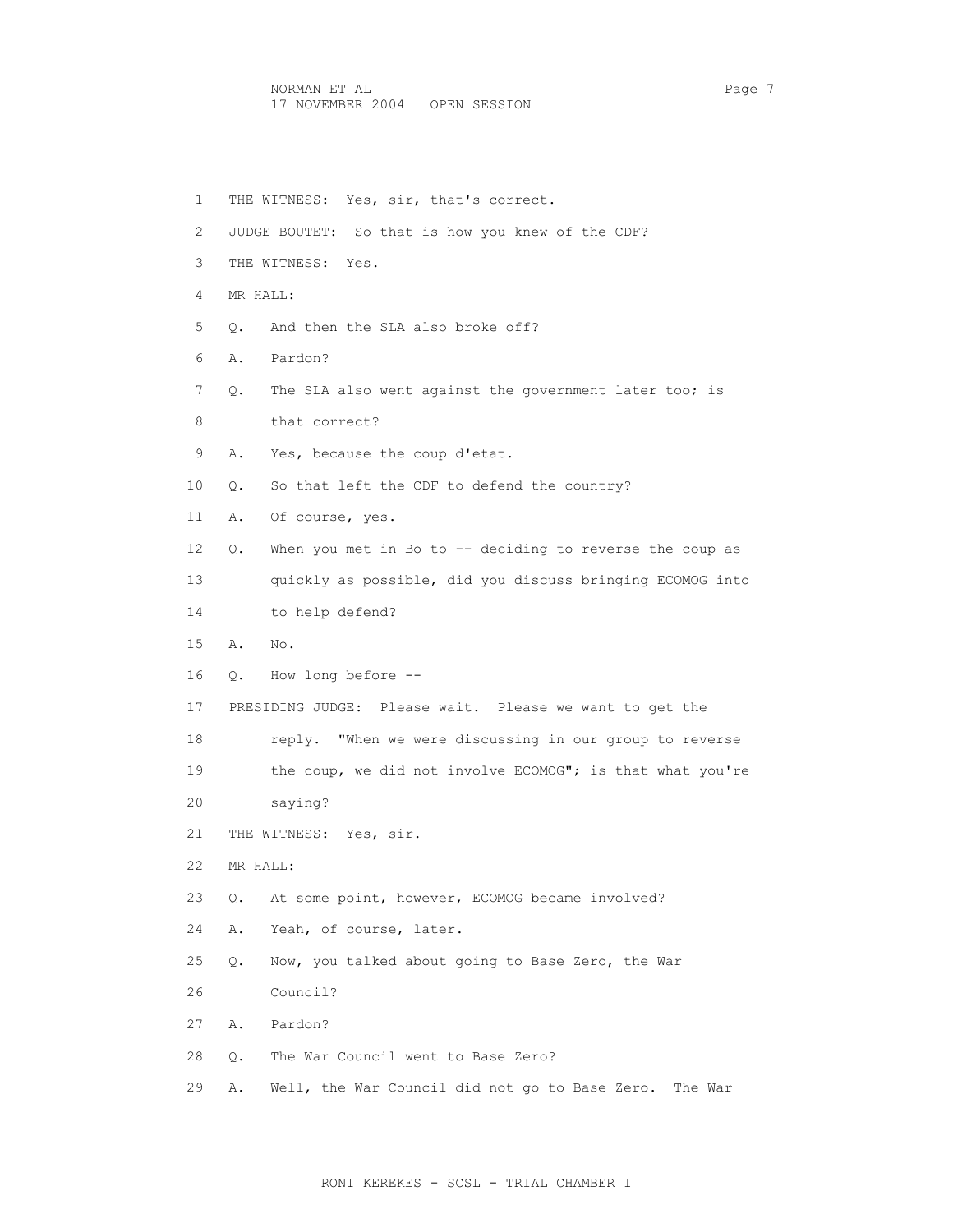NORMAN ET AL Page 7 17 NOVEMBER 2004 OPEN SESSION

 1 THE WITNESS: Yes, sir, that's correct. 2 JUDGE BOUTET: So that is how you knew of the CDF? 3 THE WITNESS: Yes. 4 MR HALL: 5 Q. And then the SLA also broke off? 6 A. Pardon? 7 Q. The SLA also went against the government later too; is 8 that correct? 9 A. Yes, because the coup d'etat. 10 Q. So that left the CDF to defend the country? 11 A. Of course, yes. 12 Q. When you met in Bo to -- deciding to reverse the coup as 13 quickly as possible, did you discuss bringing ECOMOG into 14 to help defend? 15 A. No. 16 Q. How long before -- 17 PRESIDING JUDGE: Please wait. Please we want to get the 18 reply. "When we were discussing in our group to reverse 19 the coup, we did not involve ECOMOG"; is that what you're 20 saying? 21 THE WITNESS: Yes, sir. 22 MR HALL: 23 Q. At some point, however, ECOMOG became involved? 24 A. Yeah, of course, later. 25 Q. Now, you talked about going to Base Zero, the War 26 Council? 27 A. Pardon? 28 Q. The War Council went to Base Zero? 29 A. Well, the War Council did not go to Base Zero. The War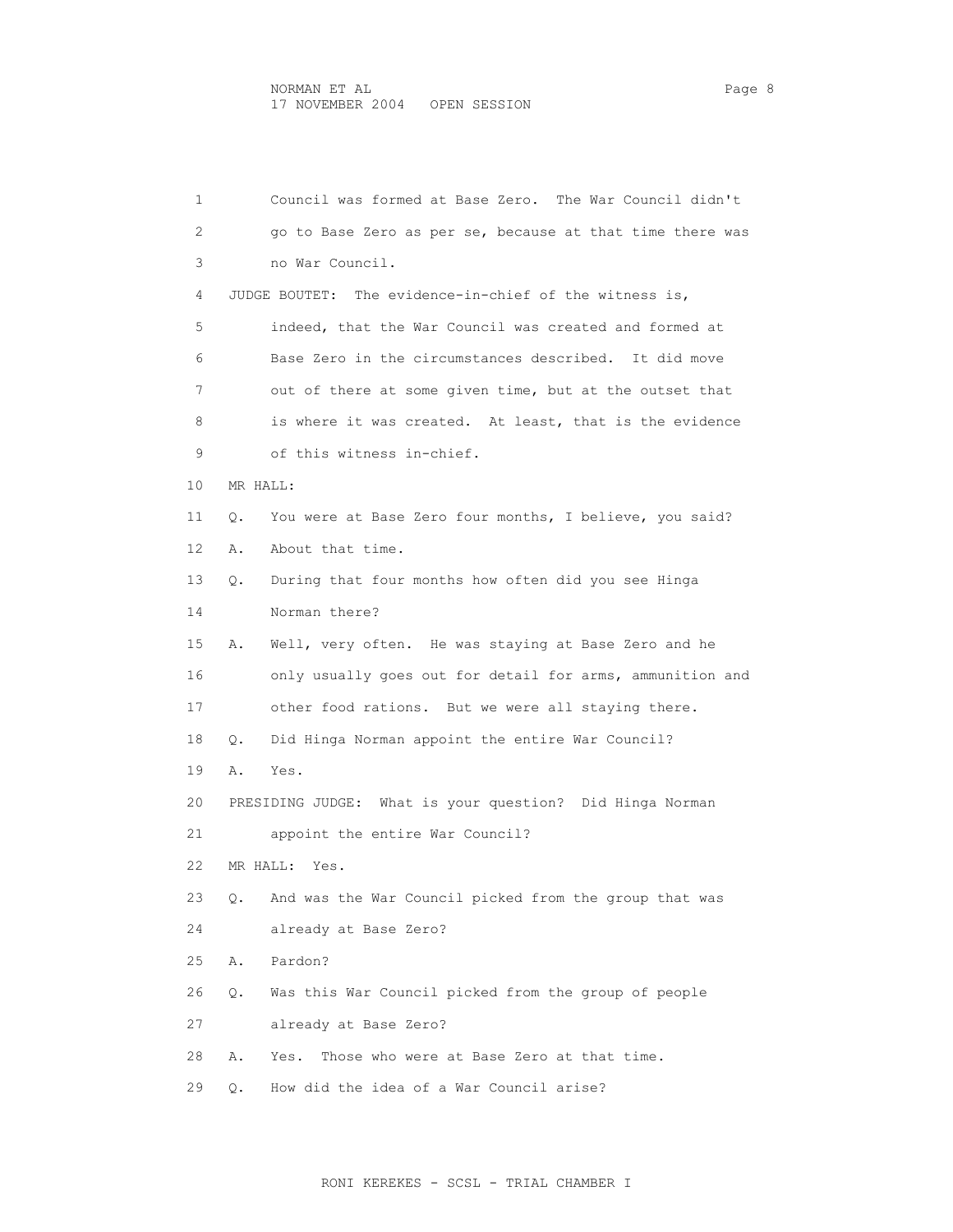| 1  | Council was formed at Base Zero. The War Council didn't       |
|----|---------------------------------------------------------------|
| 2  | go to Base Zero as per se, because at that time there was     |
| 3  | no War Council.                                               |
| 4  | JUDGE BOUTET: The evidence-in-chief of the witness is,        |
| 5  | indeed, that the War Council was created and formed at        |
| 6  | Base Zero in the circumstances described. It did move         |
| 7  | out of there at some given time, but at the outset that       |
| 8  | is where it was created. At least, that is the evidence       |
| 9  | of this witness in-chief.                                     |
| 10 | MR HALL:                                                      |
| 11 | You were at Base Zero four months, I believe, you said?<br>О. |
| 12 | About that time.<br>Α.                                        |
| 13 | During that four months how often did you see Hinga<br>Q.     |
| 14 | Norman there?                                                 |
| 15 | Well, very often. He was staying at Base Zero and he<br>Α.    |
| 16 | only usually goes out for detail for arms, ammunition and     |
| 17 | other food rations. But we were all staying there.            |
| 18 | Did Hinga Norman appoint the entire War Council?<br>Q.        |
| 19 | Yes.<br>Α.                                                    |
| 20 | PRESIDING JUDGE: What is your question? Did Hinga Norman      |
| 21 | appoint the entire War Council?                               |
| 22 | MR HALL:<br>Yes.                                              |
| 23 | And was the War Council picked from the group that was<br>Q.  |
| 24 | already at Base Zero?                                         |
| 25 | Α.<br>Pardon?                                                 |
| 26 | Was this War Council picked from the group of people<br>Q.    |
| 27 | already at Base Zero?                                         |
| 28 | Those who were at Base Zero at that time.<br>Α.<br>Yes.       |
| 29 | How did the idea of a War Council arise?<br>Q.                |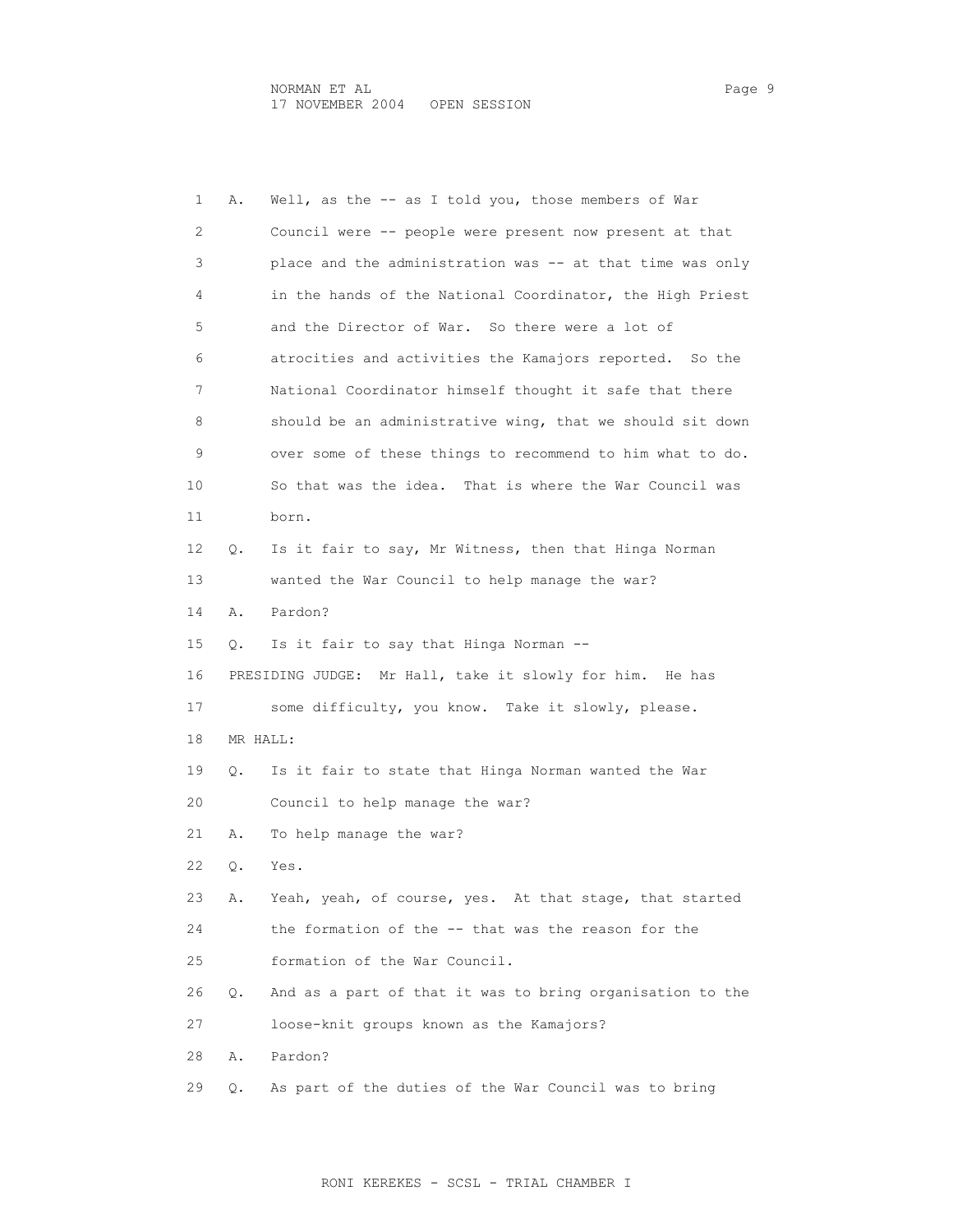| 1  | Α.       | Well, as the -- as I told you, those members of War       |
|----|----------|-----------------------------------------------------------|
| 2  |          | Council were -- people were present now present at that   |
| 3  |          | place and the administration was -- at that time was only |
| 4  |          | in the hands of the National Coordinator, the High Priest |
| 5  |          | and the Director of War. So there were a lot of           |
| 6  |          | atrocities and activities the Kamajors reported. So the   |
| 7  |          | National Coordinator himself thought it safe that there   |
| 8  |          | should be an administrative wing, that we should sit down |
| 9  |          | over some of these things to recommend to him what to do. |
| 10 |          | So that was the idea. That is where the War Council was   |
| 11 |          | born.                                                     |
| 12 | Q.       | Is it fair to say, Mr Witness, then that Hinga Norman     |
| 13 |          | wanted the War Council to help manage the war?            |
| 14 | Α.       | Pardon?                                                   |
| 15 | Q.       | Is it fair to say that Hinga Norman --                    |
| 16 |          | PRESIDING JUDGE: Mr Hall, take it slowly for him. He has  |
| 17 |          | some difficulty, you know. Take it slowly, please.        |
| 18 | MR HALL: |                                                           |
| 19 | Q.       | Is it fair to state that Hinga Norman wanted the War      |
| 20 |          | Council to help manage the war?                           |
| 21 | Α.       | To help manage the war?                                   |
| 22 | Q.       | Yes.                                                      |
| 23 | Α.       | Yeah, yeah, of course, yes. At that stage, that started   |
| 24 |          | the formation of the -- that was the reason for the       |
| 25 |          | formation of the War Council.                             |
| 26 | Q.       | And as a part of that it was to bring organisation to the |
| 27 |          | loose-knit groups known as the Kamajors?                  |
| 28 | Α.       | Pardon?                                                   |
| 29 | Q.       | As part of the duties of the War Council was to bring     |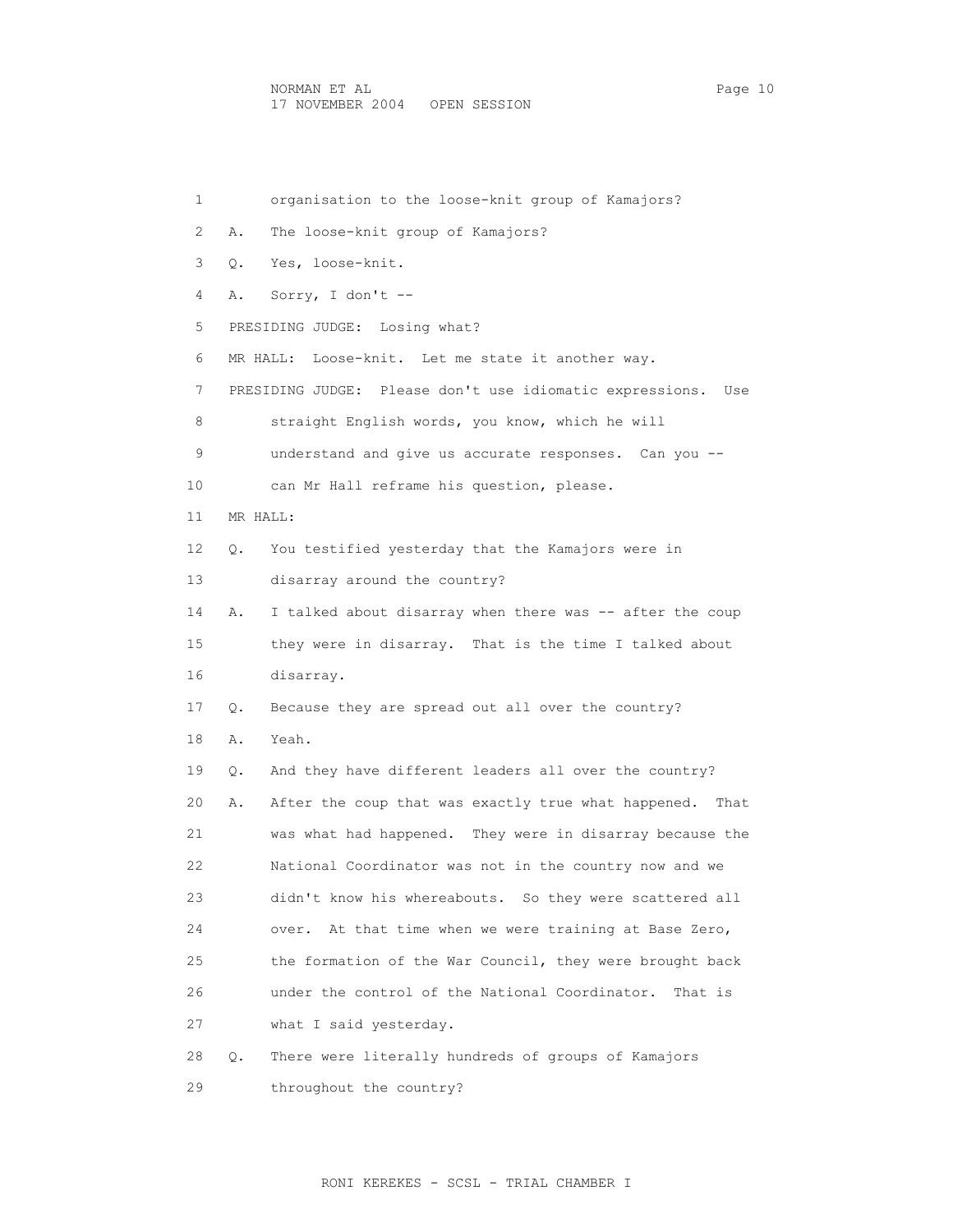1 organisation to the loose-knit group of Kamajors? 2 A. The loose-knit group of Kamajors? 3 Q. Yes, loose-knit. 4 A. Sorry, I don't -- 5 PRESIDING JUDGE: Losing what? 6 MR HALL: Loose-knit. Let me state it another way. 7 PRESIDING JUDGE: Please don't use idiomatic expressions. Use 8 straight English words, you know, which he will 9 understand and give us accurate responses. Can you -- 10 can Mr Hall reframe his question, please. 11 MR HALL: 12 Q. You testified yesterday that the Kamajors were in 13 disarray around the country? 14 A. I talked about disarray when there was -- after the coup 15 they were in disarray. That is the time I talked about 16 disarray. 17 Q. Because they are spread out all over the country? 18 A. Yeah. 19 Q. And they have different leaders all over the country? 20 A. After the coup that was exactly true what happened. That 21 was what had happened. They were in disarray because the 22 National Coordinator was not in the country now and we 23 didn't know his whereabouts. So they were scattered all 24 over. At that time when we were training at Base Zero, 25 the formation of the War Council, they were brought back 26 under the control of the National Coordinator. That is 27 what I said yesterday. 28 Q. There were literally hundreds of groups of Kamajors 29 throughout the country?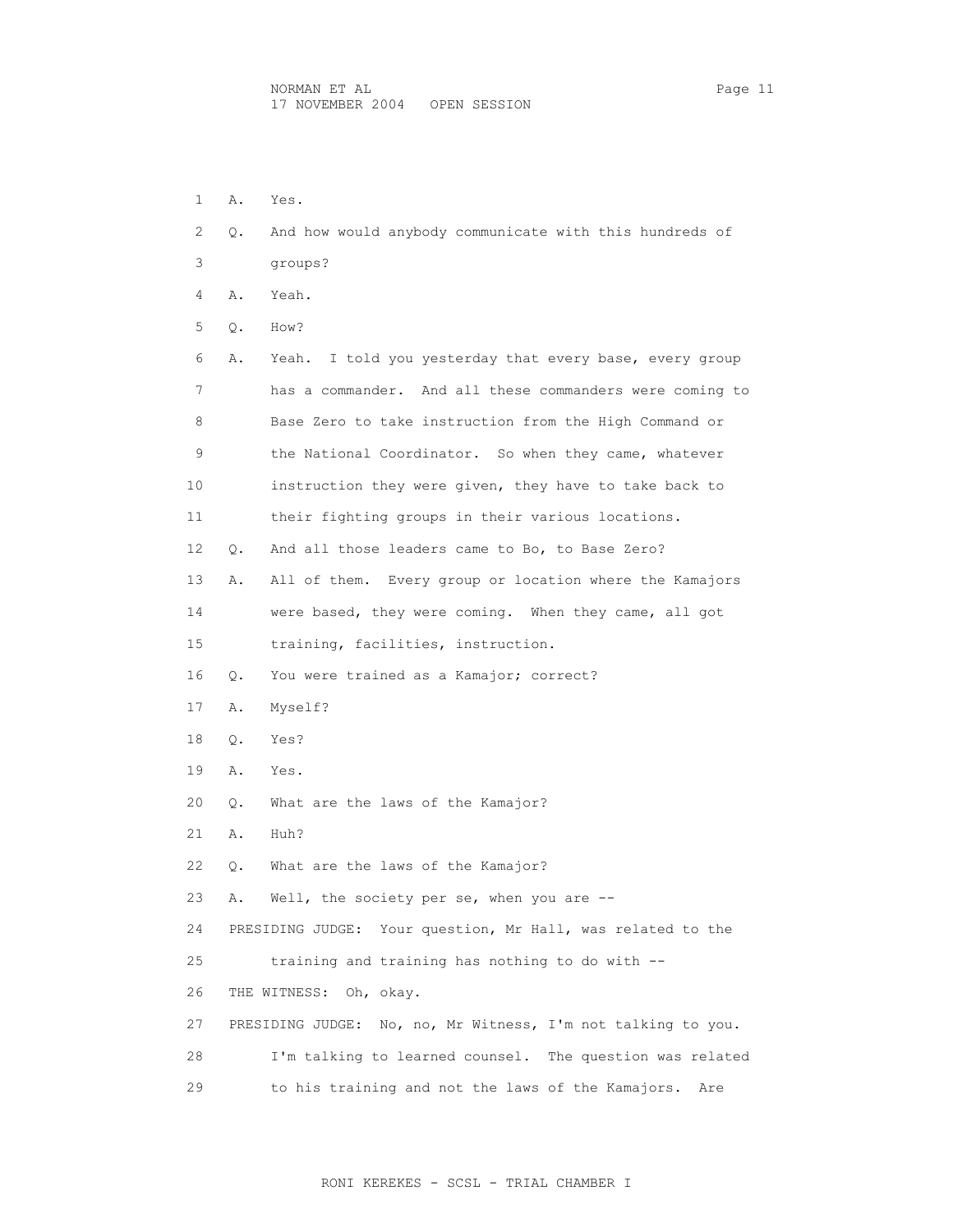| 1  | Α. | Yes.                                                           |
|----|----|----------------------------------------------------------------|
| 2  | О. | And how would anybody communicate with this hundreds of        |
| 3  |    | qroups?                                                        |
| 4  | Α. | Yeah.                                                          |
| 5. | Q. | How?                                                           |
| 6  | Α. | I told you yesterday that every base, every group<br>Yeah.     |
| 7  |    | has a commander. And all these commanders were coming to       |
| 8  |    | Base Zero to take instruction from the High Command or         |
| 9  |    | the National Coordinator. So when they came, whatever          |
| 10 |    | instruction they were given, they have to take back to         |
| 11 |    | their fighting groups in their various locations.              |
| 12 | О. | And all those leaders came to Bo, to Base Zero?                |
| 13 | Α. | All of them. Every group or location where the Kamajors        |
| 14 |    | were based, they were coming. When they came, all got          |
| 15 |    | training, facilities, instruction.                             |
| 16 | О. | You were trained as a Kamajor; correct?                        |
| 17 | Α. | Myself?                                                        |
| 18 | Q. | Yes?                                                           |
| 19 | Α. | Yes.                                                           |
| 20 | Q. | What are the laws of the Kamajor?                              |
| 21 | Α. | Huh?                                                           |
| 22 | Q. | What are the laws of the Kamajor?                              |
| 23 | Α. | Well, the society per se, when you are $-$ -                   |
| 24 |    | PRESIDING JUDGE:<br>Your question, Mr Hall, was related to the |
| 25 |    | training and training has nothing to do with --                |
| 26 |    | THE WITNESS:<br>Oh, okay.                                      |
| 27 |    | PRESIDING JUDGE: No, no, Mr Witness, I'm not talking to you.   |
| 28 |    | I'm talking to learned counsel. The question was related       |
| 29 |    | to his training and not the laws of the Kamajors. Are          |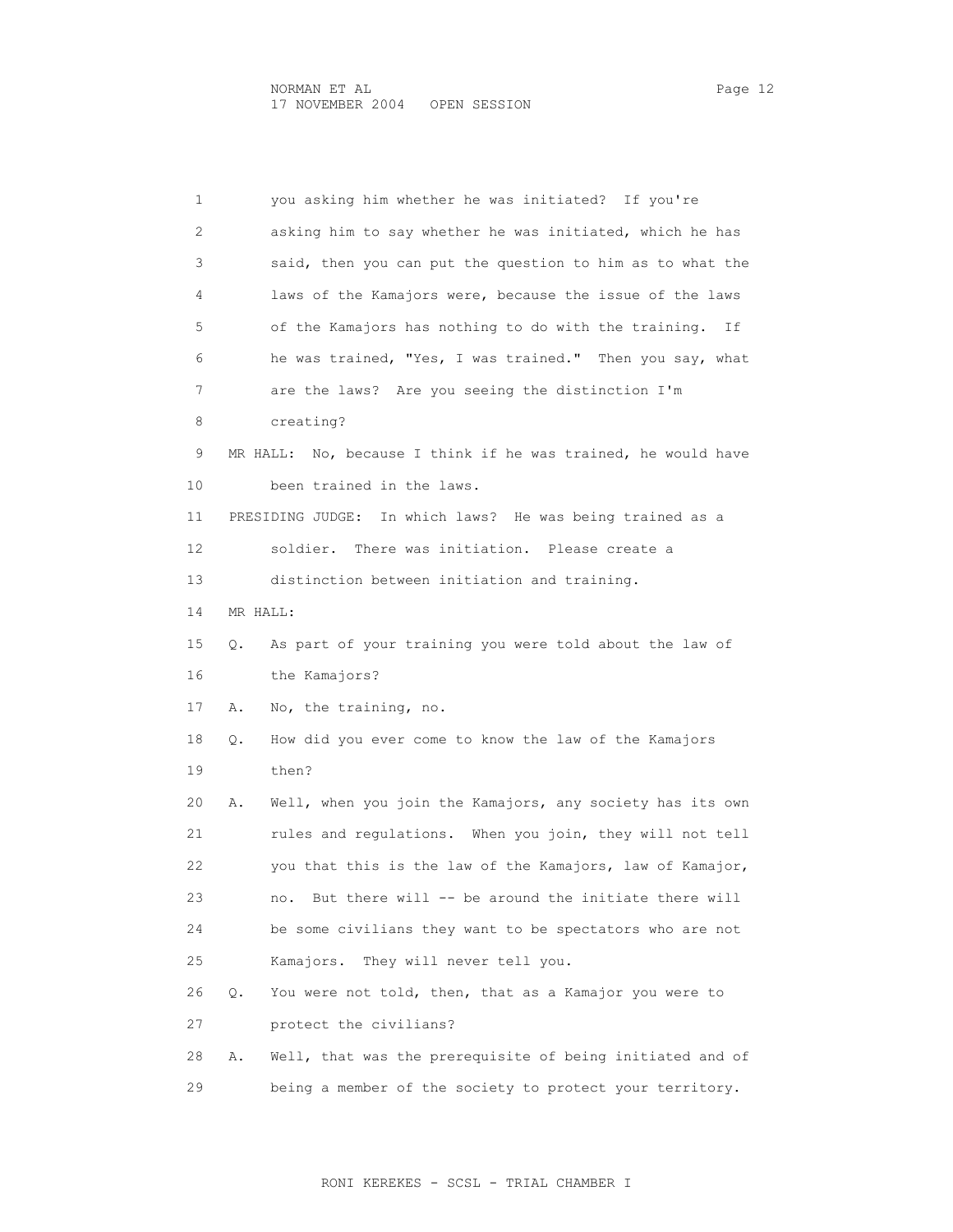1 you asking him whether he was initiated? If you're 2 asking him to say whether he was initiated, which he has 3 said, then you can put the question to him as to what the 4 laws of the Kamajors were, because the issue of the laws 5 of the Kamajors has nothing to do with the training. If 6 he was trained, "Yes, I was trained." Then you say, what 7 are the laws? Are you seeing the distinction I'm 8 creating? 9 MR HALL: No, because I think if he was trained, he would have 10 been trained in the laws. 11 PRESIDING JUDGE: In which laws? He was being trained as a 12 soldier. There was initiation. Please create a 13 distinction between initiation and training. 14 MR HALL: 15 Q. As part of your training you were told about the law of 16 the Kamajors? 17 A. No, the training, no. 18 Q. How did you ever come to know the law of the Kamajors 19 then? 20 A. Well, when you join the Kamajors, any society has its own 21 rules and regulations. When you join, they will not tell 22 you that this is the law of the Kamajors, law of Kamajor, 23 no. But there will -- be around the initiate there will 24 be some civilians they want to be spectators who are not 25 Kamajors. They will never tell you. 26 Q. You were not told, then, that as a Kamajor you were to 27 protect the civilians? 28 A. Well, that was the prerequisite of being initiated and of 29 being a member of the society to protect your territory.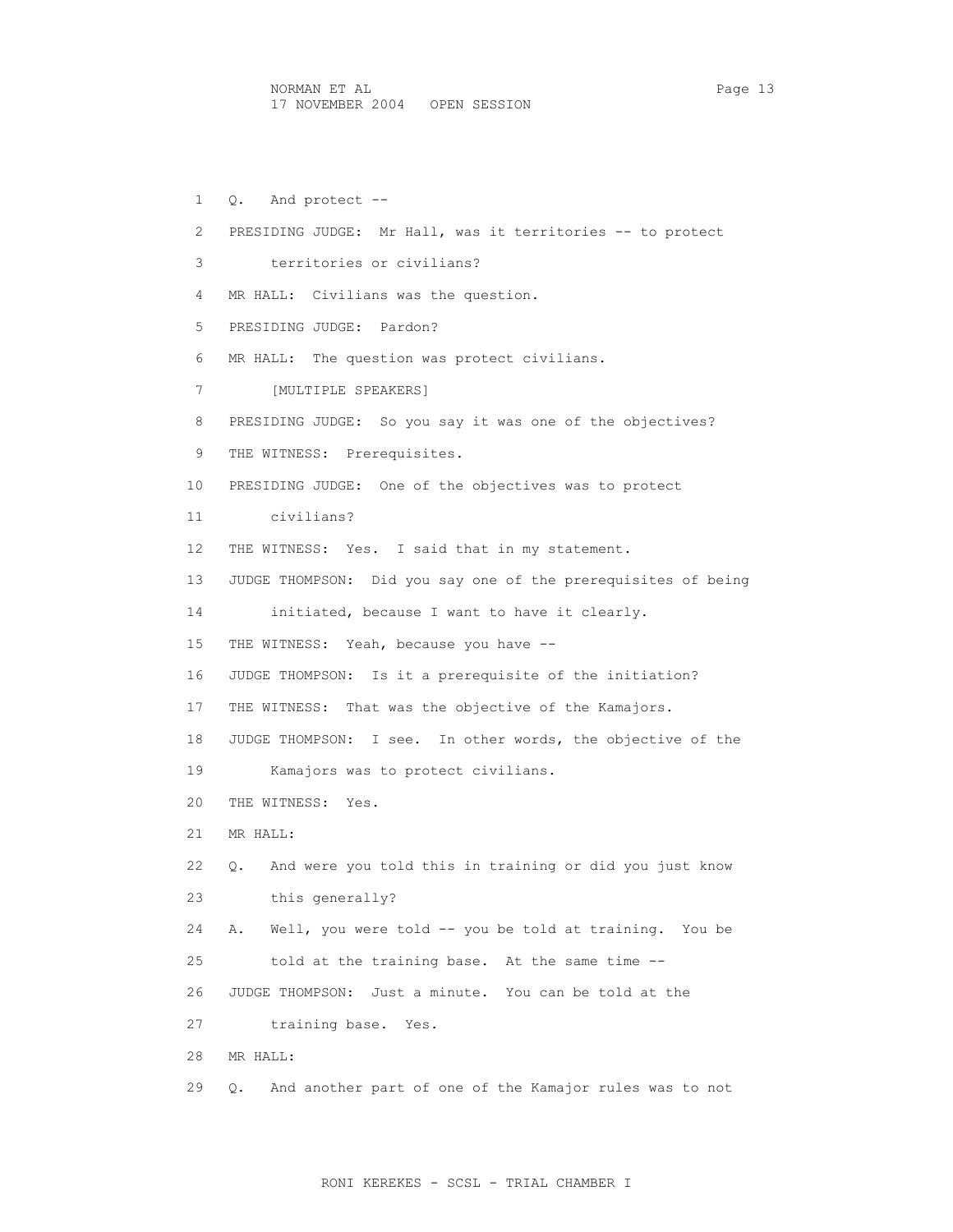NORMAN ET AL Page 13 17 NOVEMBER 2004 OPEN SESSION

 1 Q. And protect -- 2 PRESIDING JUDGE: Mr Hall, was it territories -- to protect 3 territories or civilians? 4 MR HALL: Civilians was the question. 5 PRESIDING JUDGE: Pardon? 6 MR HALL: The question was protect civilians. 7 [MULTIPLE SPEAKERS] 8 PRESIDING JUDGE: So you say it was one of the objectives? 9 THE WITNESS: Prerequisites. 10 PRESIDING JUDGE: One of the objectives was to protect 11 civilians? 12 THE WITNESS: Yes. I said that in my statement. 13 JUDGE THOMPSON: Did you say one of the prerequisites of being 14 initiated, because I want to have it clearly. 15 THE WITNESS: Yeah, because you have -- 16 JUDGE THOMPSON: Is it a prerequisite of the initiation? 17 THE WITNESS: That was the objective of the Kamajors. 18 JUDGE THOMPSON: I see. In other words, the objective of the 19 Kamajors was to protect civilians. 20 THE WITNESS: Yes. 21 MR HALL: 22 Q. And were you told this in training or did you just know 23 this generally? 24 A. Well, you were told -- you be told at training. You be 25 told at the training base. At the same time -- 26 JUDGE THOMPSON: Just a minute. You can be told at the 27 training base. Yes. 28 MR HALL: 29 Q. And another part of one of the Kamajor rules was to not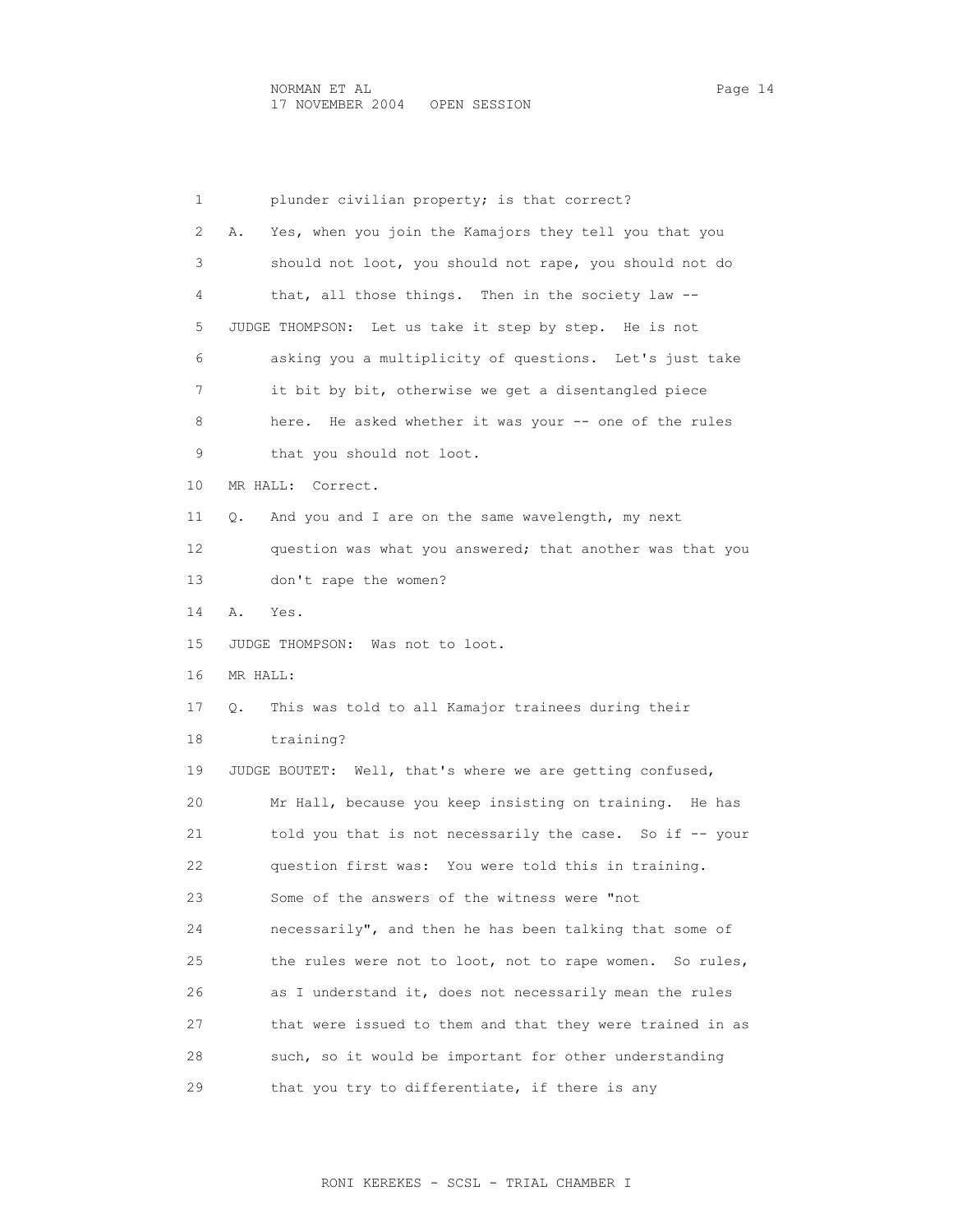1 plunder civilian property; is that correct? 2 A. Yes, when you join the Kamajors they tell you that you 3 should not loot, you should not rape, you should not do 4 that, all those things. Then in the society law -- 5 JUDGE THOMPSON: Let us take it step by step. He is not 6 asking you a multiplicity of questions. Let's just take 7 it bit by bit, otherwise we get a disentangled piece 8 here. He asked whether it was your -- one of the rules 9 that you should not loot. 10 MR HALL: Correct. 11 Q. And you and I are on the same wavelength, my next 12 question was what you answered; that another was that you 13 don't rape the women? 14 A. Yes. 15 JUDGE THOMPSON: Was not to loot. 16 MR HALL: 17 Q. This was told to all Kamajor trainees during their 18 training? 19 JUDGE BOUTET: Well, that's where we are getting confused, 20 Mr Hall, because you keep insisting on training. He has 21 told you that is not necessarily the case. So if -- your 22 question first was: You were told this in training. 23 Some of the answers of the witness were "not 24 necessarily", and then he has been talking that some of 25 the rules were not to loot, not to rape women. So rules, 26 as I understand it, does not necessarily mean the rules 27 that were issued to them and that they were trained in as 28 such, so it would be important for other understanding 29 that you try to differentiate, if there is any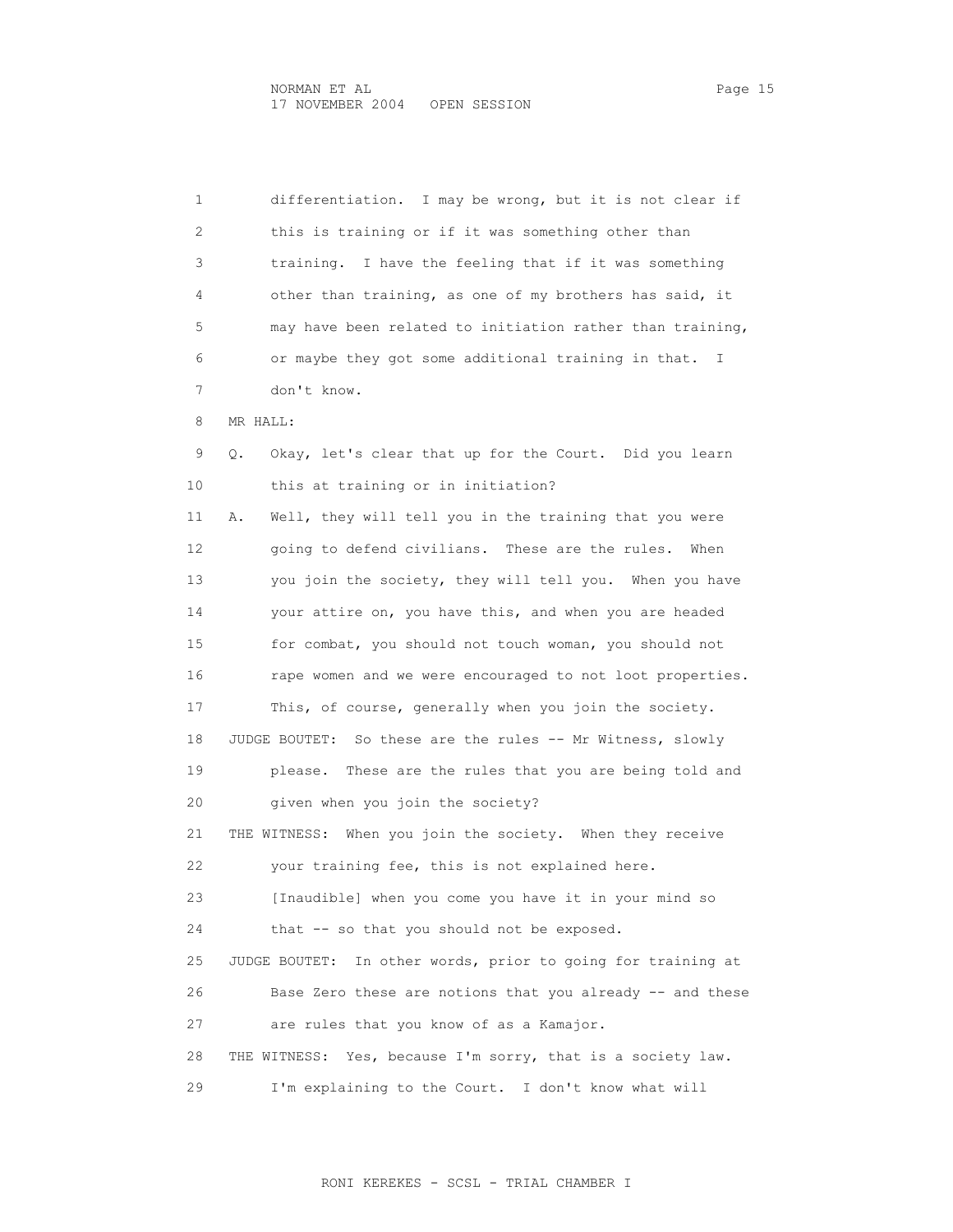1 differentiation. I may be wrong, but it is not clear if 2 this is training or if it was something other than 3 training. I have the feeling that if it was something 4 other than training, as one of my brothers has said, it 5 may have been related to initiation rather than training, 6 or maybe they got some additional training in that. I 7 don't know. 8 MR HALL: 9 Q. Okay, let's clear that up for the Court. Did you learn 10 this at training or in initiation? 11 A. Well, they will tell you in the training that you were 12 going to defend civilians. These are the rules. When 13 you join the society, they will tell you. When you have 14 your attire on, you have this, and when you are headed 15 for combat, you should not touch woman, you should not 16 rape women and we were encouraged to not loot properties. 17 This, of course, generally when you join the society. 18 JUDGE BOUTET: So these are the rules -- Mr Witness, slowly 19 please. These are the rules that you are being told and 20 given when you join the society? 21 THE WITNESS: When you join the society. When they receive 22 your training fee, this is not explained here. 23 [Inaudible] when you come you have it in your mind so 24 that -- so that you should not be exposed. 25 JUDGE BOUTET: In other words, prior to going for training at 26 Base Zero these are notions that you already -- and these 27 are rules that you know of as a Kamajor. 28 THE WITNESS: Yes, because I'm sorry, that is a society law. 29 I'm explaining to the Court. I don't know what will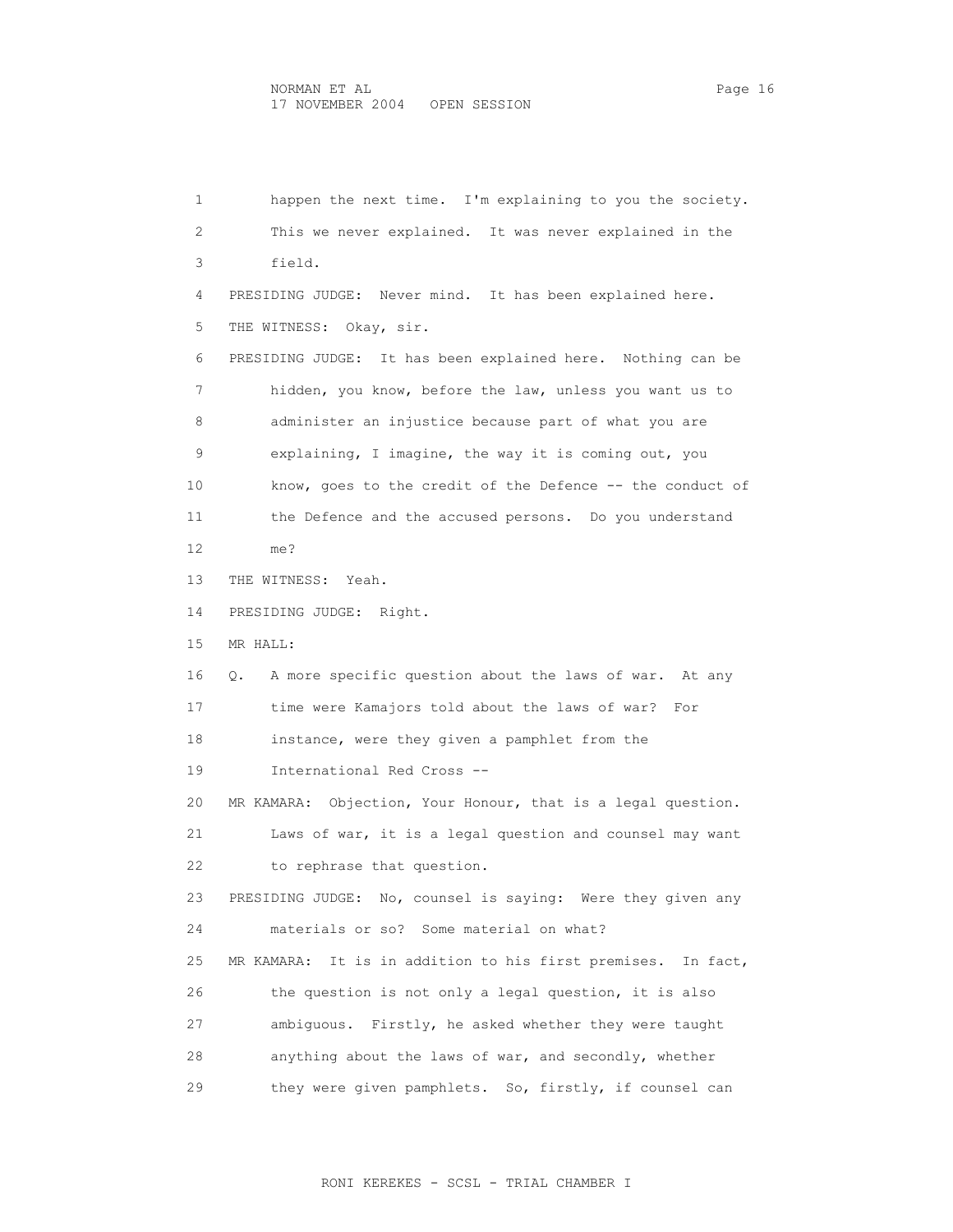1 happen the next time. I'm explaining to you the society. 2 This we never explained. It was never explained in the 3 field. 4 PRESIDING JUDGE: Never mind. It has been explained here. 5 THE WITNESS: Okay, sir. 6 PRESIDING JUDGE: It has been explained here. Nothing can be 7 hidden, you know, before the law, unless you want us to 8 administer an injustice because part of what you are 9 explaining, I imagine, the way it is coming out, you 10 know, goes to the credit of the Defence -- the conduct of 11 the Defence and the accused persons. Do you understand 12 me? 13 THE WITNESS: Yeah. 14 PRESIDING JUDGE: Right. 15 MR HALL: 16 Q. A more specific question about the laws of war. At any 17 time were Kamajors told about the laws of war? For 18 instance, were they given a pamphlet from the 19 International Red Cross -- 20 MR KAMARA: Objection, Your Honour, that is a legal question. 21 Laws of war, it is a legal question and counsel may want 22 to rephrase that question. 23 PRESIDING JUDGE: No, counsel is saying: Were they given any 24 materials or so? Some material on what? 25 MR KAMARA: It is in addition to his first premises. In fact, 26 the question is not only a legal question, it is also 27 ambiguous. Firstly, he asked whether they were taught 28 anything about the laws of war, and secondly, whether 29 they were given pamphlets. So, firstly, if counsel can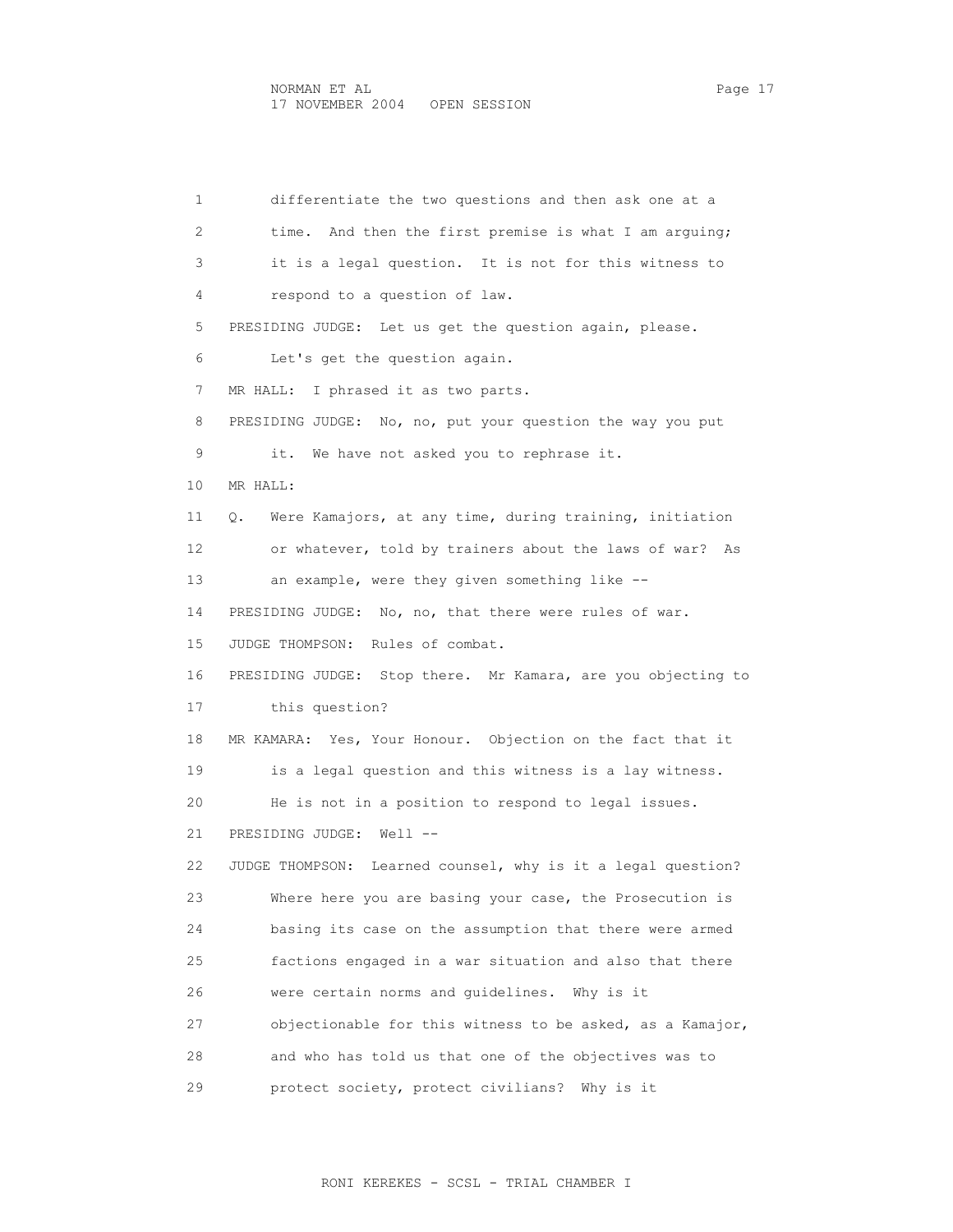1 differentiate the two questions and then ask one at a 2 time. And then the first premise is what I am arguing; 3 it is a legal question. It is not for this witness to 4 respond to a question of law. 5 PRESIDING JUDGE: Let us get the question again, please. 6 Let's get the question again. 7 MR HALL: I phrased it as two parts. 8 PRESIDING JUDGE: No, no, put your question the way you put 9 it. We have not asked you to rephrase it. 10 MR HALL: 11 Q. Were Kamajors, at any time, during training, initiation 12 or whatever, told by trainers about the laws of war? As 13 an example, were they given something like -- 14 PRESIDING JUDGE: No, no, that there were rules of war. 15 JUDGE THOMPSON: Rules of combat. 16 PRESIDING JUDGE: Stop there. Mr Kamara, are you objecting to 17 this question? 18 MR KAMARA: Yes, Your Honour. Objection on the fact that it 19 is a legal question and this witness is a lay witness. 20 He is not in a position to respond to legal issues. 21 PRESIDING JUDGE: Well -- 22 JUDGE THOMPSON: Learned counsel, why is it a legal question? 23 Where here you are basing your case, the Prosecution is 24 basing its case on the assumption that there were armed 25 factions engaged in a war situation and also that there 26 were certain norms and guidelines. Why is it 27 objectionable for this witness to be asked, as a Kamajor, 28 and who has told us that one of the objectives was to 29 protect society, protect civilians? Why is it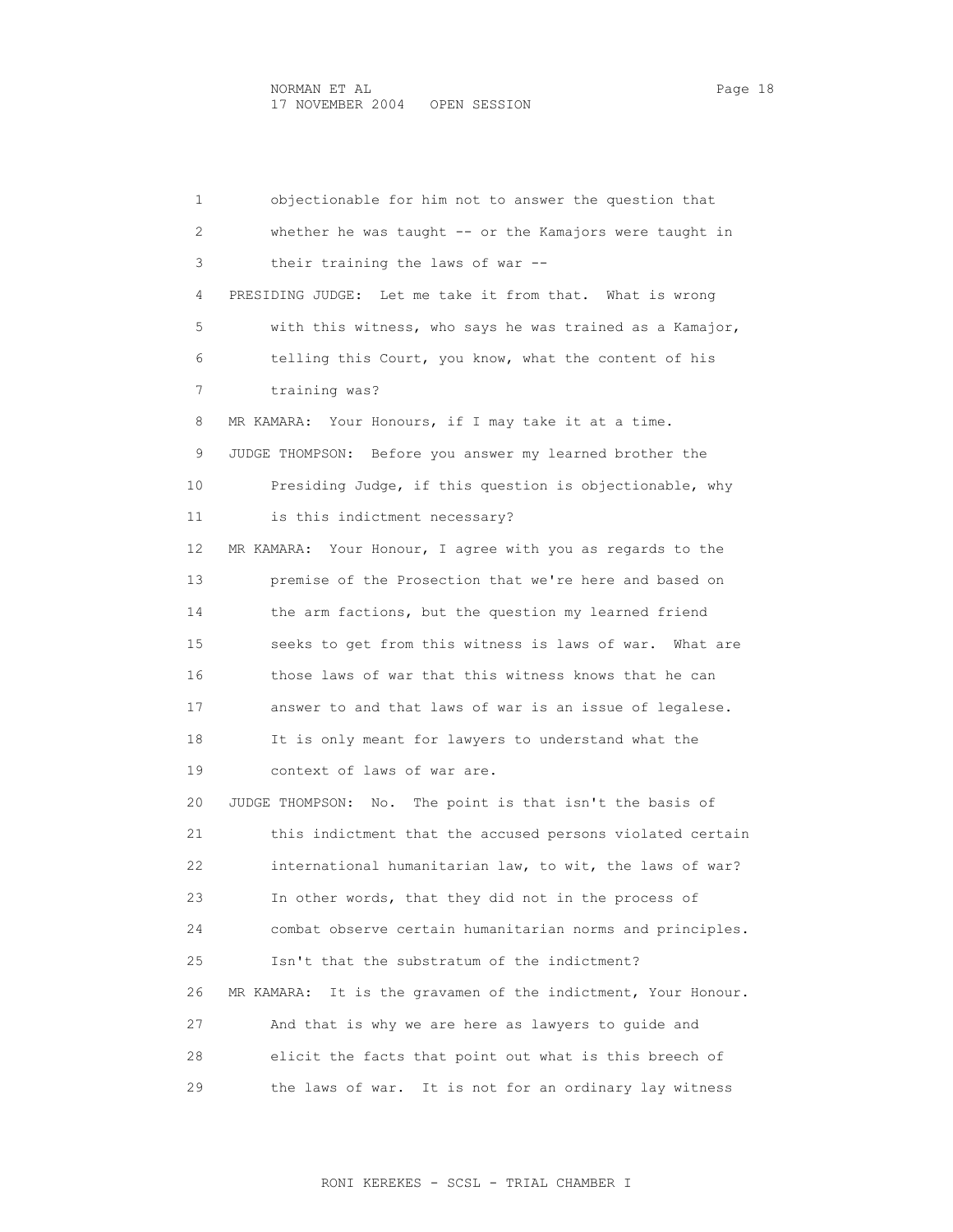1 objectionable for him not to answer the question that 2 whether he was taught -- or the Kamajors were taught in 3 their training the laws of war -- 4 PRESIDING JUDGE: Let me take it from that. What is wrong 5 with this witness, who says he was trained as a Kamajor, 6 telling this Court, you know, what the content of his 7 training was? 8 MR KAMARA: Your Honours, if I may take it at a time. 9 JUDGE THOMPSON: Before you answer my learned brother the 10 Presiding Judge, if this question is objectionable, why 11 is this indictment necessary? 12 MR KAMARA: Your Honour, I agree with you as regards to the 13 premise of the Prosection that we're here and based on 14 the arm factions, but the question my learned friend 15 seeks to get from this witness is laws of war. What are 16 those laws of war that this witness knows that he can 17 answer to and that laws of war is an issue of legalese. 18 It is only meant for lawyers to understand what the 19 context of laws of war are. 20 JUDGE THOMPSON: No. The point is that isn't the basis of 21 this indictment that the accused persons violated certain 22 international humanitarian law, to wit, the laws of war? 23 In other words, that they did not in the process of 24 combat observe certain humanitarian norms and principles. 25 Isn't that the substratum of the indictment? 26 MR KAMARA: It is the gravamen of the indictment, Your Honour. 27 And that is why we are here as lawyers to guide and 28 elicit the facts that point out what is this breech of 29 the laws of war. It is not for an ordinary lay witness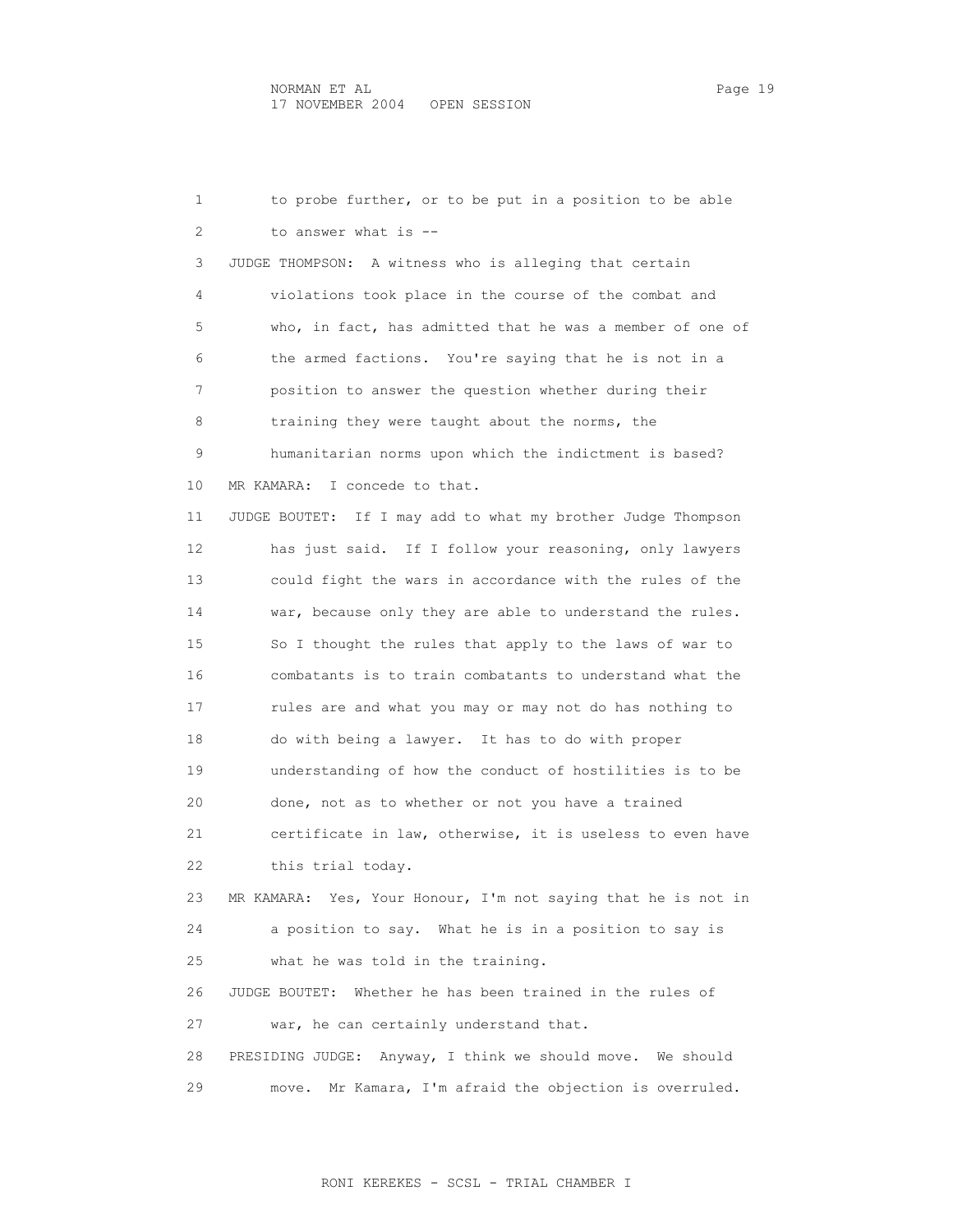1 to probe further, or to be put in a position to be able 2 to answer what is -- 3 JUDGE THOMPSON: A witness who is alleging that certain 4 violations took place in the course of the combat and 5 who, in fact, has admitted that he was a member of one of 6 the armed factions. You're saying that he is not in a 7 position to answer the question whether during their 8 training they were taught about the norms, the 9 humanitarian norms upon which the indictment is based? 10 MR KAMARA: I concede to that. 11 JUDGE BOUTET: If I may add to what my brother Judge Thompson 12 has just said. If I follow your reasoning, only lawyers 13 could fight the wars in accordance with the rules of the 14 war, because only they are able to understand the rules. 15 So I thought the rules that apply to the laws of war to 16 combatants is to train combatants to understand what the 17 rules are and what you may or may not do has nothing to 18 do with being a lawyer. It has to do with proper 19 understanding of how the conduct of hostilities is to be 20 done, not as to whether or not you have a trained 21 certificate in law, otherwise, it is useless to even have 22 this trial today. 23 MR KAMARA: Yes, Your Honour, I'm not saying that he is not in 24 a position to say. What he is in a position to say is 25 what he was told in the training. 26 JUDGE BOUTET: Whether he has been trained in the rules of 27 war, he can certainly understand that. 28 PRESIDING JUDGE: Anyway, I think we should move. We should 29 move. Mr Kamara, I'm afraid the objection is overruled.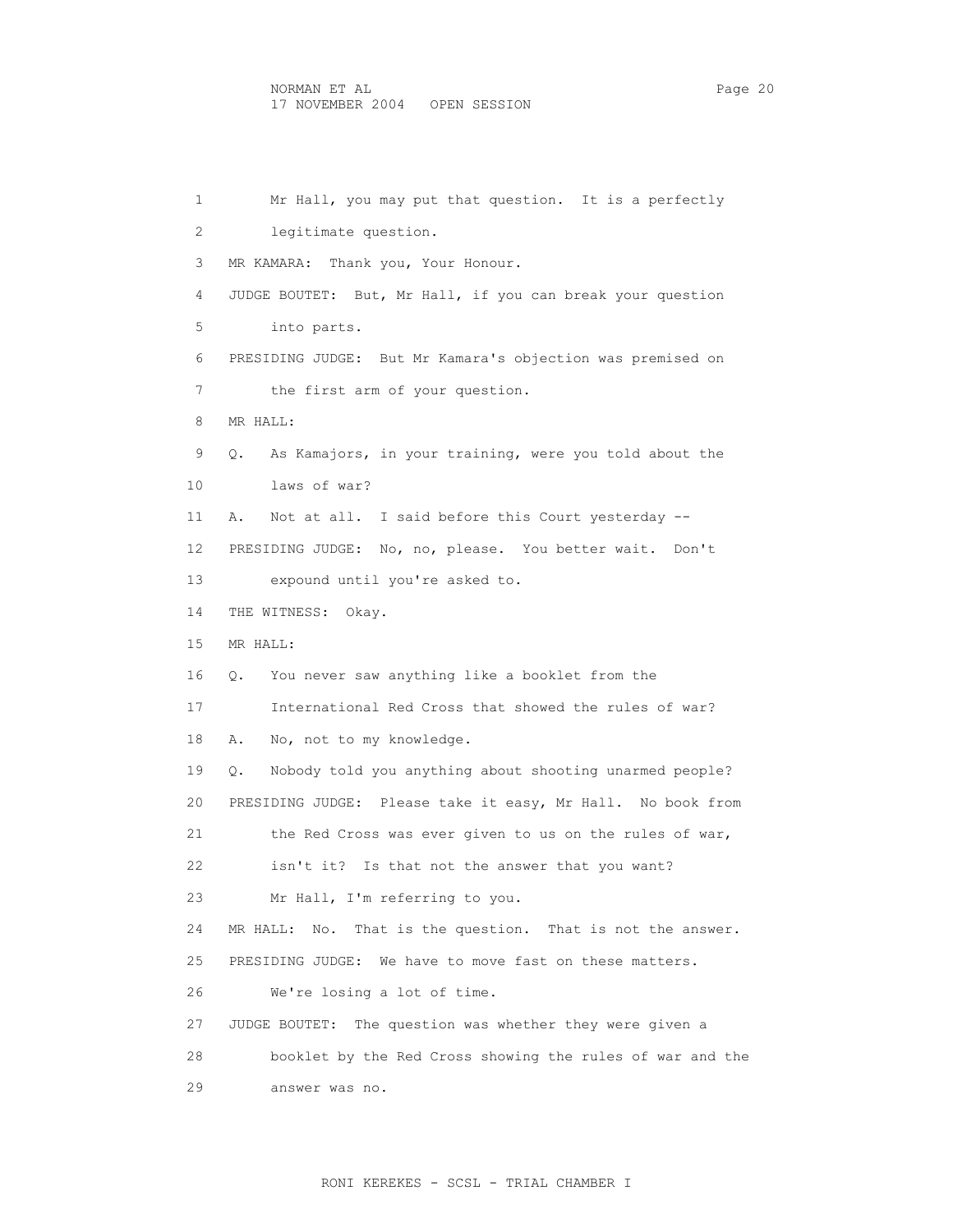1 Mr Hall, you may put that question. It is a perfectly 2 legitimate question. 3 MR KAMARA: Thank you, Your Honour. 4 JUDGE BOUTET: But, Mr Hall, if you can break your question 5 into parts. 6 PRESIDING JUDGE: But Mr Kamara's objection was premised on 7 the first arm of your question. 8 MR HALL: 9 Q. As Kamajors, in your training, were you told about the 10 laws of war? 11 A. Not at all. I said before this Court yesterday -- 12 PRESIDING JUDGE: No, no, please. You better wait. Don't 13 expound until you're asked to. 14 THE WITNESS: Okay. 15 MR HALL: 16 Q. You never saw anything like a booklet from the 17 International Red Cross that showed the rules of war? 18 A. No, not to my knowledge. 19 Q. Nobody told you anything about shooting unarmed people? 20 PRESIDING JUDGE: Please take it easy, Mr Hall. No book from 21 the Red Cross was ever given to us on the rules of war, 22 isn't it? Is that not the answer that you want? 23 Mr Hall, I'm referring to you. 24 MR HALL: No. That is the question. That is not the answer. 25 PRESIDING JUDGE: We have to move fast on these matters. 26 We're losing a lot of time. 27 JUDGE BOUTET: The question was whether they were given a 28 booklet by the Red Cross showing the rules of war and the 29 answer was no.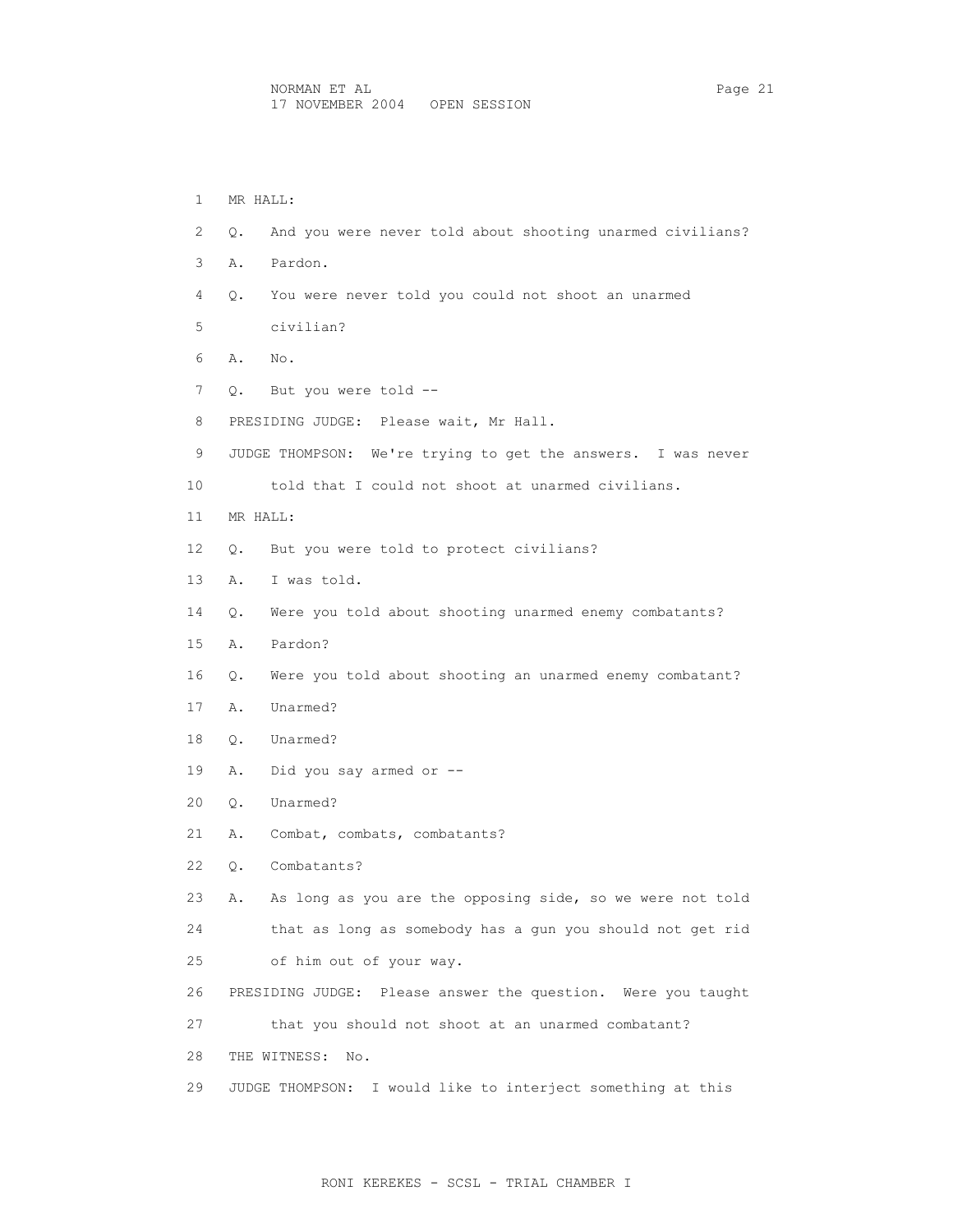1 MR HALL: 2 Q. And you were never told about shooting unarmed civilians? 3 A. Pardon. 4 Q. You were never told you could not shoot an unarmed 5 civilian? 6 A. No. 7 Q. But you were told -- 8 PRESIDING JUDGE: Please wait, Mr Hall. 9 JUDGE THOMPSON: We're trying to get the answers. I was never 10 told that I could not shoot at unarmed civilians. 11 MR HALL: 12 Q. But you were told to protect civilians? 13 A. I was told. 14 Q. Were you told about shooting unarmed enemy combatants? 15 A. Pardon? 16 Q. Were you told about shooting an unarmed enemy combatant? 17 A. Unarmed? 18 Q. Unarmed? 19 A. Did you say armed or -- 20 Q. Unarmed? 21 A. Combat, combats, combatants? 22 Q. Combatants? 23 A. As long as you are the opposing side, so we were not told 24 that as long as somebody has a gun you should not get rid 25 of him out of your way. 26 PRESIDING JUDGE: Please answer the question. Were you taught

27 that you should not shoot at an unarmed combatant?

28 THE WITNESS: No.

29 JUDGE THOMPSON: I would like to interject something at this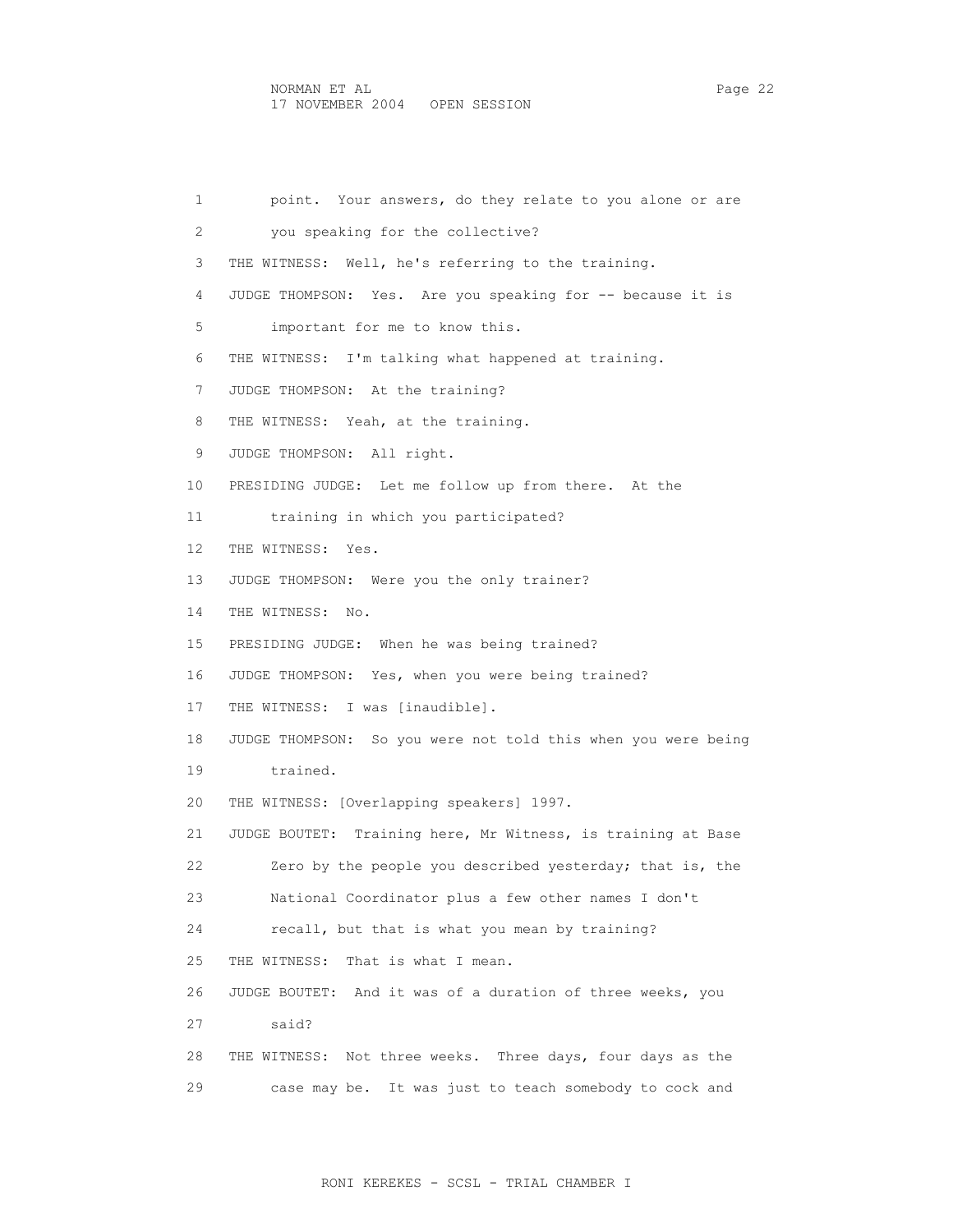| 1  | point. Your answers, do they relate to you alone or are       |
|----|---------------------------------------------------------------|
| 2  | you speaking for the collective?                              |
| 3  | THE WITNESS: Well, he's referring to the training.            |
| 4  | JUDGE THOMPSON: Yes. Are you speaking for -- because it is    |
| 5  | important for me to know this.                                |
| 6  | THE WITNESS: I'm talking what happened at training.           |
| 7  | JUDGE THOMPSON: At the training?                              |
| 8  | THE WITNESS: Yeah, at the training.                           |
| 9  | JUDGE THOMPSON: All right.                                    |
| 10 | PRESIDING JUDGE: Let me follow up from there. At the          |
| 11 | training in which you participated?                           |
| 12 | THE WITNESS:<br>Yes.                                          |
| 13 | JUDGE THOMPSON: Were you the only trainer?                    |
| 14 | THE WITNESS:<br>No.                                           |
| 15 | PRESIDING JUDGE: When he was being trained?                   |
| 16 | JUDGE THOMPSON: Yes, when you were being trained?             |
| 17 | THE WITNESS: I was [inaudible].                               |
| 18 | JUDGE THOMPSON: So you were not told this when you were being |
| 19 | trained.                                                      |
| 20 | THE WITNESS: [Overlapping speakers] 1997.                     |
| 21 | JUDGE BOUTET: Training here, Mr Witness, is training at Base  |
| 22 | Zero by the people you described yesterday; that is, the      |
| 23 | National Coordinator plus a few other names I don't           |
| 24 | recall, but that is what you mean by training?                |
| 25 | That is what I mean.<br>THE WITNESS:                          |
| 26 | JUDGE BOUTET:<br>And it was of a duration of three weeks, you |
| 27 | said?                                                         |
| 28 | THE WITNESS: Not three weeks. Three days, four days as the    |
| 29 | It was just to teach somebody to cock and<br>case may be.     |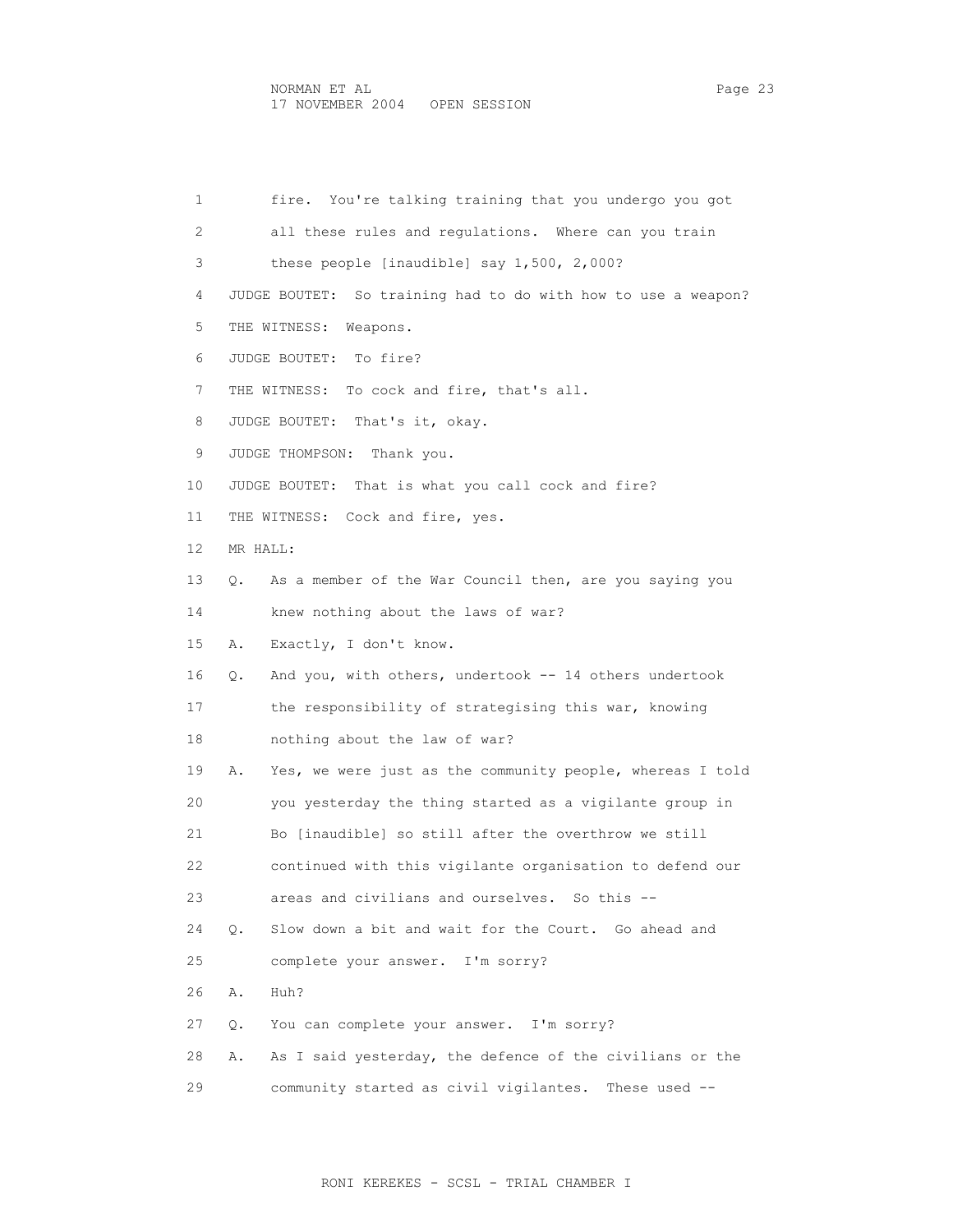| $\mathbf{1}$ | fire. You're talking training that you undergo you got               |
|--------------|----------------------------------------------------------------------|
| 2            | all these rules and regulations. Where can you train                 |
| 3            | these people [inaudible] say $1,500$ , $2,000$ ?                     |
| 4            | JUDGE BOUTET: So training had to do with how to use a weapon?        |
| 5            | THE WITNESS:<br>Weapons.                                             |
| 6            | JUDGE BOUTET: To fire?                                               |
| 7            | THE WITNESS: To cock and fire, that's all.                           |
| 8            | JUDGE BOUTET: That's it, okay.                                       |
| 9            | JUDGE THOMPSON: Thank you.                                           |
| 10           | JUDGE BOUTET: That is what you call cock and fire?                   |
| 11           | THE WITNESS: Cock and fire, yes.                                     |
| 12           | MR HALL:                                                             |
| 13           | As a member of the War Council then, are you saying you<br>$\circ$ . |
| 14           | knew nothing about the laws of war?                                  |
| 15           | Exactly, I don't know.<br>Α.                                         |
| 16           | And you, with others, undertook -- 14 others undertook<br>Q.         |
| 17           | the responsibility of strategising this war, knowing                 |
| 18           | nothing about the law of war?                                        |
| 19           | Yes, we were just as the community people, whereas I told<br>Α.      |
| 20           | you yesterday the thing started as a vigilante group in              |
| 21           | Bo [inaudible] so still after the overthrow we still                 |
| 22           | continued with this vigilante organisation to defend our             |
| 23           | areas and civilians and ourselves. So this --                        |
| 24           | Slow down a bit and wait for the Court. Go ahead and<br>О.           |
| 25           | complete your answer. I'm sorry?                                     |
| 26           | Huh?<br>Α.                                                           |
| 27           | You can complete your answer. I'm sorry?<br>Q.                       |
| 28           | As I said yesterday, the defence of the civilians or the<br>Α.       |
| 29           | community started as civil vigilantes. These used --                 |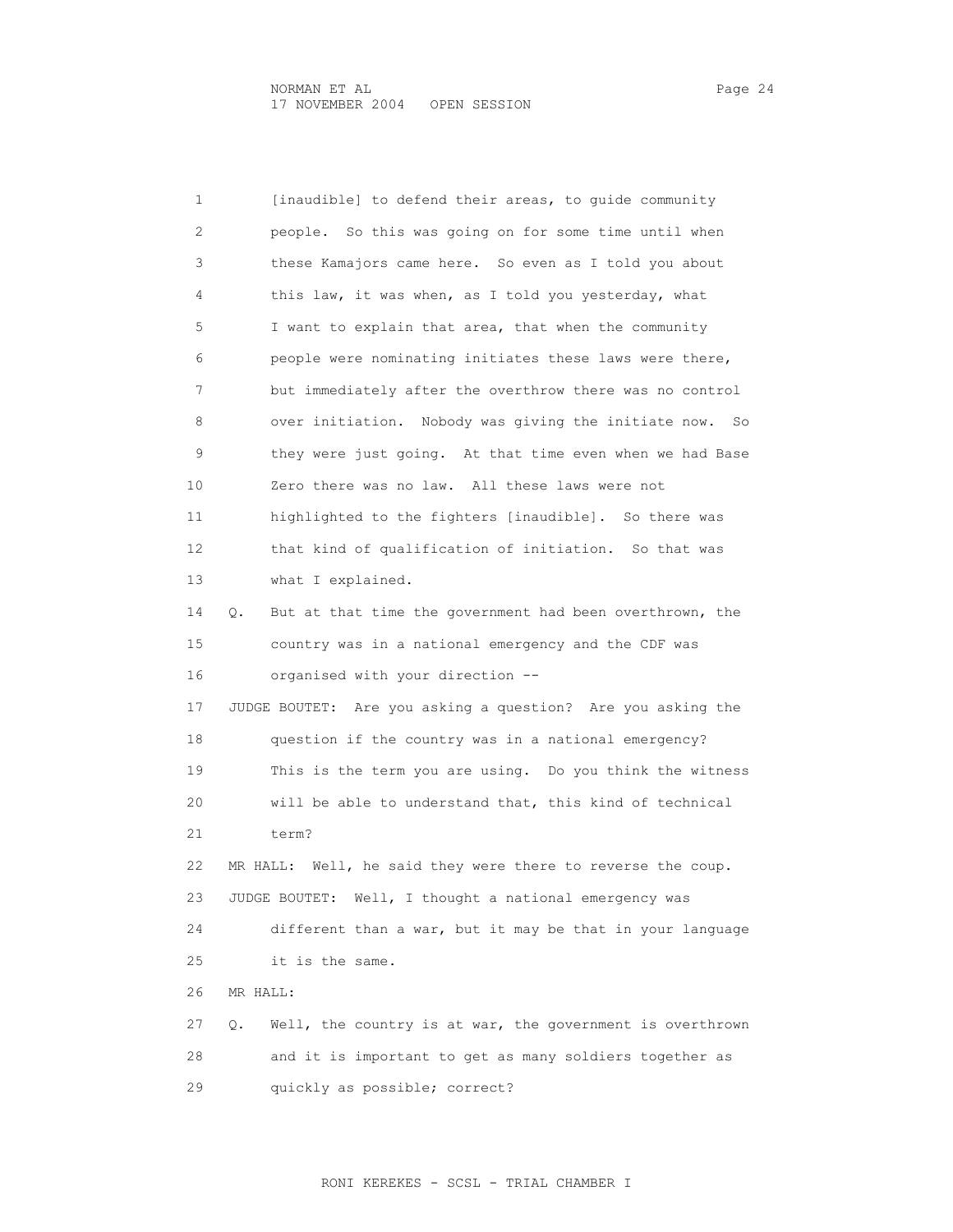1 [inaudible] to defend their areas, to guide community 2 people. So this was going on for some time until when 3 these Kamajors came here. So even as I told you about 4 this law, it was when, as I told you yesterday, what 5 I want to explain that area, that when the community 6 people were nominating initiates these laws were there, 7 but immediately after the overthrow there was no control 8 over initiation. Nobody was giving the initiate now. So 9 they were just going. At that time even when we had Base 10 Zero there was no law. All these laws were not 11 highlighted to the fighters [inaudible]. So there was 12 that kind of qualification of initiation. So that was 13 what I explained. 14 Q. But at that time the government had been overthrown, the 15 country was in a national emergency and the CDF was 16 organised with your direction -- 17 JUDGE BOUTET: Are you asking a question? Are you asking the 18 question if the country was in a national emergency? 19 This is the term you are using. Do you think the witness 20 will be able to understand that, this kind of technical 21 term? 22 MR HALL: Well, he said they were there to reverse the coup. 23 JUDGE BOUTET: Well, I thought a national emergency was 24 different than a war, but it may be that in your language 25 it is the same. 26 MR HALL: 27 Q. Well, the country is at war, the government is overthrown 28 and it is important to get as many soldiers together as 29 quickly as possible; correct?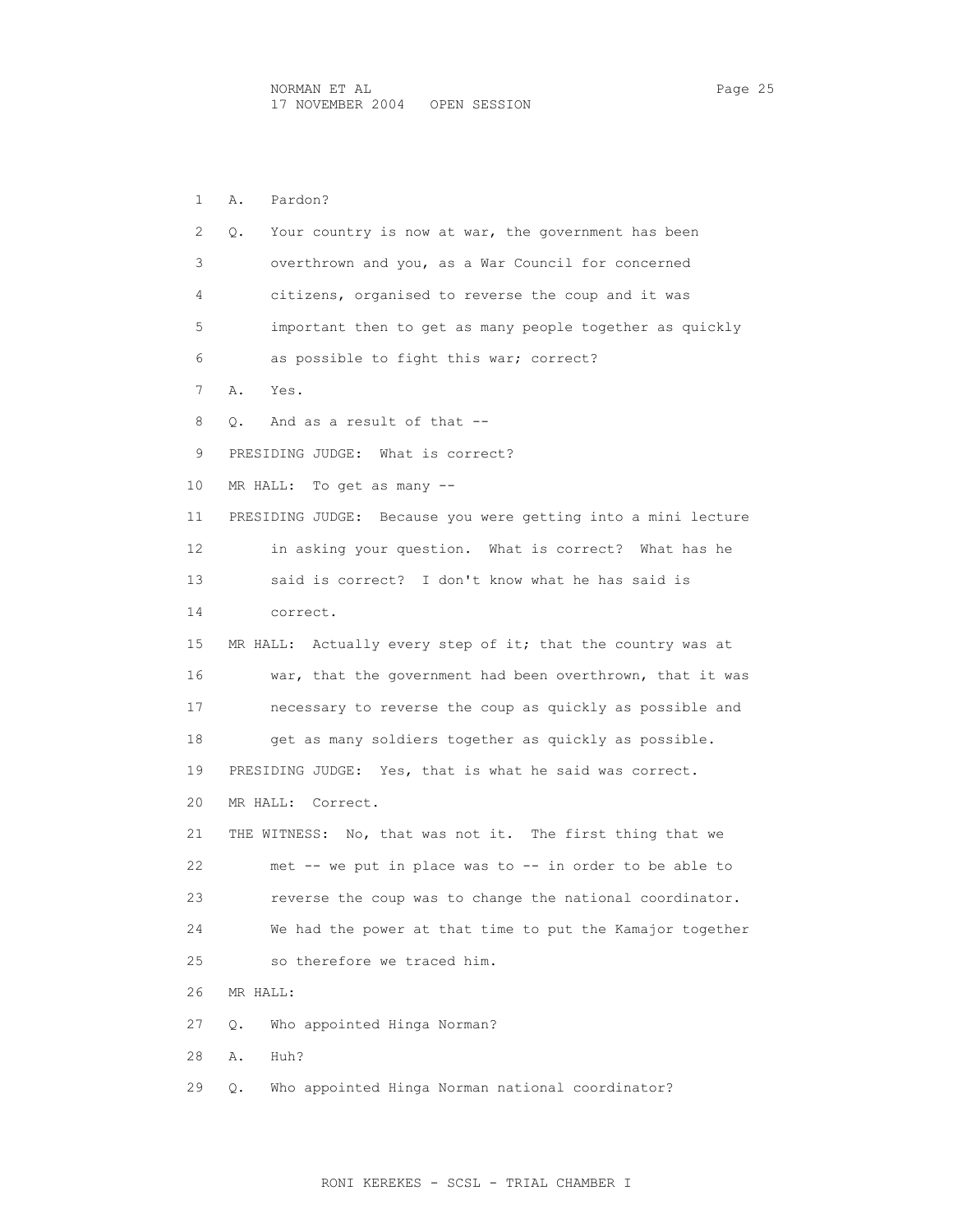1 A. Pardon? 2 Q. Your country is now at war, the government has been 3 overthrown and you, as a War Council for concerned 4 citizens, organised to reverse the coup and it was 5 important then to get as many people together as quickly 6 as possible to fight this war; correct? 7 A. Yes. 8 Q. And as a result of that -- 9 PRESIDING JUDGE: What is correct? 10 MR HALL: To get as many -- 11 PRESIDING JUDGE: Because you were getting into a mini lecture 12 in asking your question. What is correct? What has he 13 said is correct? I don't know what he has said is 14 correct. 15 MR HALL: Actually every step of it; that the country was at 16 war, that the government had been overthrown, that it was 17 necessary to reverse the coup as quickly as possible and 18 get as many soldiers together as quickly as possible. 19 PRESIDING JUDGE: Yes, that is what he said was correct. 20 MR HALL: Correct. 21 THE WITNESS: No, that was not it. The first thing that we 22 met -- we put in place was to -- in order to be able to 23 reverse the coup was to change the national coordinator. 24 We had the power at that time to put the Kamajor together 25 so therefore we traced him. 26 MR HALL: 27 Q. Who appointed Hinga Norman? 28 A. Huh? 29 Q. Who appointed Hinga Norman national coordinator?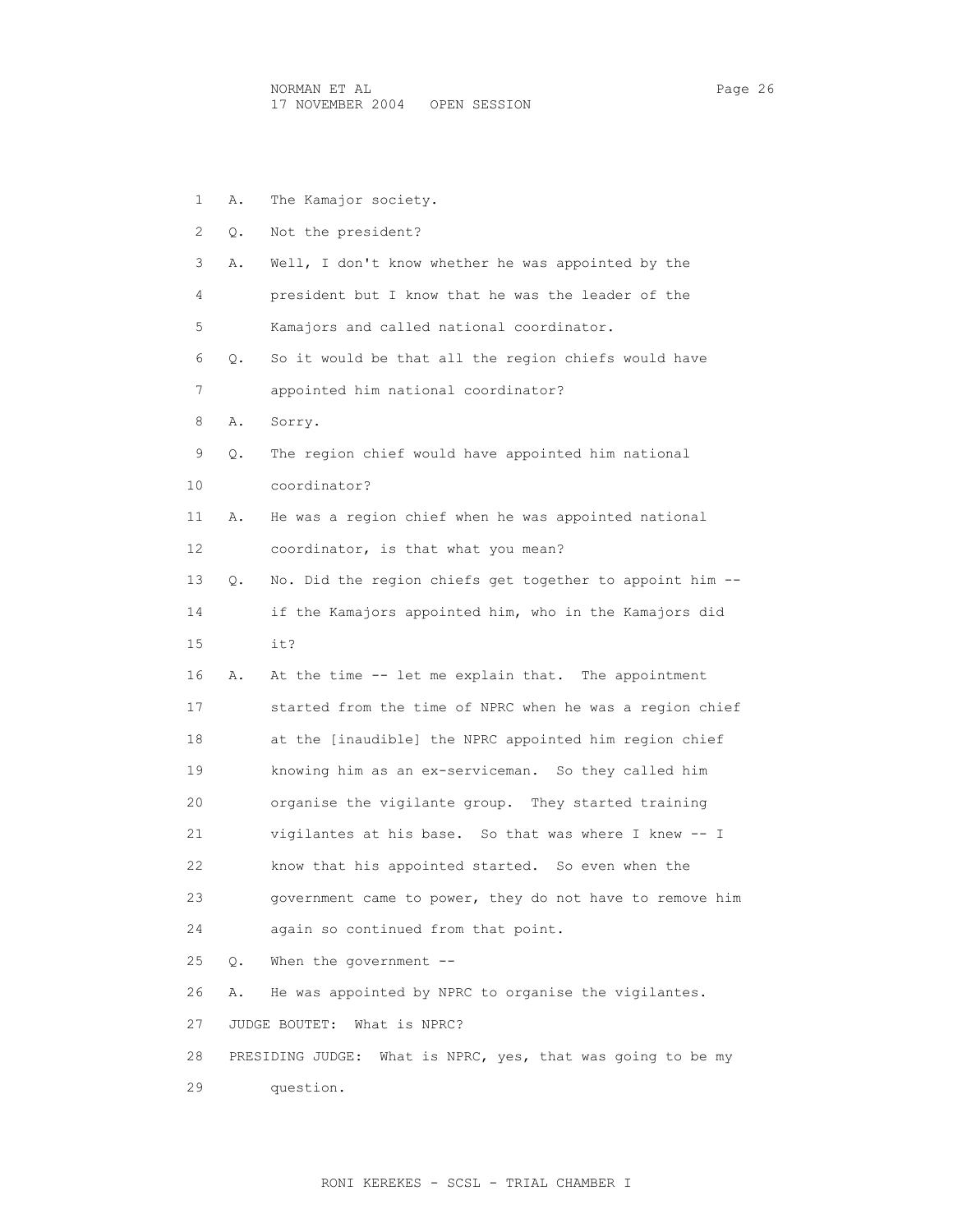1 A. The Kamajor society. 2 Q. Not the president? 3 A. Well, I don't know whether he was appointed by the 4 president but I know that he was the leader of the 5 Kamajors and called national coordinator. 6 Q. So it would be that all the region chiefs would have 7 appointed him national coordinator? 8 A. Sorry. 9 Q. The region chief would have appointed him national 10 coordinator? 11 A. He was a region chief when he was appointed national 12 coordinator, is that what you mean? 13 Q. No. Did the region chiefs get together to appoint him -- 14 if the Kamajors appointed him, who in the Kamajors did 15 it? 16 A. At the time -- let me explain that. The appointment 17 started from the time of NPRC when he was a region chief 18 at the [inaudible] the NPRC appointed him region chief 19 knowing him as an ex-serviceman. So they called him 20 organise the vigilante group. They started training 21 vigilantes at his base. So that was where I knew -- I 22 know that his appointed started. So even when the 23 government came to power, they do not have to remove him 24 again so continued from that point. 25 Q. When the government -- 26 A. He was appointed by NPRC to organise the vigilantes. 27 JUDGE BOUTET: What is NPRC? 28 PRESIDING JUDGE: What is NPRC, yes, that was going to be my 29 question.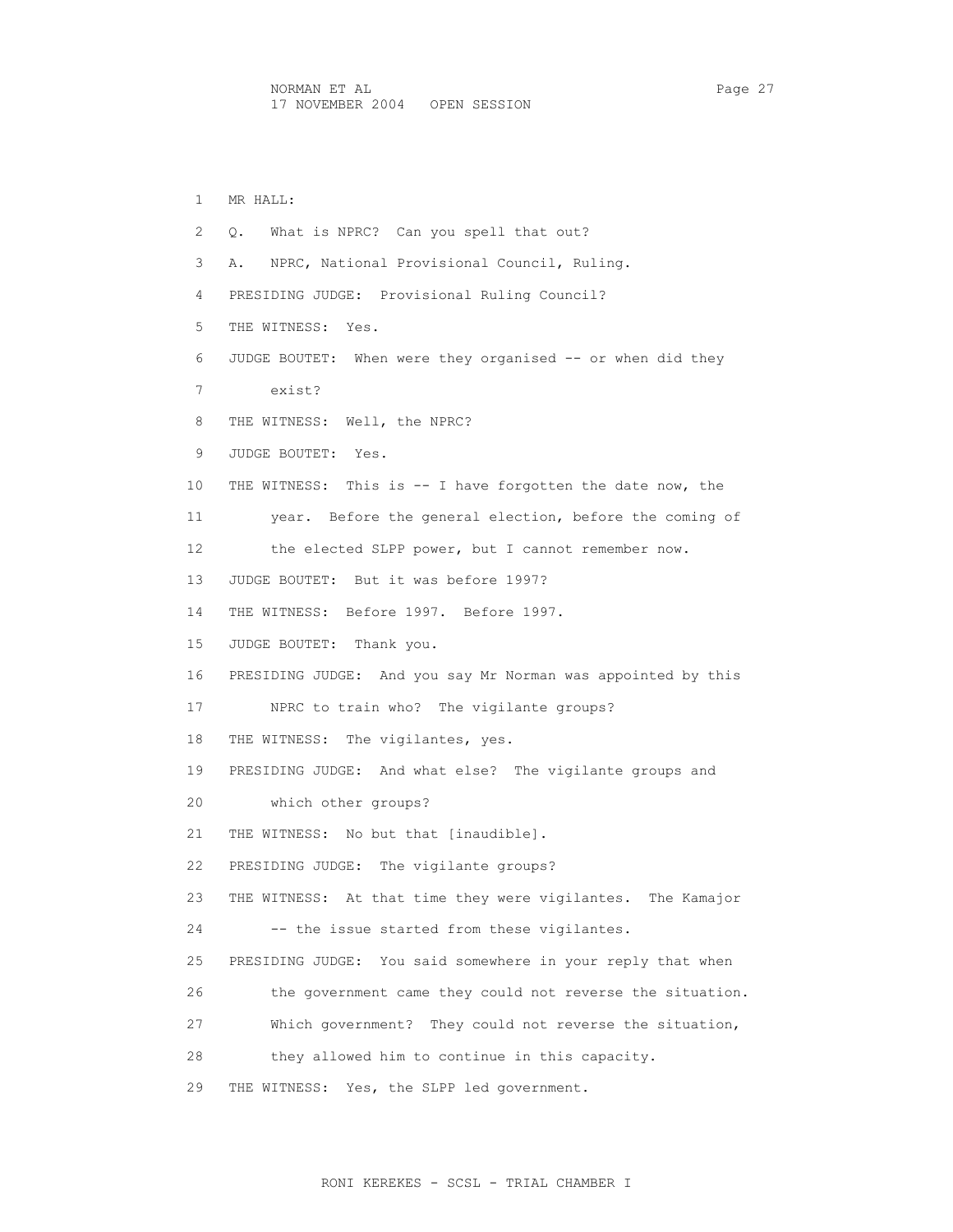1 MR HALL: 2 Q. What is NPRC? Can you spell that out? 3 A. NPRC, National Provisional Council, Ruling. 4 PRESIDING JUDGE: Provisional Ruling Council? 5 THE WITNESS: Yes. 6 JUDGE BOUTET: When were they organised -- or when did they 7 exist? 8 THE WITNESS: Well, the NPRC? 9 JUDGE BOUTET: Yes. 10 THE WITNESS: This is -- I have forgotten the date now, the 11 year. Before the general election, before the coming of 12 the elected SLPP power, but I cannot remember now. 13 JUDGE BOUTET: But it was before 1997? 14 THE WITNESS: Before 1997. Before 1997. 15 JUDGE BOUTET: Thank you. 16 PRESIDING JUDGE: And you say Mr Norman was appointed by this 17 NPRC to train who? The vigilante groups? 18 THE WITNESS: The vigilantes, yes. 19 PRESIDING JUDGE: And what else? The vigilante groups and 20 which other groups? 21 THE WITNESS: No but that [inaudible]. 22 PRESIDING JUDGE: The vigilante groups? 23 THE WITNESS: At that time they were vigilantes. The Kamajor 24 -- the issue started from these vigilantes. 25 PRESIDING JUDGE: You said somewhere in your reply that when 26 the government came they could not reverse the situation. 27 Which government? They could not reverse the situation, 28 they allowed him to continue in this capacity. 29 THE WITNESS: Yes, the SLPP led government.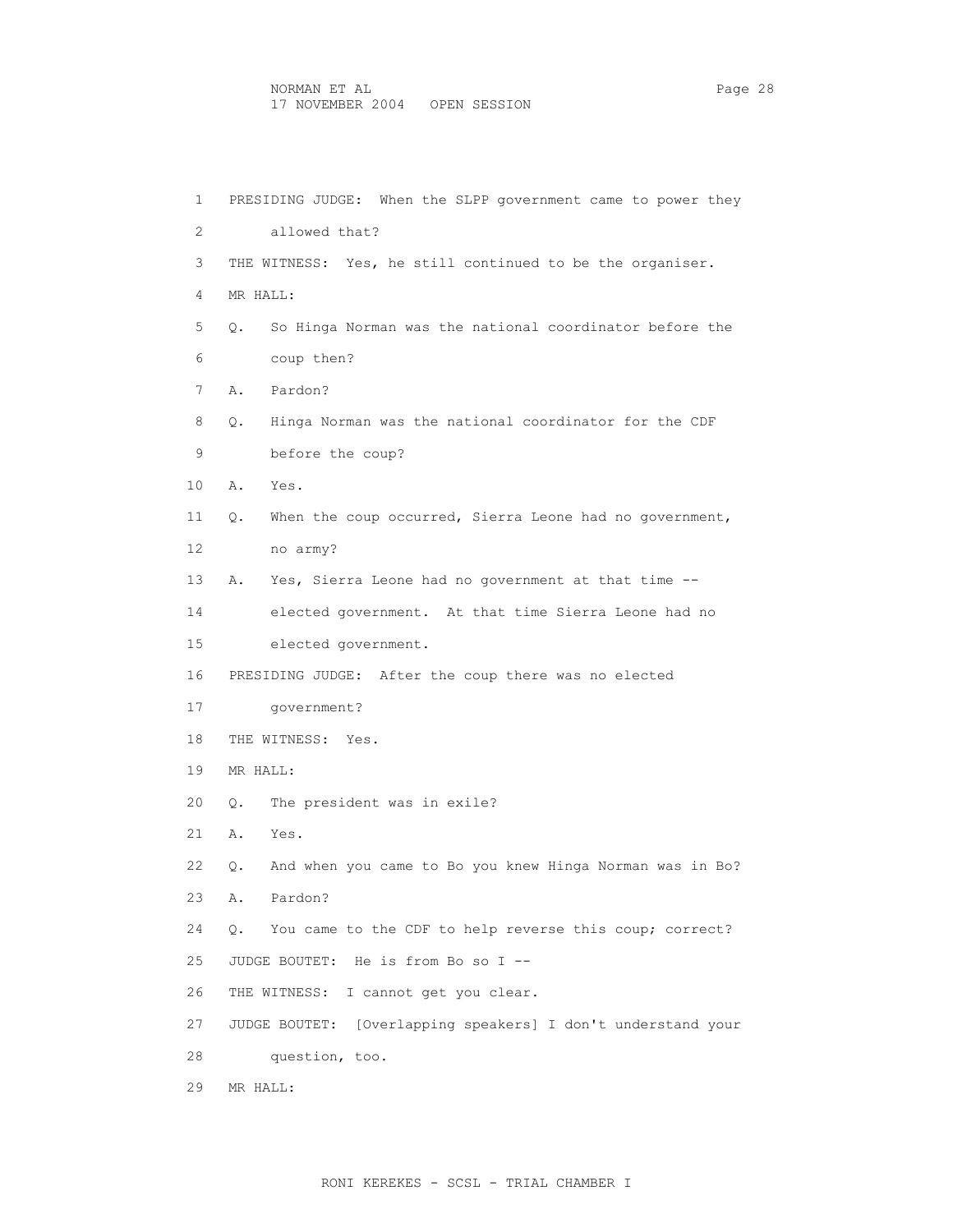|    | 1  | PRESIDING JUDGE: When the SLPP government came to power they   |
|----|----|----------------------------------------------------------------|
|    | 2  | allowed that?                                                  |
|    | 3  | THE WITNESS: Yes, he still continued to be the organiser.      |
|    | 4  | MR HALL:                                                       |
|    | 5  | So Hinga Norman was the national coordinator before the<br>Q.  |
|    | 6  | coup then?                                                     |
|    | 7  | Pardon?<br>A.                                                  |
|    | 8  | Hinga Norman was the national coordinator for the CDF<br>Q.    |
|    | 9  | before the coup?                                               |
| 10 |    | Α.<br>Yes.                                                     |
| 11 |    | When the coup occurred, Sierra Leone had no government,<br>Q.  |
| 12 |    | no army?                                                       |
| 13 |    | Yes, Sierra Leone had no government at that time --<br>Α.      |
| 14 |    | elected government. At that time Sierra Leone had no           |
| 15 |    | elected government.                                            |
| 16 |    | PRESIDING JUDGE: After the coup there was no elected           |
| 17 |    | qovernment?                                                    |
| 18 |    | THE WITNESS: Yes.                                              |
| 19 |    | MR HALL:                                                       |
| 20 |    | The president was in exile?<br>О.                              |
| 21 |    | Α.<br>Yes.                                                     |
| 22 |    | And when you came to Bo you knew Hinga Norman was in Bo?<br>Q. |
| 23 | Α. | Pardon?                                                        |
| 24 |    | You came to the CDF to help reverse this coup; correct?<br>Q.  |
| 25 |    | JUDGE BOUTET: He is from Bo so I --                            |
| 26 |    | THE WITNESS:<br>I cannot get you clear.                        |
| 27 |    | JUDGE BOUTET: [Overlapping speakers] I don't understand your   |
| 28 |    | question, too.                                                 |
| 29 |    | MR HALL:                                                       |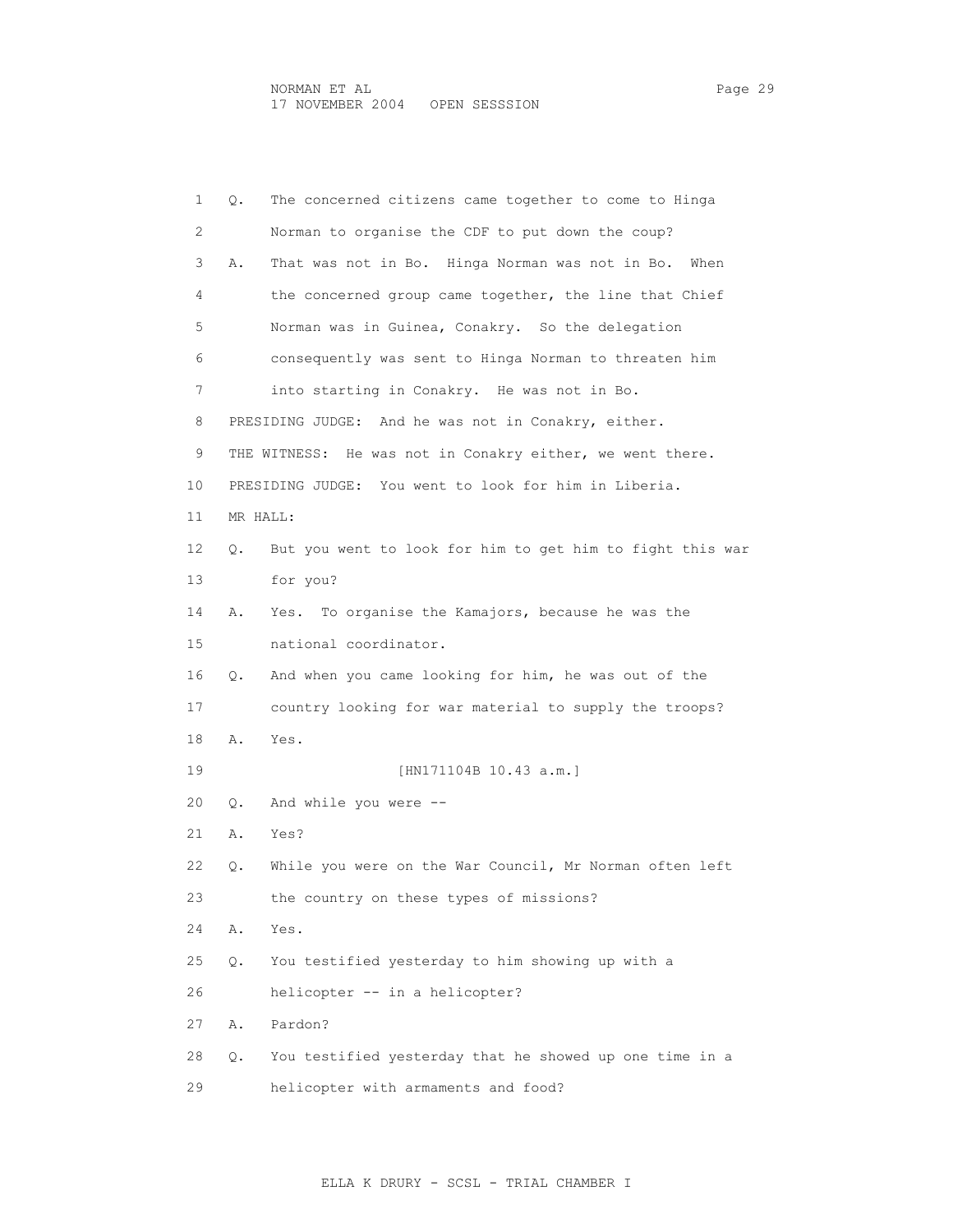1 Q. The concerned citizens came together to come to Hinga 2 Norman to organise the CDF to put down the coup? 3 A. That was not in Bo. Hinga Norman was not in Bo. When 4 the concerned group came together, the line that Chief 5 Norman was in Guinea, Conakry. So the delegation 6 consequently was sent to Hinga Norman to threaten him 7 into starting in Conakry. He was not in Bo. 8 PRESIDING JUDGE: And he was not in Conakry, either. 9 THE WITNESS: He was not in Conakry either, we went there. 10 PRESIDING JUDGE: You went to look for him in Liberia. 11 MR HALL: 12 Q. But you went to look for him to get him to fight this war 13 for you? 14 A. Yes. To organise the Kamajors, because he was the 15 national coordinator. 16 Q. And when you came looking for him, he was out of the 17 country looking for war material to supply the troops? 18 A. Yes. 19 [HN171104B 10.43 a.m.] 20 Q. And while you were -- 21 A. Yes? 22 Q. While you were on the War Council, Mr Norman often left 23 the country on these types of missions? 24 A. Yes. 25 Q. You testified yesterday to him showing up with a 26 helicopter -- in a helicopter? 27 A. Pardon? 28 Q. You testified yesterday that he showed up one time in a 29 helicopter with armaments and food?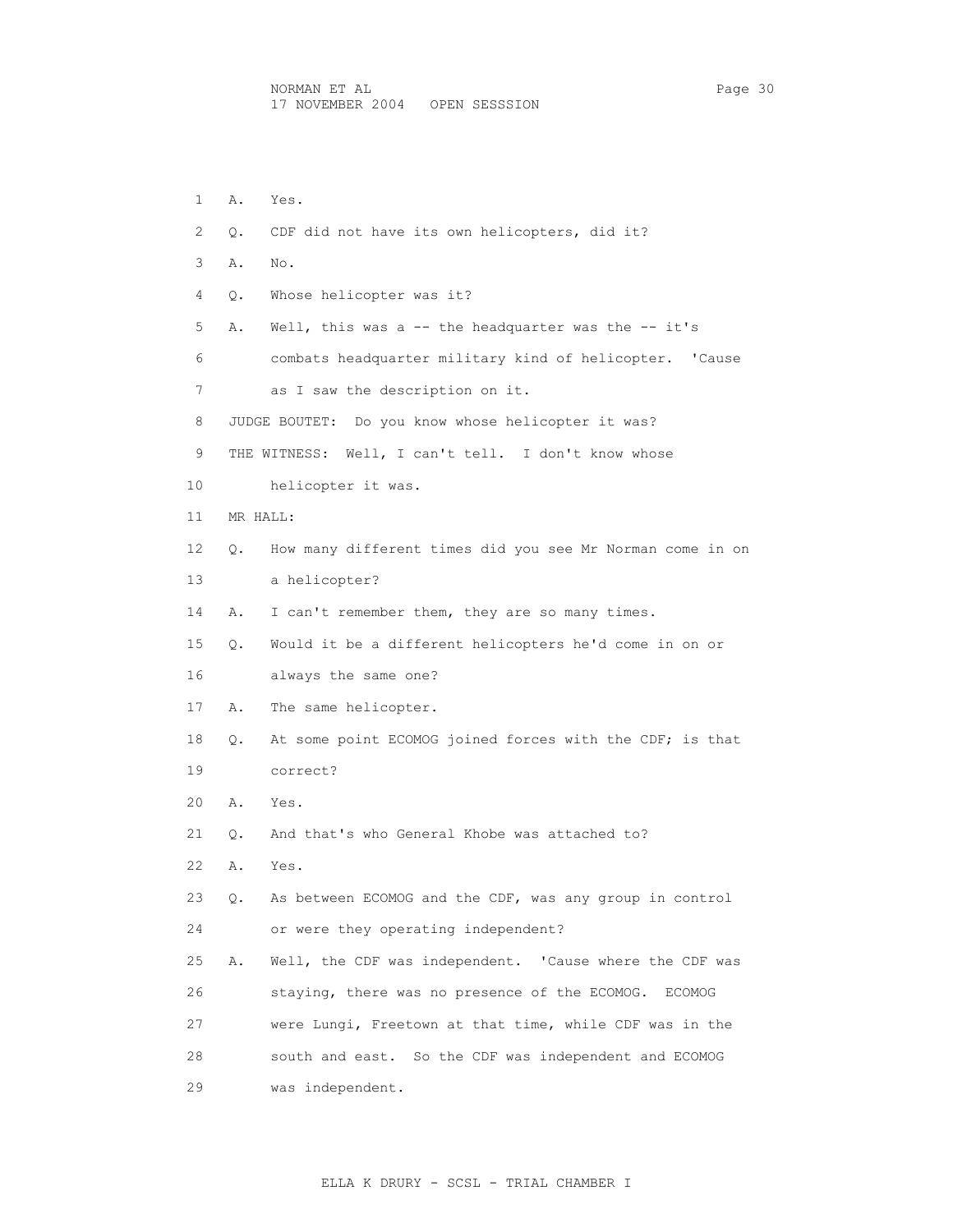1 A. Yes. 2 Q. CDF did not have its own helicopters, did it? 3 A. No. 4 Q. Whose helicopter was it? 5 A. Well, this was a -- the headquarter was the -- it's 6 combats headquarter military kind of helicopter. 'Cause 7 as I saw the description on it. 8 JUDGE BOUTET: Do you know whose helicopter it was? 9 THE WITNESS: Well, I can't tell. I don't know whose 10 helicopter it was. 11 MR HALL: 12 Q. How many different times did you see Mr Norman come in on 13 a helicopter? 14 A. I can't remember them, they are so many times. 15 Q. Would it be a different helicopters he'd come in on or 16 always the same one? 17 A. The same helicopter. 18 Q. At some point ECOMOG joined forces with the CDF; is that 19 correct? 20 A. Yes. 21 Q. And that's who General Khobe was attached to? 22 A. Yes. 23 Q. As between ECOMOG and the CDF, was any group in control 24 or were they operating independent? 25 A. Well, the CDF was independent. 'Cause where the CDF was 26 staying, there was no presence of the ECOMOG. ECOMOG 27 were Lungi, Freetown at that time, while CDF was in the 28 south and east. So the CDF was independent and ECOMOG 29 was independent.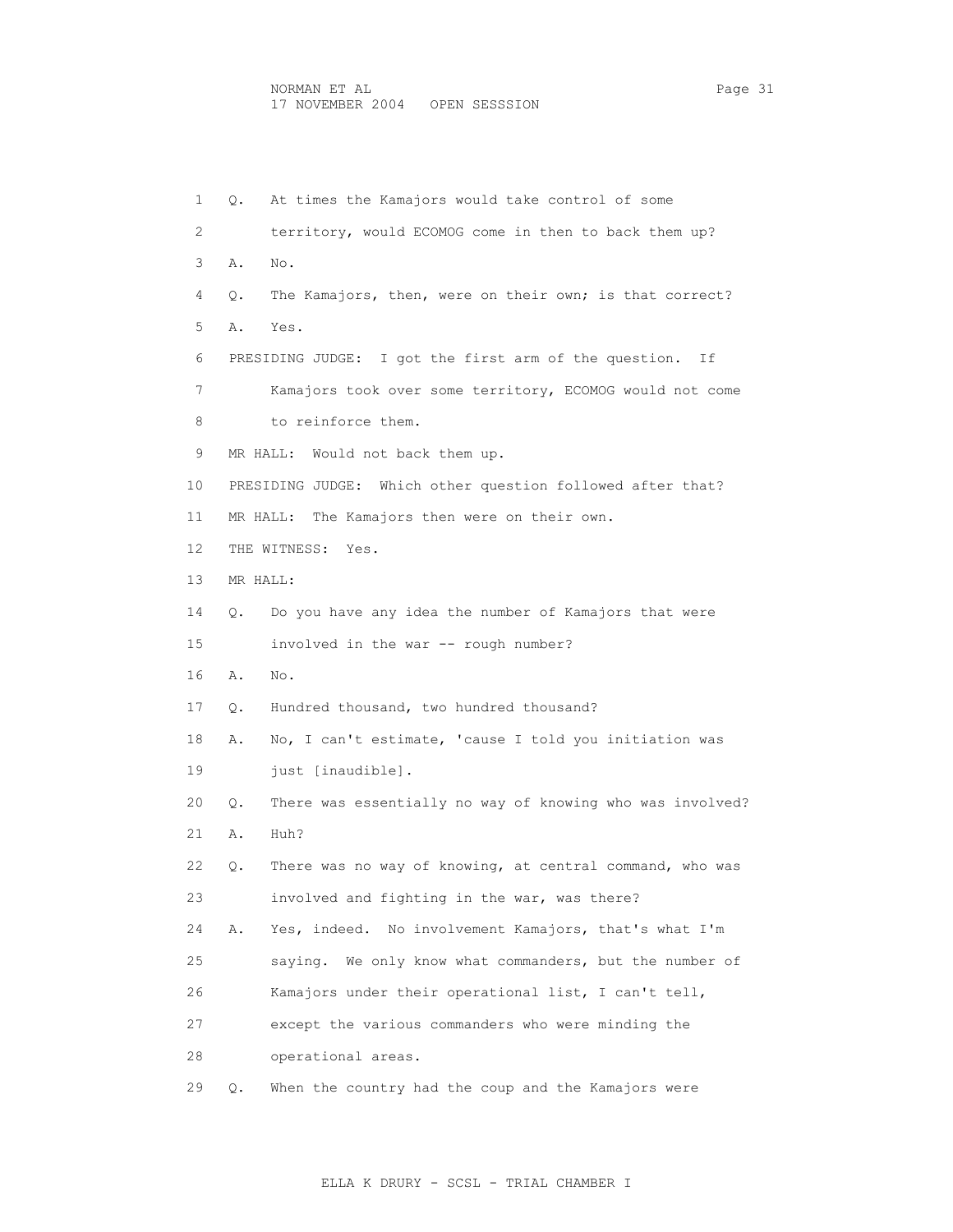1 Q. At times the Kamajors would take control of some 2 territory, would ECOMOG come in then to back them up? 3 A. No. 4 Q. The Kamajors, then, were on their own; is that correct? 5 A. Yes. 6 PRESIDING JUDGE: I got the first arm of the question. If 7 Kamajors took over some territory, ECOMOG would not come 8 to reinforce them. 9 MR HALL: Would not back them up. 10 PRESIDING JUDGE: Which other question followed after that? 11 MR HALL: The Kamajors then were on their own. 12 THE WITNESS: Yes. 13 MR HALL: 14 Q. Do you have any idea the number of Kamajors that were 15 involved in the war -- rough number? 16 A. No. 17 Q. Hundred thousand, two hundred thousand? 18 A. No, I can't estimate, 'cause I told you initiation was 19 just [inaudible]. 20 Q. There was essentially no way of knowing who was involved? 21 A. Huh? 22 Q. There was no way of knowing, at central command, who was 23 involved and fighting in the war, was there? 24 A. Yes, indeed. No involvement Kamajors, that's what I'm 25 saying. We only know what commanders, but the number of 26 Kamajors under their operational list, I can't tell, 27 except the various commanders who were minding the 28 operational areas. 29 Q. When the country had the coup and the Kamajors were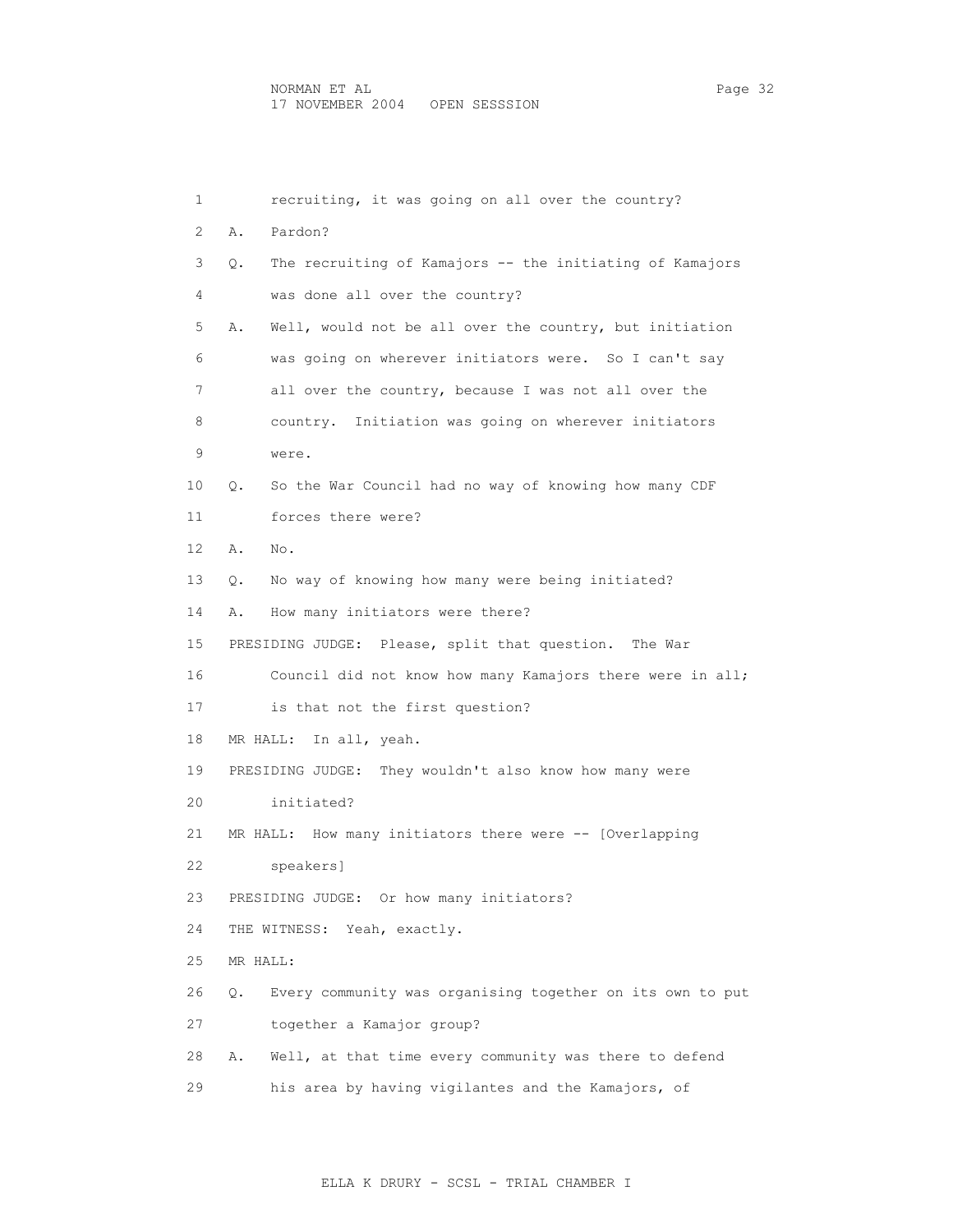| 1  | recruiting, it was going on all over the country?               |
|----|-----------------------------------------------------------------|
| 2  | Pardon?<br>Α.                                                   |
| 3  | The recruiting of Kamajors -- the initiating of Kamajors<br>Q.  |
| 4  | was done all over the country?                                  |
| 5  | Well, would not be all over the country, but initiation<br>Α.   |
| 6  | was going on wherever initiators were. So I can't say           |
| 7  | all over the country, because I was not all over the            |
| 8  | country. Initiation was going on wherever initiators            |
| 9  | were.                                                           |
| 10 | Q. So the War Council had no way of knowing how many CDF        |
| 11 | forces there were?                                              |
| 12 | No.<br>Α.                                                       |
| 13 | No way of knowing how many were being initiated?<br>Q.          |
| 14 | How many initiators were there?<br>Α.                           |
| 15 | PRESIDING JUDGE: Please, split that question. The War           |
| 16 | Council did not know how many Kamajors there were in all;       |
| 17 | is that not the first question?                                 |
| 18 | MR HALL: In all, yeah.                                          |
| 19 | PRESIDING JUDGE: They wouldn't also know how many were          |
| 20 | initiated?                                                      |
| 21 | MR HALL: How many initiators there were -- [Overlapping         |
| 22 | speakers]                                                       |
| 23 | PRESIDING JUDGE: Or how many initiators?                        |
| 24 | THE WITNESS: Yeah, exactly.                                     |
| 25 | MR HALL:                                                        |
| 26 | Every community was organising together on its own to put<br>Q. |
| 27 | together a Kamajor group?                                       |
| 28 | Well, at that time every community was there to defend<br>Α.    |
| 29 | his area by having vigilantes and the Kamajors, of              |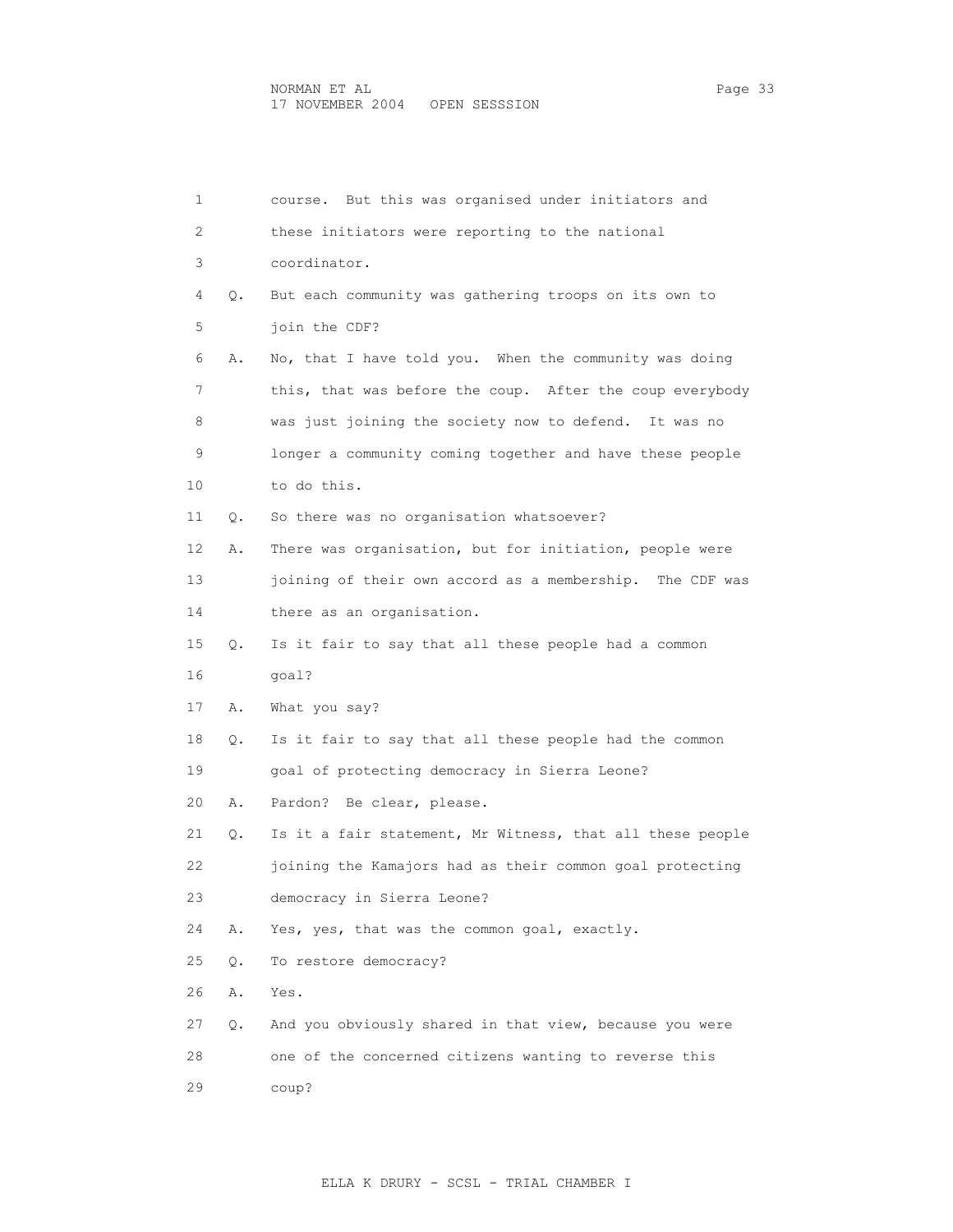| 1  |    | But this was organised under initiators and<br>course.    |
|----|----|-----------------------------------------------------------|
| 2  |    | these initiators were reporting to the national           |
| 3  |    | coordinator.                                              |
| 4  | Q. | But each community was gathering troops on its own to     |
| 5  |    | join the CDF?                                             |
| 6  | Α. | No, that I have told you. When the community was doing    |
| 7  |    | this, that was before the coup. After the coup everybody  |
| 8  |    | was just joining the society now to defend. It was no     |
| 9  |    | longer a community coming together and have these people  |
| 10 |    | to do this.                                               |
| 11 | Q. | So there was no organisation whatsoever?                  |
| 12 | Α. | There was organisation, but for initiation, people were   |
| 13 |    | joining of their own accord as a membership. The CDF was  |
| 14 |    | there as an organisation.                                 |
| 15 | Q. | Is it fair to say that all these people had a common      |
| 16 |    | qoal?                                                     |
| 17 | Α. | What you say?                                             |
| 18 | Q. | Is it fair to say that all these people had the common    |
| 19 |    | goal of protecting democracy in Sierra Leone?             |
| 20 | Α. | Pardon? Be clear, please.                                 |
| 21 | Q. | Is it a fair statement, Mr Witness, that all these people |
| 22 |    | joining the Kamajors had as their common goal protecting  |
| 23 |    | democracy in Sierra Leone?                                |
| 24 | Α. | Yes, yes, that was the common goal, exactly.              |
| 25 | Q. | To restore democracy?                                     |
| 26 | Α. | Yes.                                                      |
| 27 | О. | And you obviously shared in that view, because you were   |
| 28 |    | one of the concerned citizens wanting to reverse this     |
| 29 |    | coup?                                                     |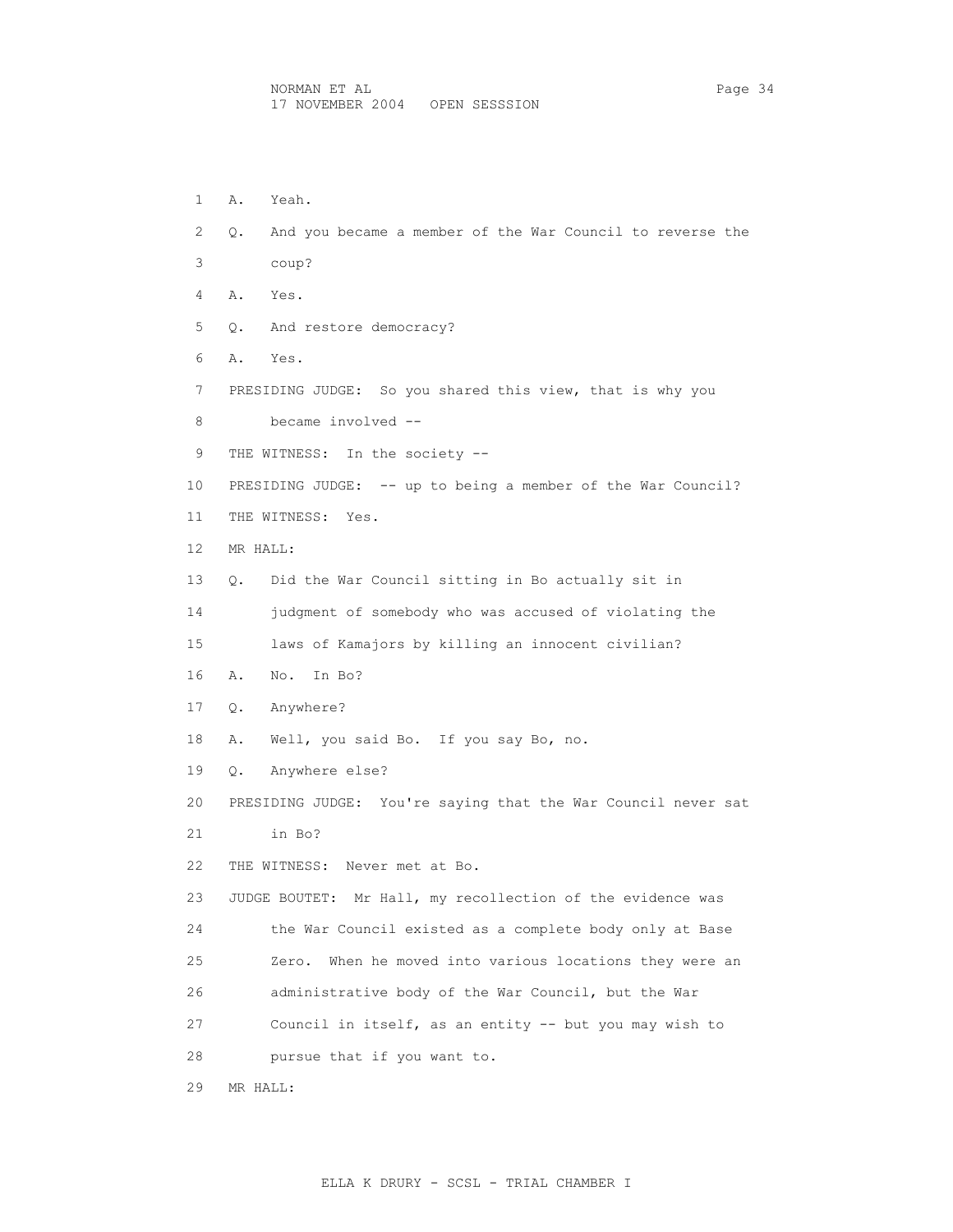1 A. Yeah. 2 Q. And you became a member of the War Council to reverse the 3 coup? 4 A. Yes. 5 Q. And restore democracy? 6 A. Yes. 7 PRESIDING JUDGE: So you shared this view, that is why you 8 became involved -- 9 THE WITNESS: In the society -- 10 PRESIDING JUDGE: -- up to being a member of the War Council? 11 THE WITNESS: Yes. 12 MR HALL: 13 Q. Did the War Council sitting in Bo actually sit in 14 judgment of somebody who was accused of violating the 15 laws of Kamajors by killing an innocent civilian? 16 A. No. In Bo? 17 Q. Anywhere? 18 A. Well, you said Bo. If you say Bo, no. 19 Q. Anywhere else? 20 PRESIDING JUDGE: You're saying that the War Council never sat 21 in Bo? 22 THE WITNESS: Never met at Bo. 23 JUDGE BOUTET: Mr Hall, my recollection of the evidence was 24 the War Council existed as a complete body only at Base 25 Zero. When he moved into various locations they were an 26 administrative body of the War Council, but the War 27 Council in itself, as an entity -- but you may wish to 28 pursue that if you want to.

29 MR HALL: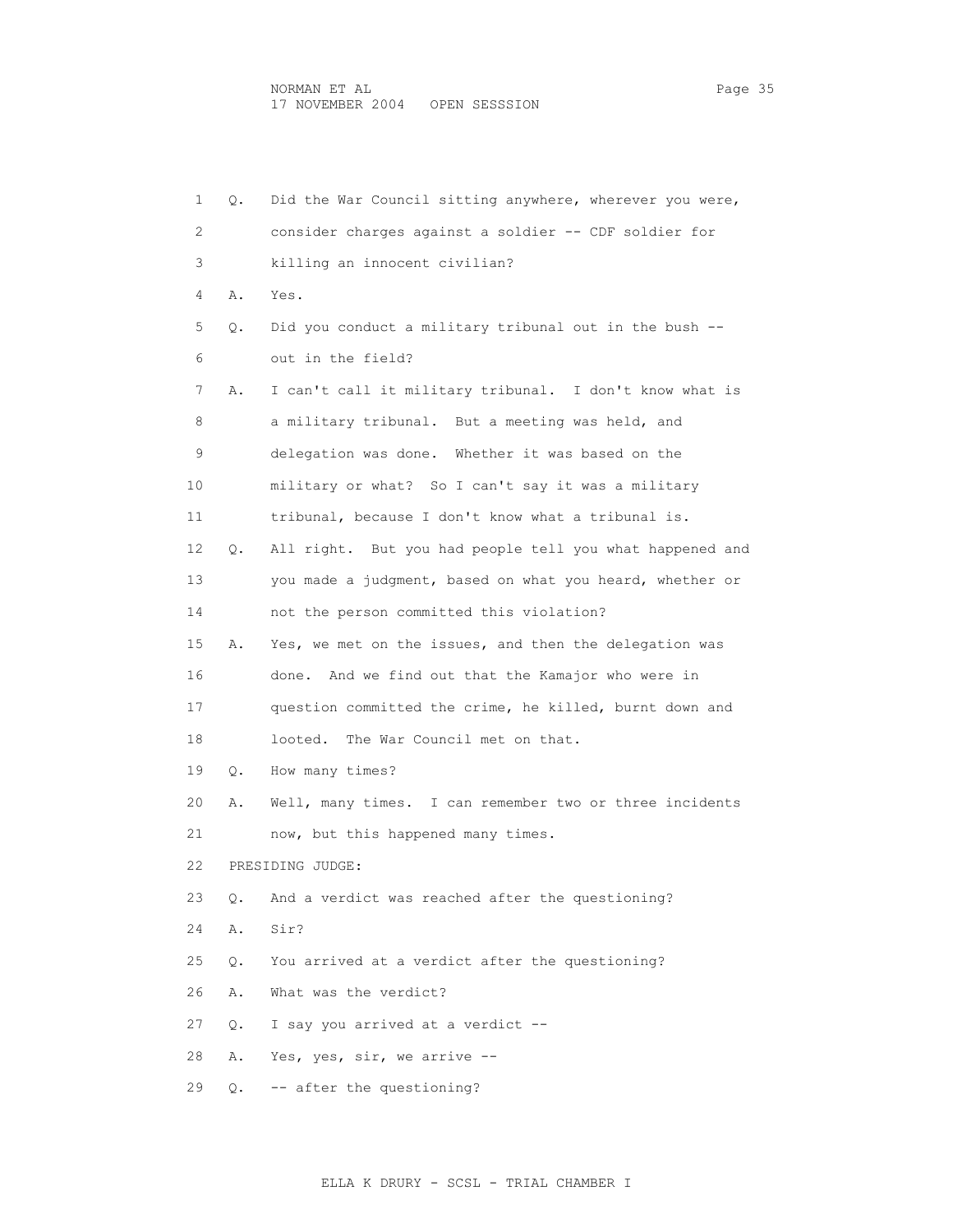| 1  | О. | Did the War Council sitting anywhere, wherever you were, |
|----|----|----------------------------------------------------------|
| 2  |    | consider charges against a soldier -- CDF soldier for    |
| 3  |    | killing an innocent civilian?                            |
| 4  | Α. | Yes.                                                     |
| 5  | Q. | Did you conduct a military tribunal out in the bush --   |
| 6  |    | out in the field?                                        |
| 7  | Α. | I can't call it military tribunal. I don't know what is  |
| 8  |    | a military tribunal. But a meeting was held, and         |
| 9  |    | delegation was done. Whether it was based on the         |
| 10 |    | military or what? So I can't say it was a military       |
| 11 |    | tribunal, because I don't know what a tribunal is.       |
| 12 | Q. | All right. But you had people tell you what happened and |
| 13 |    | you made a judgment, based on what you heard, whether or |
| 14 |    | not the person committed this violation?                 |
| 15 | Α. | Yes, we met on the issues, and then the delegation was   |
| 16 |    | done. And we find out that the Kamajor who were in       |
| 17 |    | question committed the crime, he killed, burnt down and  |
| 18 |    | looted.<br>The War Council met on that.                  |
| 19 | Q. | How many times?                                          |
| 20 | Α. | Well, many times. I can remember two or three incidents  |
| 21 |    | now, but this happened many times.                       |
| 22 |    | PRESIDING JUDGE:                                         |
| 23 | О. | And a verdict was reached after the questioning?         |
| 24 | Α. | Sir?                                                     |
| 25 | Q. | You arrived at a verdict after the questioning?          |
| 26 | Α. | What was the verdict?                                    |
| 27 | Q. | I say you arrived at a verdict --                        |
| 28 | Α. | Yes, yes, sir, we arrive --                              |
| 29 | Q. | -- after the questioning?                                |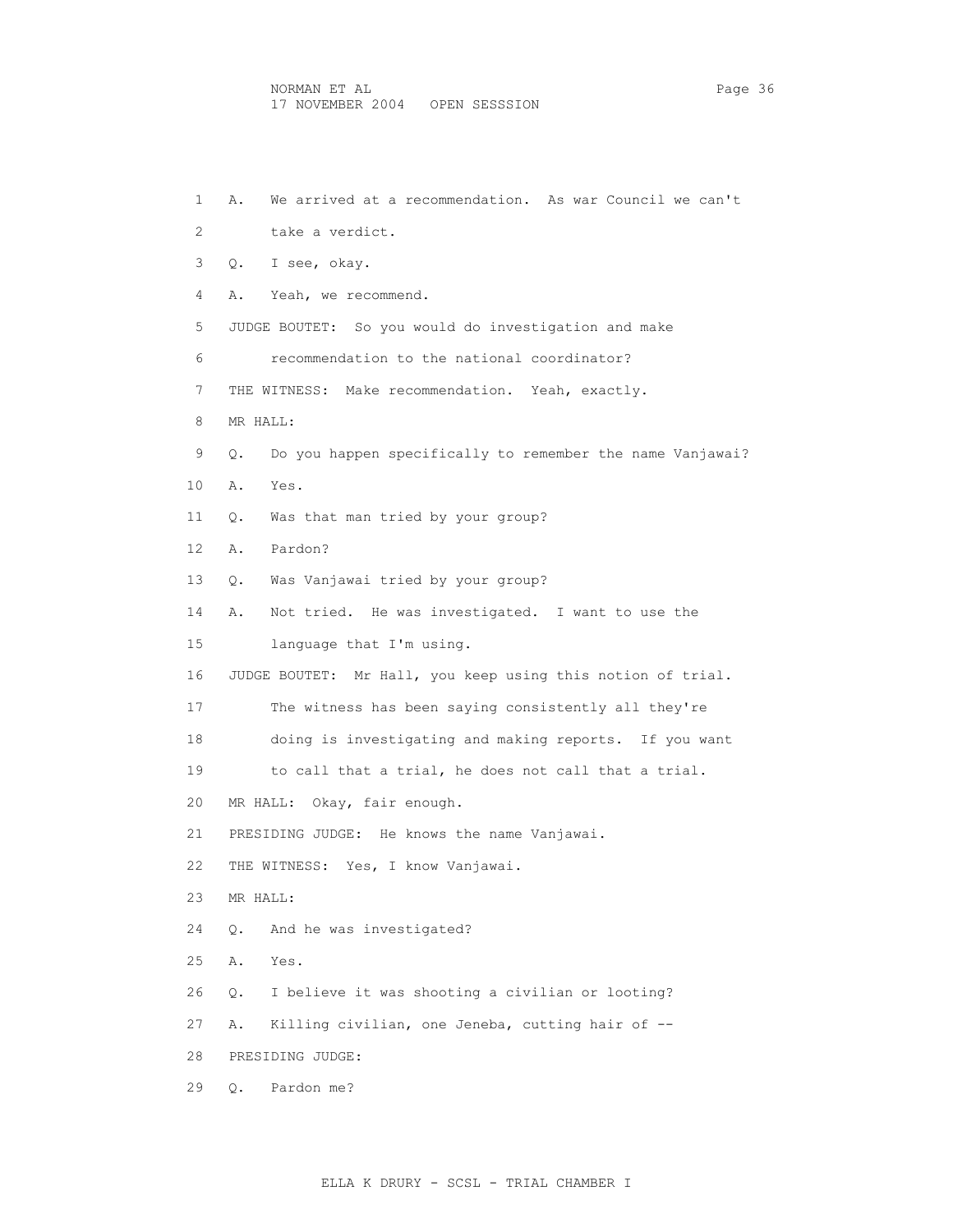1 A. We arrived at a recommendation. As war Council we can't 2 take a verdict. 3 Q. I see, okay. 4 A. Yeah, we recommend. 5 JUDGE BOUTET: So you would do investigation and make 6 recommendation to the national coordinator? 7 THE WITNESS: Make recommendation. Yeah, exactly. 8 MR HALL: 9 Q. Do you happen specifically to remember the name Vanjawai? 10 A. Yes. 11 Q. Was that man tried by your group? 12 A. Pardon? 13 Q. Was Vanjawai tried by your group? 14 A. Not tried. He was investigated. I want to use the 15 language that I'm using. 16 JUDGE BOUTET: Mr Hall, you keep using this notion of trial. 17 The witness has been saying consistently all they're 18 doing is investigating and making reports. If you want 19 to call that a trial, he does not call that a trial. 20 MR HALL: Okay, fair enough. 21 PRESIDING JUDGE: He knows the name Vanjawai. 22 THE WITNESS: Yes, I know Vanjawai. 23 MR HALL: 24 Q. And he was investigated? 25 A. Yes. 26 Q. I believe it was shooting a civilian or looting? 27 A. Killing civilian, one Jeneba, cutting hair of -- 28 PRESIDING JUDGE: 29 Q. Pardon me?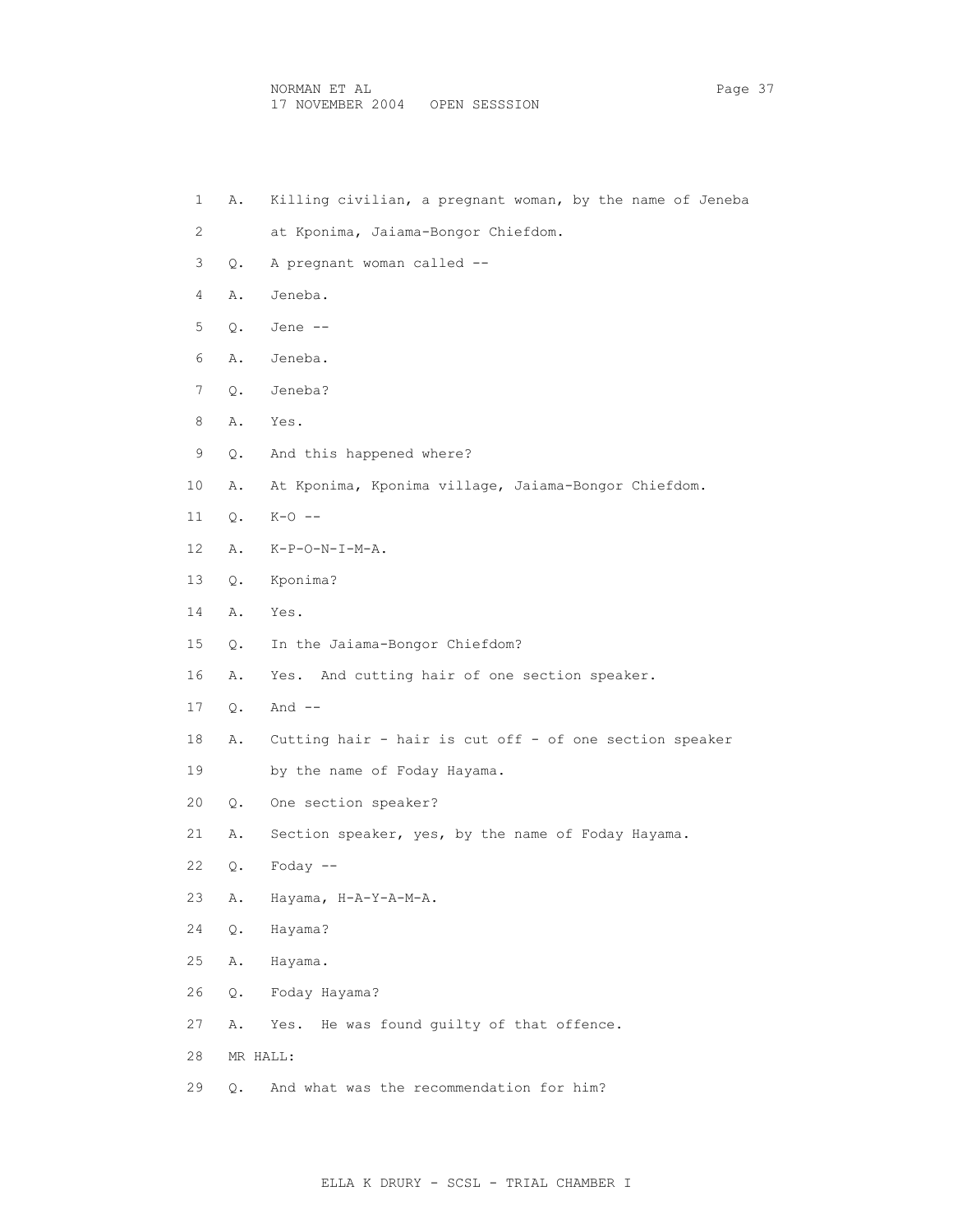- 1 A. Killing civilian, a pregnant woman, by the name of Jeneba
- 2 at Kponima, Jaiama-Bongor Chiefdom.
- 3 Q. A pregnant woman called --
- 4 A. Jeneba.
- 5 Q. Jene --
- 6 A. Jeneba.
- 7 Q. Jeneba?
- 8 A. Yes.
- 9 Q. And this happened where?
- 10 A. At Kponima, Kponima village, Jaiama-Bongor Chiefdom.
- 11 Q. K-O --
- 12 A. K-P-O-N-I-M-A.
- 13 Q. Kponima?
- 14 A. Yes.
- 15 Q. In the Jaiama-Bongor Chiefdom?
- 16 A. Yes. And cutting hair of one section speaker.
- 17 Q. And --
- 18 A. Cutting hair hair is cut off of one section speaker
- 19 by the name of Foday Hayama.
- 20 Q. One section speaker?
- 21 A. Section speaker, yes, by the name of Foday Hayama.
- 22 Q. Foday --
- 23 A. Hayama, H-A-Y-A-M-A.
- 24 Q. Hayama?
- 25 A. Hayama.
- 26 Q. Foday Hayama?
- 27 A. Yes. He was found guilty of that offence.
- 28 MR HALL:
- 29 Q. And what was the recommendation for him?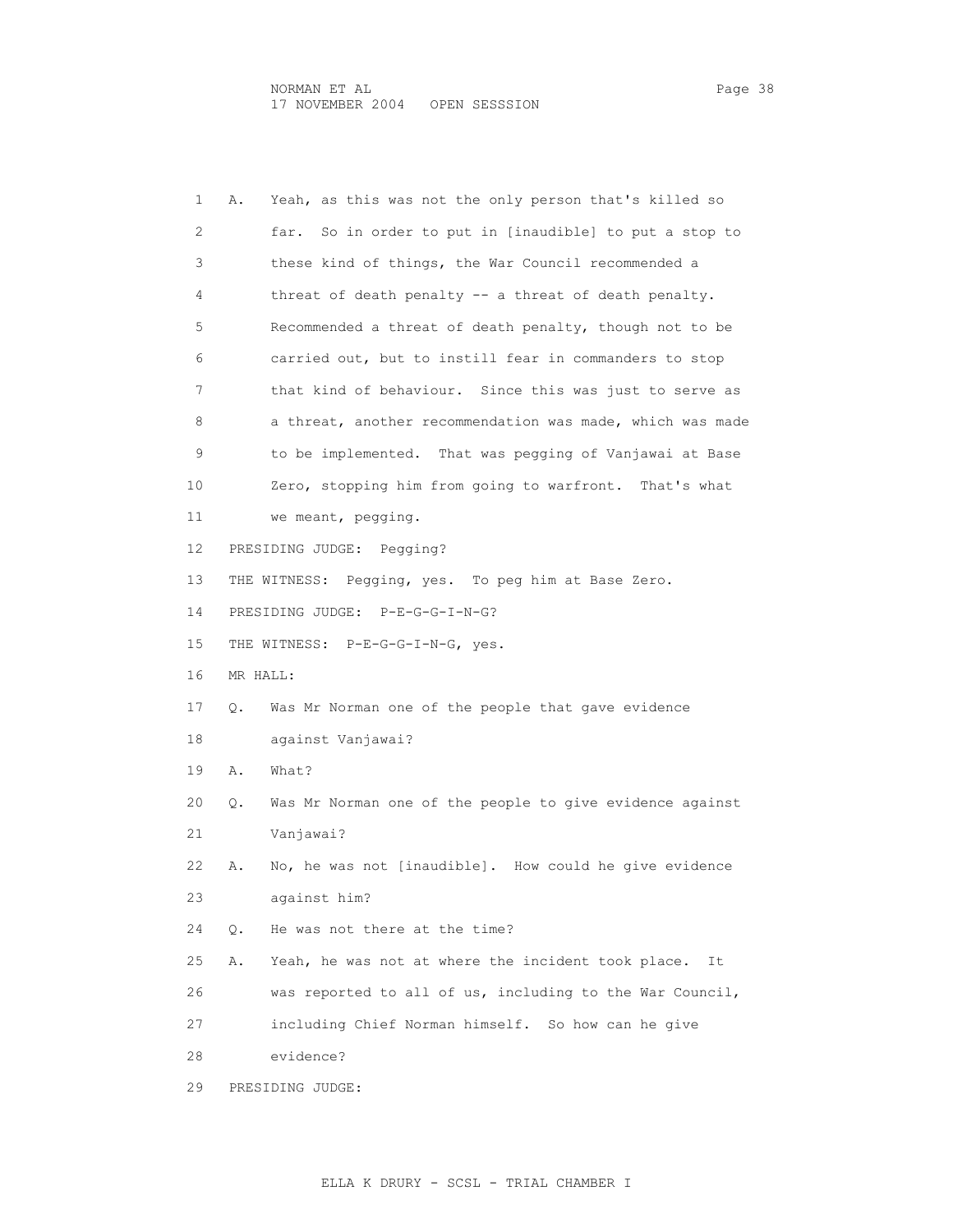| 1  | Α.       | Yeah, as this was not the only person that's killed so     |
|----|----------|------------------------------------------------------------|
| 2  |          | So in order to put in [inaudible] to put a stop to<br>far. |
| 3  |          | these kind of things, the War Council recommended a        |
| 4  |          | threat of death penalty -- a threat of death penalty.      |
| 5  |          | Recommended a threat of death penalty, though not to be    |
| 6  |          | carried out, but to instill fear in commanders to stop     |
| 7  |          | that kind of behaviour. Since this was just to serve as    |
| 8  |          | a threat, another recommendation was made, which was made  |
| 9  |          | to be implemented. That was pegging of Vanjawai at Base    |
| 10 |          | Zero, stopping him from going to warfront. That's what     |
| 11 |          | we meant, pegging.                                         |
| 12 |          | PRESIDING JUDGE:<br>Pegging?                               |
| 13 |          | THE WITNESS: Pegging, yes. To peg him at Base Zero.        |
| 14 |          | PRESIDING JUDGE: P-E-G-G-I-N-G?                            |
| 15 |          | THE WITNESS: P-E-G-G-I-N-G, yes.                           |
| 16 | MR HALL: |                                                            |
| 17 | Q.       | Was Mr Norman one of the people that gave evidence         |
| 18 |          | against Vanjawai?                                          |
| 19 | Α.       | What?                                                      |
| 20 | Q.       | Was Mr Norman one of the people to give evidence against   |
| 21 |          | Vanjawai?                                                  |
| 22 | Α.       | No, he was not [inaudible]. How could he give evidence     |
| 23 |          | against him?                                               |
| 24 | Q.       | He was not there at the time?                              |
| 25 | Α.       | Yeah, he was not at where the incident took place. It      |
| 26 |          | was reported to all of us, including to the War Council,   |
| 27 |          | including Chief Norman himself. So how can he give         |
| 28 |          | evidence?                                                  |
| 29 |          | PRESIDING JUDGE:                                           |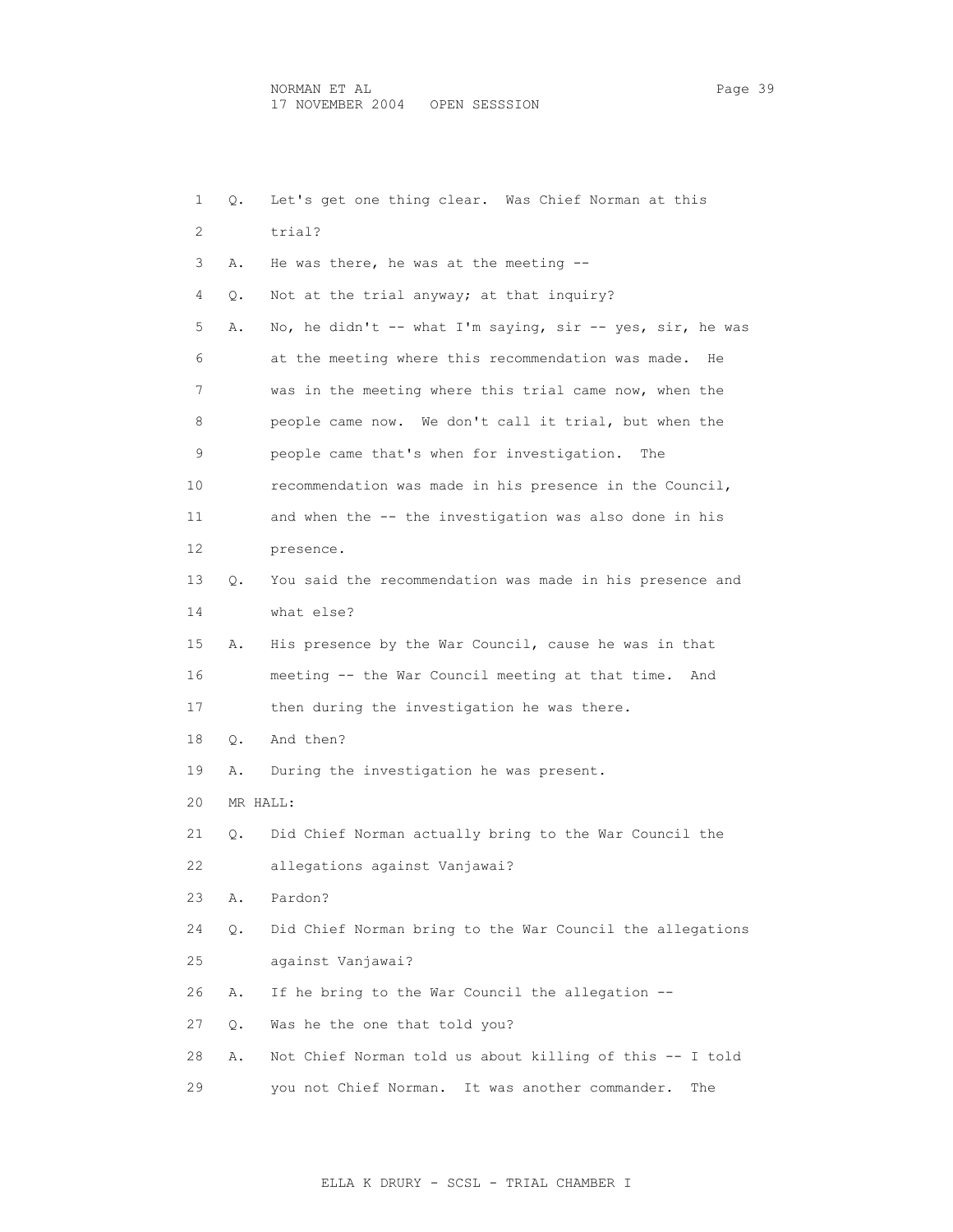| 1  | Q.        | Let's get one thing clear. Was Chief Norman at this       |
|----|-----------|-----------------------------------------------------------|
| 2  |           | trial?                                                    |
| 3  | Α.        | He was there, he was at the meeting $-$ -                 |
| 4  | Q.        | Not at the trial anyway; at that inquiry?                 |
| 5  | Α.        | No, he didn't -- what I'm saying, sir -- yes, sir, he was |
| 6  |           | at the meeting where this recommendation was made.<br>He  |
| 7  |           | was in the meeting where this trial came now, when the    |
| 8  |           | people came now. We don't call it trial, but when the     |
| 9  |           | people came that's when for investigation.<br>The         |
| 10 |           | recommendation was made in his presence in the Council,   |
| 11 |           | and when the -- the investigation was also done in his    |
| 12 |           | presence.                                                 |
| 13 | Q.        | You said the recommendation was made in his presence and  |
| 14 |           | what else?                                                |
| 15 | Α.        | His presence by the War Council, cause he was in that     |
| 16 |           | meeting -- the War Council meeting at that time. And      |
| 17 |           | then during the investigation he was there.               |
| 18 | Q.        | And then?                                                 |
| 19 | Α.        | During the investigation he was present.                  |
| 20 | MR HALL:  |                                                           |
| 21 | $\circ$ . | Did Chief Norman actually bring to the War Council the    |
| 22 |           | allegations against Vanjawai?                             |
| 23 | Α.        | Pardon?                                                   |
| 24 | Q.        | Did Chief Norman bring to the War Council the allegations |
| 25 |           | against Vanjawai?                                         |
| 26 | Α.        | If he bring to the War Council the allegation --          |
| 27 | Q.        | Was he the one that told you?                             |
| 28 | Α.        | Not Chief Norman told us about killing of this -- I told  |
| 29 |           | you not Chief Norman. It was another commander.<br>The    |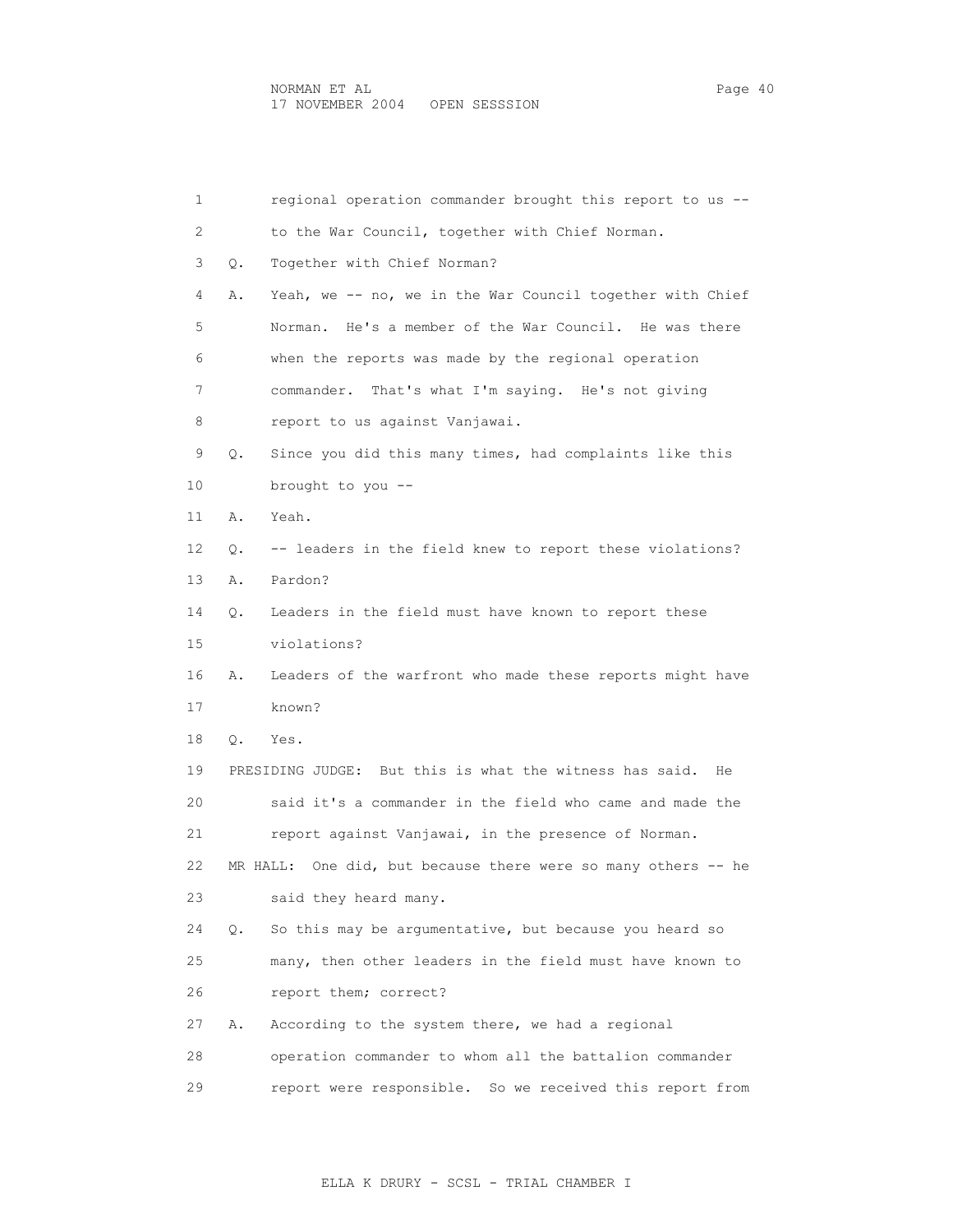| 1  |           | regional operation commander brought this report to us --     |
|----|-----------|---------------------------------------------------------------|
| 2  |           | to the War Council, together with Chief Norman.               |
| 3  | Q.        | Together with Chief Norman?                                   |
| 4  | Α.        | Yeah, we -- no, we in the War Council together with Chief     |
| 5  |           | He's a member of the War Council. He was there<br>Norman.     |
| 6  |           | when the reports was made by the regional operation           |
| 7  |           | commander. That's what I'm saying. He's not giving            |
| 8  |           | report to us against Vanjawai.                                |
| 9  | $\circ$ . | Since you did this many times, had complaints like this       |
| 10 |           | brought to you --                                             |
| 11 | Α.        | Yeah.                                                         |
| 12 | О.        | -- leaders in the field knew to report these violations?      |
| 13 | Α.        | Pardon?                                                       |
| 14 | Q.        | Leaders in the field must have known to report these          |
| 15 |           | violations?                                                   |
| 16 | Α.        | Leaders of the warfront who made these reports might have     |
| 17 |           | known?                                                        |
| 18 | Q.        | Yes.                                                          |
| 19 |           | PRESIDING JUDGE: But this is what the witness has said.<br>He |
| 20 |           | said it's a commander in the field who came and made the      |
| 21 |           | report against Vanjawai, in the presence of Norman.           |
| 22 |           | MR HALL: One did, but because there were so many others -- he |
| 23 |           | said they heard many.                                         |
| 24 | Q.        | So this may be argumentative, but because you heard so        |
| 25 |           | many, then other leaders in the field must have known to      |
| 26 |           | report them; correct?                                         |
| 27 | Α.        | According to the system there, we had a regional              |
| 28 |           | operation commander to whom all the battalion commander       |
| 29 |           | report were responsible. So we received this report from      |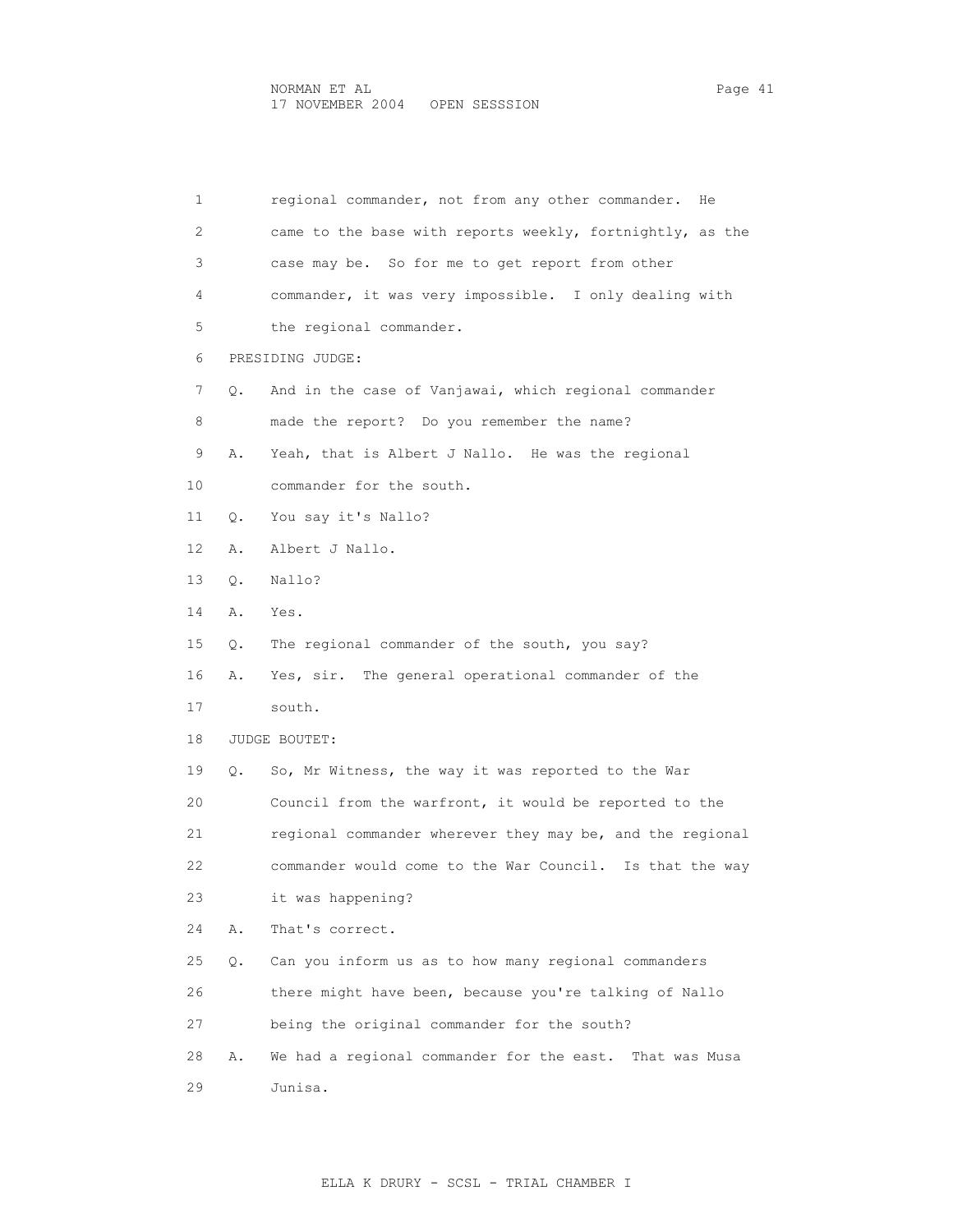1 regional commander, not from any other commander. He 2 came to the base with reports weekly, fortnightly, as the 3 case may be. So for me to get report from other 4 commander, it was very impossible. I only dealing with 5 the regional commander. 6 PRESIDING JUDGE: 7 Q. And in the case of Vanjawai, which regional commander 8 made the report? Do you remember the name? 9 A. Yeah, that is Albert J Nallo. He was the regional 10 commander for the south. 11 Q. You say it's Nallo? 12 A. Albert J Nallo. 13 Q. Nallo? 14 A. Yes. 15 Q. The regional commander of the south, you say? 16 A. Yes, sir. The general operational commander of the 17 south. 18 JUDGE BOUTET: 19 Q. So, Mr Witness, the way it was reported to the War 20 Council from the warfront, it would be reported to the 21 regional commander wherever they may be, and the regional 22 commander would come to the War Council. Is that the way 23 it was happening? 24 A. That's correct. 25 Q. Can you inform us as to how many regional commanders 26 there might have been, because you're talking of Nallo 27 being the original commander for the south? 28 A. We had a regional commander for the east. That was Musa 29 Junisa.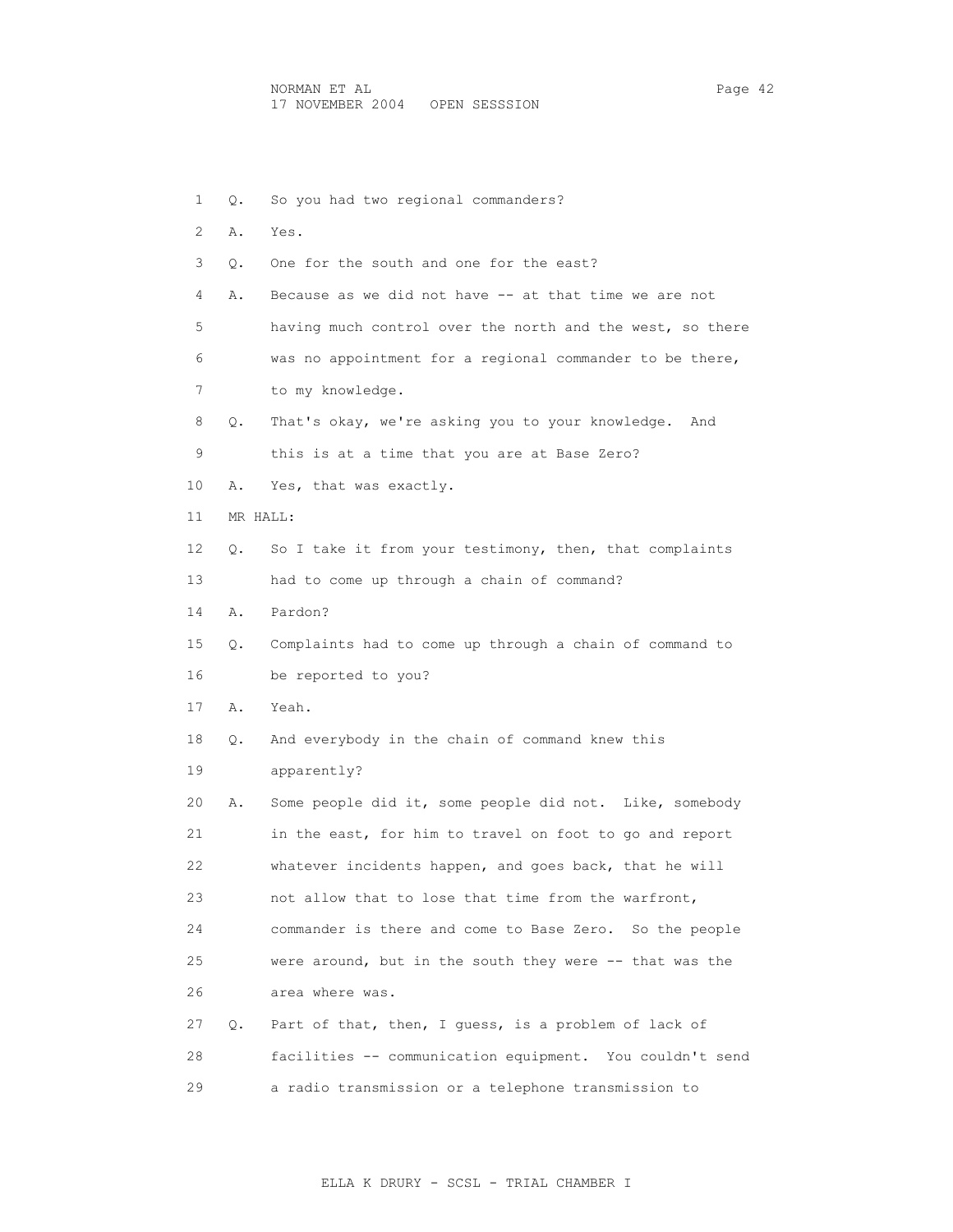1 Q. So you had two regional commanders? 2 A. Yes. 3 Q. One for the south and one for the east? 4 A. Because as we did not have -- at that time we are not 5 having much control over the north and the west, so there 6 was no appointment for a regional commander to be there, 7 to my knowledge. 8 Q. That's okay, we're asking you to your knowledge. And 9 this is at a time that you are at Base Zero? 10 A. Yes, that was exactly. 11 MR HALL: 12 Q. So I take it from your testimony, then, that complaints 13 had to come up through a chain of command? 14 A. Pardon? 15 Q. Complaints had to come up through a chain of command to 16 be reported to you? 17 A. Yeah. 18 Q. And everybody in the chain of command knew this 19 apparently? 20 A. Some people did it, some people did not. Like, somebody 21 in the east, for him to travel on foot to go and report 22 whatever incidents happen, and goes back, that he will 23 not allow that to lose that time from the warfront, 24 commander is there and come to Base Zero. So the people 25 were around, but in the south they were -- that was the 26 area where was. 27 Q. Part of that, then, I guess, is a problem of lack of 28 facilities -- communication equipment. You couldn't send 29 a radio transmission or a telephone transmission to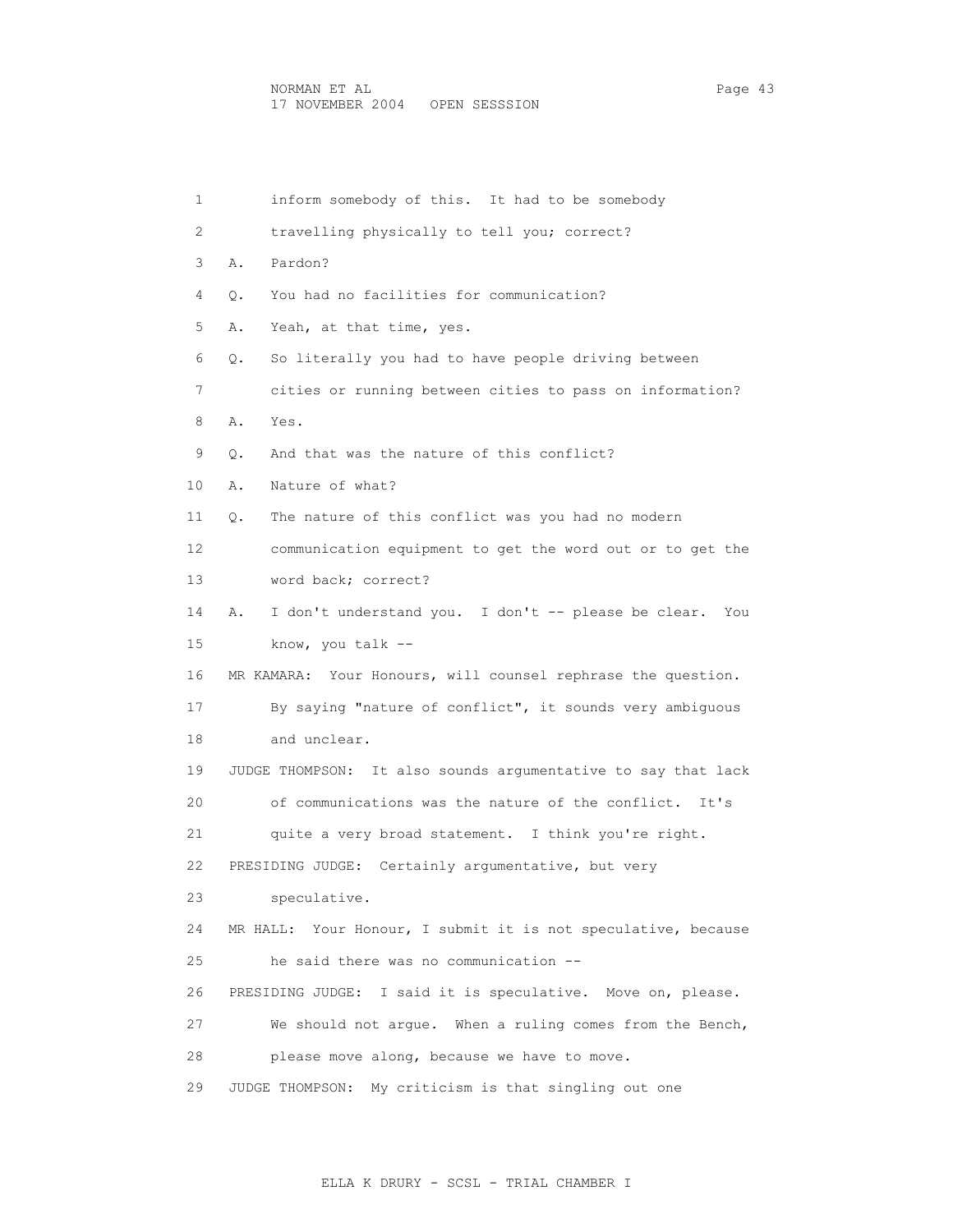1 inform somebody of this. It had to be somebody 2 travelling physically to tell you; correct? 3 A. Pardon? 4 Q. You had no facilities for communication? 5 A. Yeah, at that time, yes. 6 Q. So literally you had to have people driving between 7 cities or running between cities to pass on information? 8 A. Yes. 9 0. And that was the nature of this conflict? 10 A. Nature of what? 11 Q. The nature of this conflict was you had no modern 12 communication equipment to get the word out or to get the 13 word back; correct? 14 A. I don't understand you. I don't -- please be clear. You 15 know, you talk -- 16 MR KAMARA: Your Honours, will counsel rephrase the question. 17 By saying "nature of conflict", it sounds very ambiguous 18 and unclear. 19 JUDGE THOMPSON: It also sounds argumentative to say that lack 20 of communications was the nature of the conflict. It's 21 quite a very broad statement. I think you're right. 22 PRESIDING JUDGE: Certainly argumentative, but very 23 speculative. 24 MR HALL: Your Honour, I submit it is not speculative, because 25 he said there was no communication -- 26 PRESIDING JUDGE: I said it is speculative. Move on, please. 27 We should not argue. When a ruling comes from the Bench, 28 please move along, because we have to move. 29 JUDGE THOMPSON: My criticism is that singling out one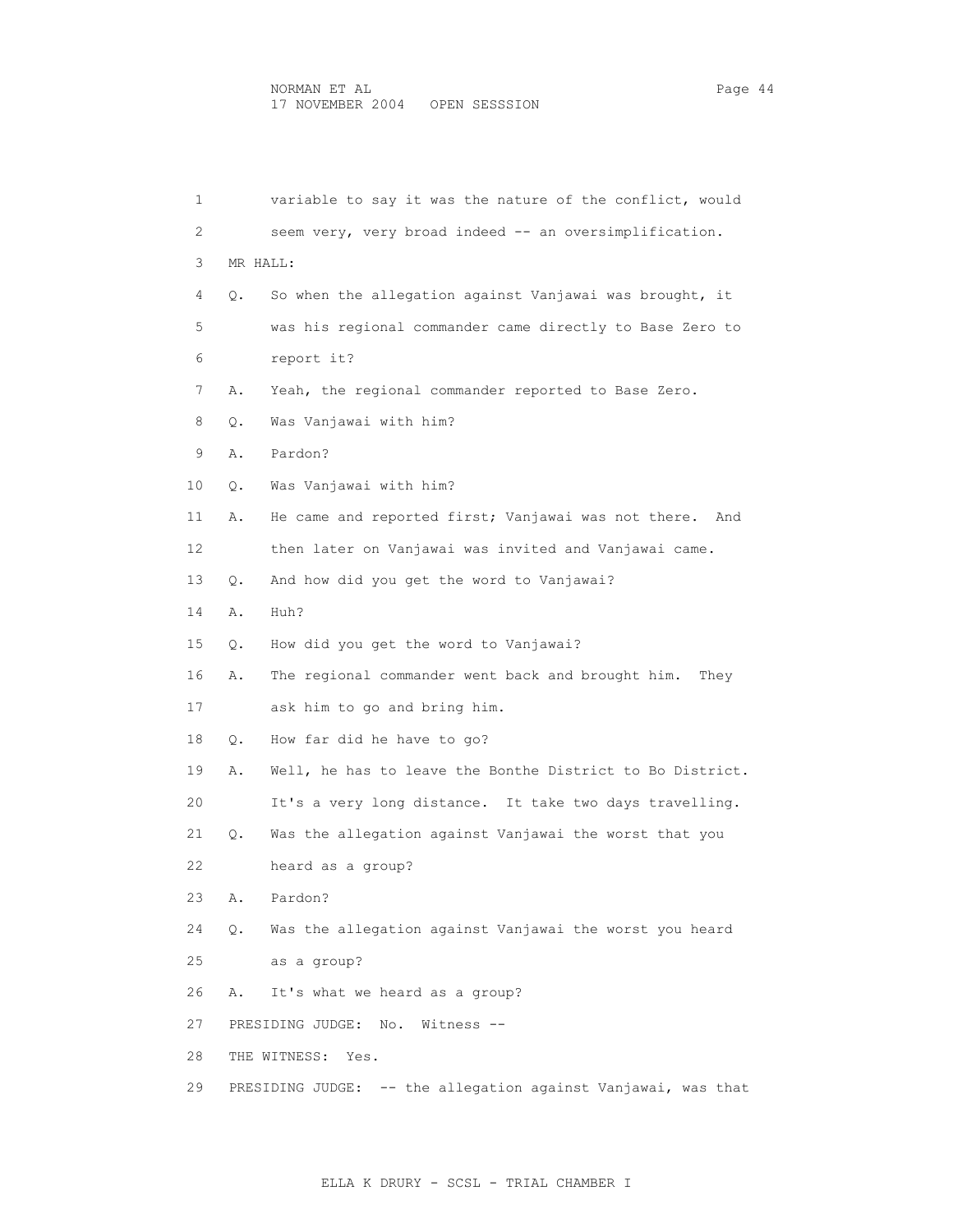| 1  |          | variable to say it was the nature of the conflict, would      |
|----|----------|---------------------------------------------------------------|
| 2  |          | seem very, very broad indeed -- an oversimplification.        |
| 3  | MR HALL: |                                                               |
| 4  | Q.       | So when the allegation against Vanjawai was brought, it       |
| 5  |          | was his regional commander came directly to Base Zero to      |
| 6  |          | report it?                                                    |
| 7  | Α.       | Yeah, the regional commander reported to Base Zero.           |
| 8  | Q.       | Was Vanjawai with him?                                        |
| 9  | Α.       | Pardon?                                                       |
| 10 | Q.       | Was Vanjawai with him?                                        |
| 11 | Α.       | He came and reported first; Vanjawai was not there.<br>And    |
| 12 |          | then later on Vanjawai was invited and Vanjawai came.         |
| 13 | Q.       | And how did you get the word to Vanjawai?                     |
| 14 | Α.       | Huh?                                                          |
| 15 | Q.       | How did you get the word to Vanjawai?                         |
| 16 | Α.       | The regional commander went back and brought him.<br>They     |
| 17 |          | ask him to go and bring him.                                  |
| 18 | Q.       | How far did he have to go?                                    |
| 19 | Α.       | Well, he has to leave the Bonthe District to Bo District.     |
| 20 |          | It's a very long distance. It take two days travelling.       |
| 21 | Q.       | Was the allegation against Vanjawai the worst that you        |
| 22 |          | heard as a group?                                             |
| 23 | Α.       | Pardon?                                                       |
| 24 | Q.       | Was the allegation against Vanjawai the worst you heard       |
| 25 |          | as a group?                                                   |
| 26 | Α.       | It's what we heard as a group?                                |
| 27 |          | PRESIDING JUDGE: No.<br>Witness --                            |
| 28 |          | THE WITNESS:<br>Yes.                                          |
| 29 |          | PRESIDING JUDGE: -- the allegation against Vanjawai, was that |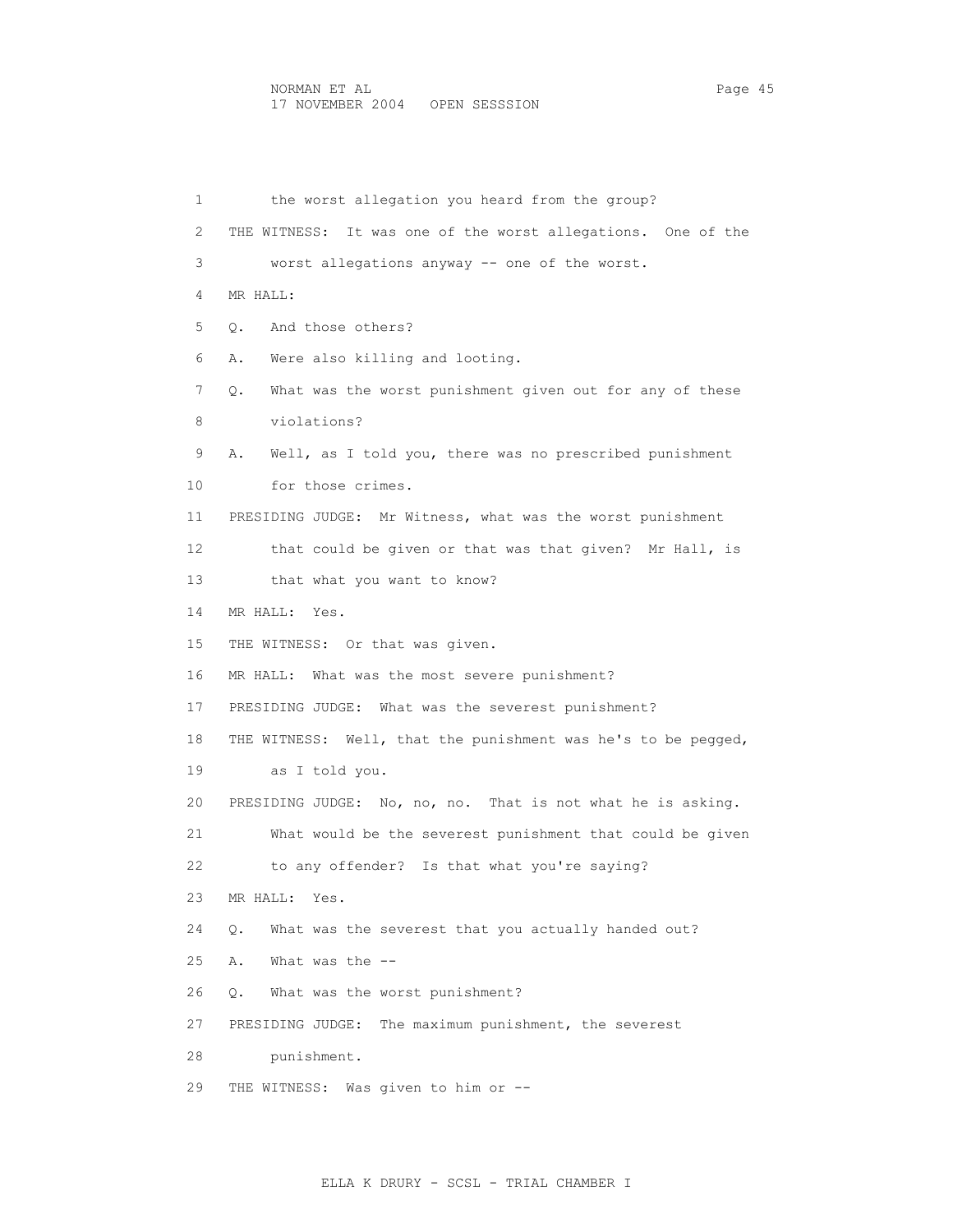1 the worst allegation you heard from the group? 2 THE WITNESS: It was one of the worst allegations. One of the 3 worst allegations anyway -- one of the worst. 4 MR HALL: 5 Q. And those others? 6 A. Were also killing and looting. 7 Q. What was the worst punishment given out for any of these 8 violations? 9 A. Well, as I told you, there was no prescribed punishment 10 for those crimes. 11 PRESIDING JUDGE: Mr Witness, what was the worst punishment 12 that could be given or that was that given? Mr Hall, is 13 that what you want to know? 14 MR HALL: Yes. 15 THE WITNESS: Or that was given. 16 MR HALL: What was the most severe punishment? 17 PRESIDING JUDGE: What was the severest punishment? 18 THE WITNESS: Well, that the punishment was he's to be pegged, 19 as I told you. 20 PRESIDING JUDGE: No, no, no. That is not what he is asking. 21 What would be the severest punishment that could be given 22 to any offender? Is that what you're saying? 23 MR HALL: Yes. 24 Q. What was the severest that you actually handed out? 25 A. What was the -- 26 Q. What was the worst punishment? 27 PRESIDING JUDGE: The maximum punishment, the severest 28 punishment. 29 THE WITNESS: Was given to him or --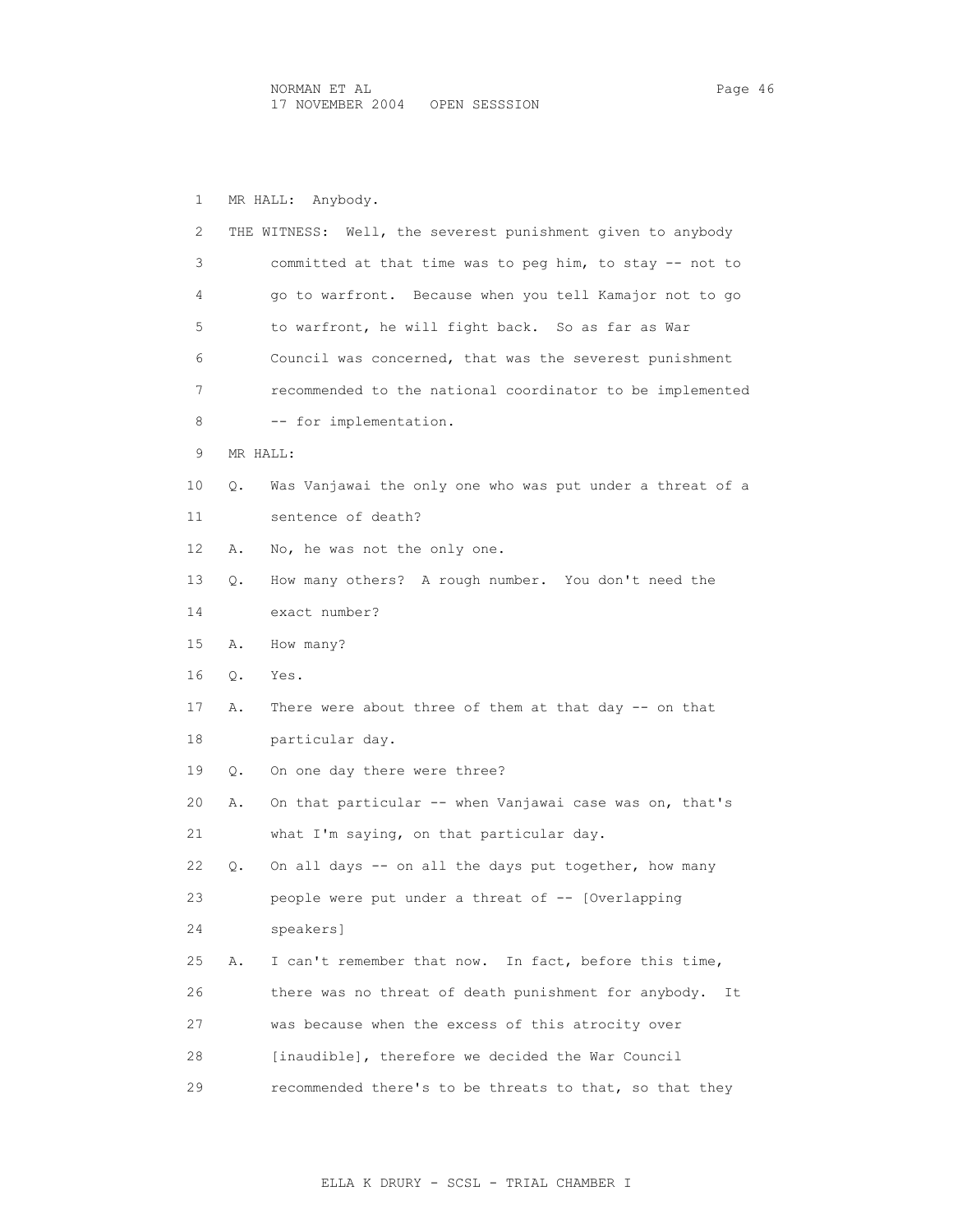1 MR HALL: Anybody. 2 THE WITNESS: Well, the severest punishment given to anybody 3 committed at that time was to peg him, to stay -- not to 4 go to warfront. Because when you tell Kamajor not to go 5 to warfront, he will fight back. So as far as War 6 Council was concerned, that was the severest punishment 7 recommended to the national coordinator to be implemented 8 -- for implementation. 9 MR HALL: 10 Q. Was Vanjawai the only one who was put under a threat of a 11 sentence of death? 12 A. No, he was not the only one. 13 Q. How many others? A rough number. You don't need the 14 exact number? 15 A. How many? 16 Q. Yes. 17 A. There were about three of them at that day -- on that 18 particular day. 19 Q. On one day there were three? 20 A. On that particular -- when Vanjawai case was on, that's 21 what I'm saying, on that particular day. 22 Q. On all days -- on all the days put together, how many 23 people were put under a threat of -- [Overlapping 24 speakers] 25 A. I can't remember that now. In fact, before this time, 26 there was no threat of death punishment for anybody. It 27 was because when the excess of this atrocity over 28 [inaudible], therefore we decided the War Council 29 recommended there's to be threats to that, so that they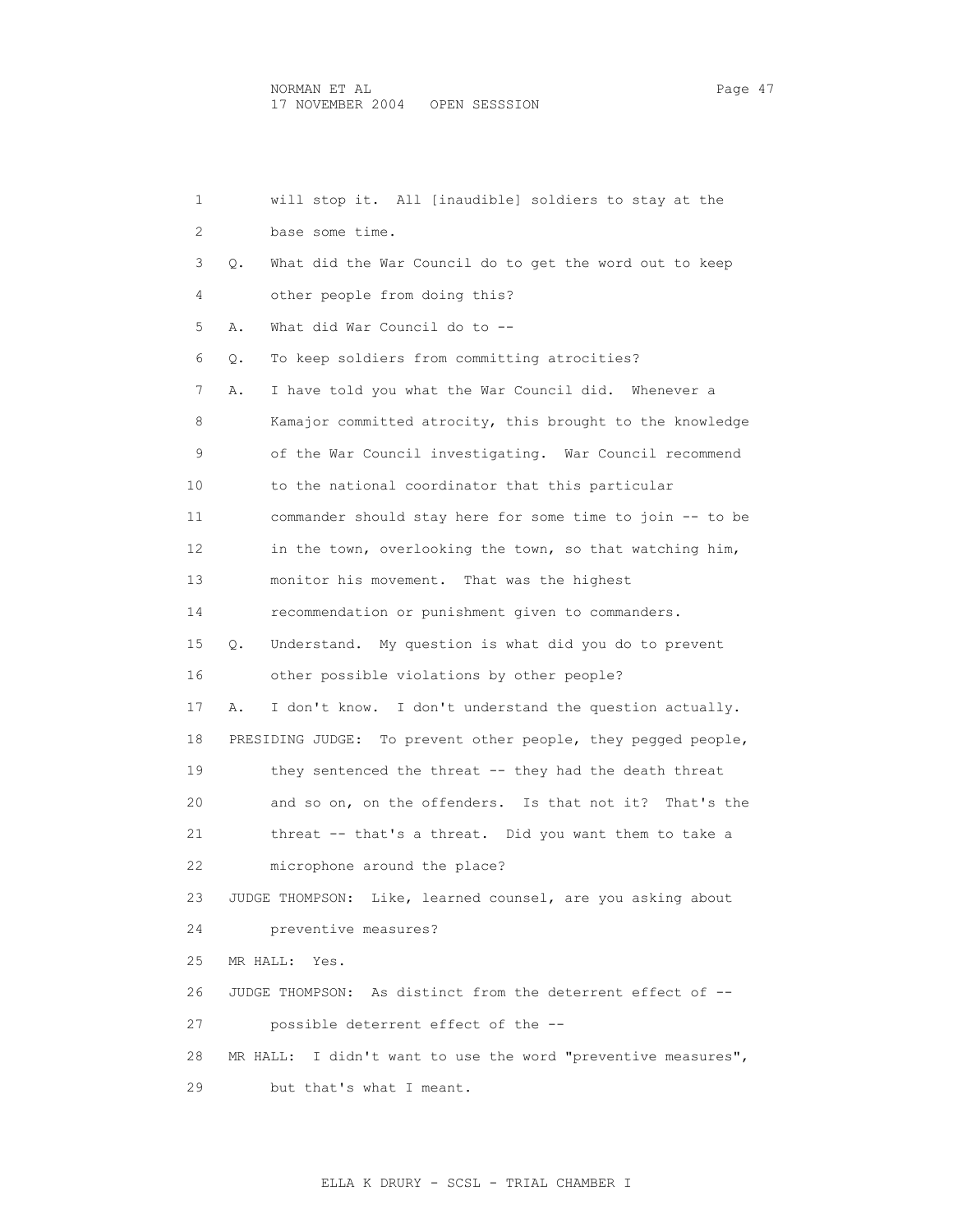1 will stop it. All [inaudible] soldiers to stay at the 2 base some time. 3 Q. What did the War Council do to get the word out to keep 4 other people from doing this? 5 A. What did War Council do to -- 6 Q. To keep soldiers from committing atrocities? 7 A. I have told you what the War Council did. Whenever a 8 Kamajor committed atrocity, this brought to the knowledge 9 of the War Council investigating. War Council recommend 10 to the national coordinator that this particular 11 commander should stay here for some time to join -- to be 12 in the town, overlooking the town, so that watching him, 13 monitor his movement. That was the highest 14 recommendation or punishment given to commanders. 15 Q. Understand. My question is what did you do to prevent 16 other possible violations by other people? 17 A. I don't know. I don't understand the question actually. 18 PRESIDING JUDGE: To prevent other people, they pegged people, 19 they sentenced the threat -- they had the death threat 20 and so on, on the offenders. Is that not it? That's the 21 threat -- that's a threat. Did you want them to take a 22 microphone around the place? 23 JUDGE THOMPSON: Like, learned counsel, are you asking about 24 preventive measures? 25 MR HALL: Yes. 26 JUDGE THOMPSON: As distinct from the deterrent effect of -- 27 possible deterrent effect of the -- 28 MR HALL: I didn't want to use the word "preventive measures", 29 but that's what I meant.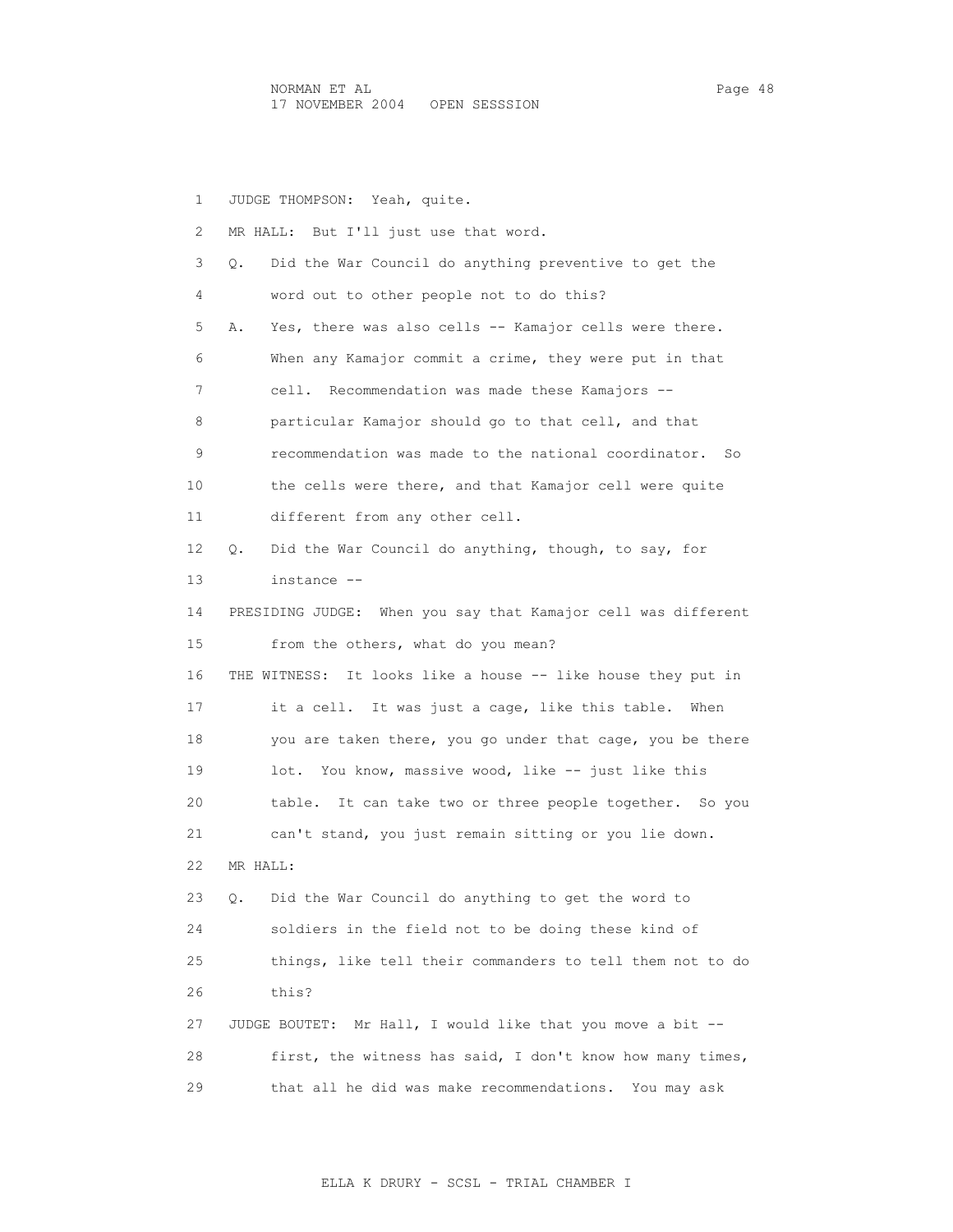1 JUDGE THOMPSON: Yeah, quite. 2 MR HALL: But I'll just use that word. 3 Q. Did the War Council do anything preventive to get the 4 word out to other people not to do this? 5 A. Yes, there was also cells -- Kamajor cells were there. 6 When any Kamajor commit a crime, they were put in that 7 cell. Recommendation was made these Kamajors -- 8 particular Kamajor should go to that cell, and that 9 recommendation was made to the national coordinator. So 10 the cells were there, and that Kamajor cell were quite 11 different from any other cell. 12 Q. Did the War Council do anything, though, to say, for 13 instance -- 14 PRESIDING JUDGE: When you say that Kamajor cell was different 15 from the others, what do you mean? 16 THE WITNESS: It looks like a house -- like house they put in 17 it a cell. It was just a cage, like this table. When 18 you are taken there, you go under that cage, you be there 19 lot. You know, massive wood, like -- just like this 20 table. It can take two or three people together. So you 21 can't stand, you just remain sitting or you lie down. 22 MR HALL: 23 Q. Did the War Council do anything to get the word to 24 soldiers in the field not to be doing these kind of 25 things, like tell their commanders to tell them not to do 26 this? 27 JUDGE BOUTET: Mr Hall, I would like that you move a bit -- 28 first, the witness has said, I don't know how many times, 29 that all he did was make recommendations. You may ask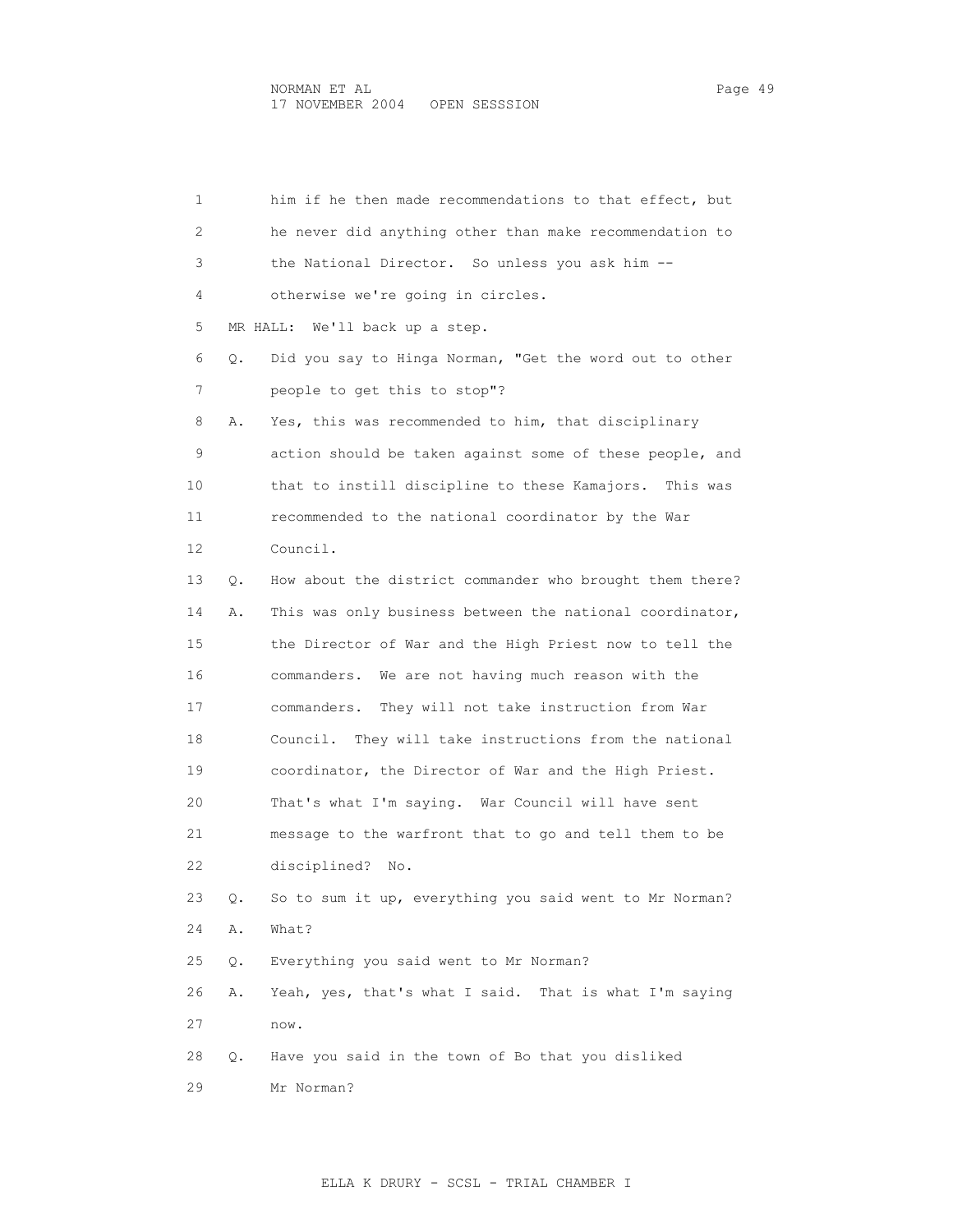1 him if he then made recommendations to that effect, but 2 he never did anything other than make recommendation to 3 the National Director. So unless you ask him -- 4 otherwise we're going in circles. 5 MR HALL: We'll back up a step. 6 Q. Did you say to Hinga Norman, "Get the word out to other 7 people to get this to stop"? 8 A. Yes, this was recommended to him, that disciplinary 9 action should be taken against some of these people, and 10 that to instill discipline to these Kamajors. This was 11 recommended to the national coordinator by the War 12 Council. 13 Q. How about the district commander who brought them there? 14 A. This was only business between the national coordinator, 15 the Director of War and the High Priest now to tell the 16 commanders. We are not having much reason with the 17 commanders. They will not take instruction from War 18 Council. They will take instructions from the national 19 coordinator, the Director of War and the High Priest. 20 That's what I'm saying. War Council will have sent 21 message to the warfront that to go and tell them to be 22 disciplined? No. 23 Q. So to sum it up, everything you said went to Mr Norman? 24 A. What? 25 Q. Everything you said went to Mr Norman? 26 A. Yeah, yes, that's what I said. That is what I'm saying 27 now. 28 Q. Have you said in the town of Bo that you disliked 29 Mr Norman?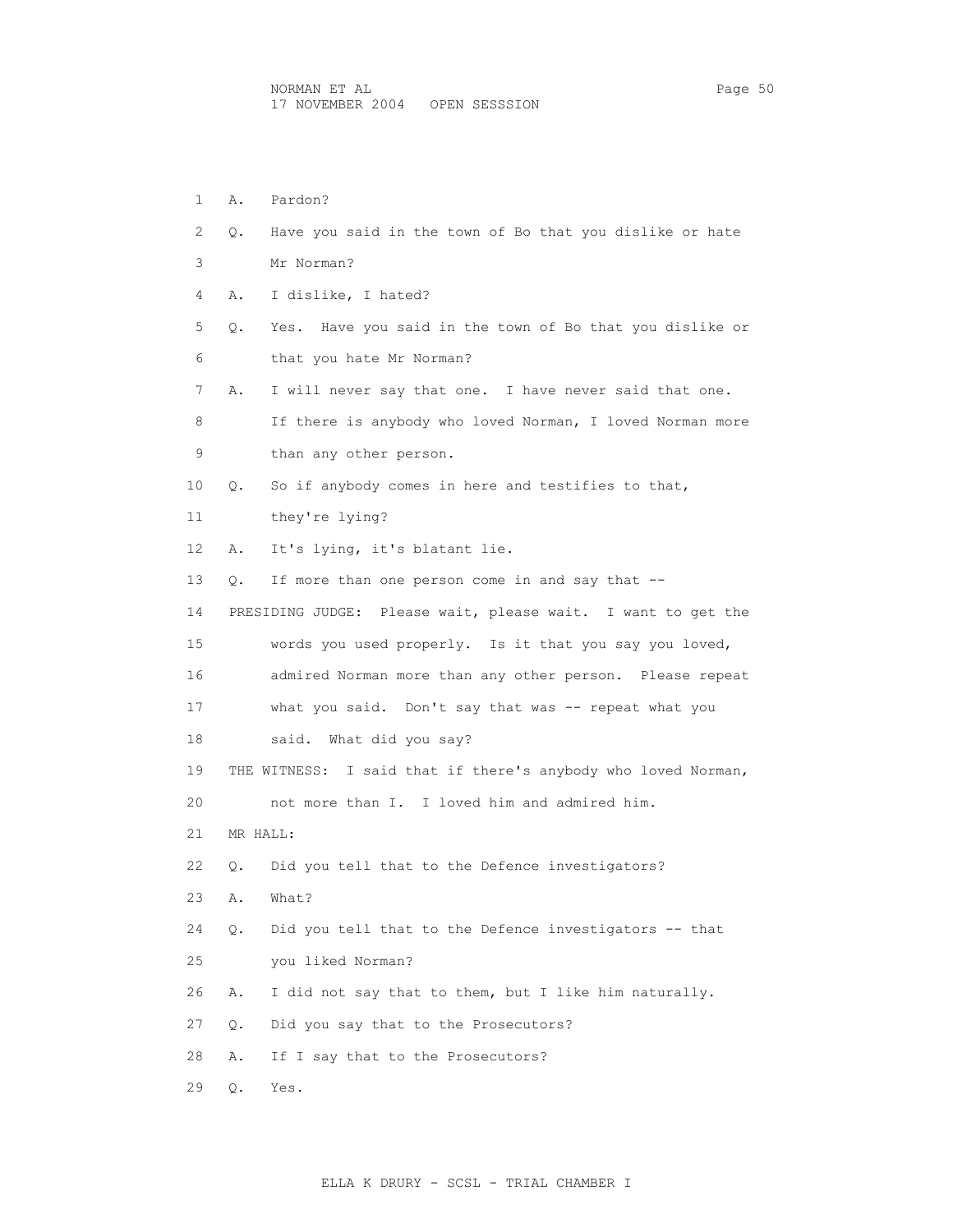| 1  | Α.        | Pardon?                                                       |
|----|-----------|---------------------------------------------------------------|
| 2  | $\circ$ . | Have you said in the town of Bo that you dislike or hate      |
| 3  |           | Mr Norman?                                                    |
| 4  | Α.        | I dislike, I hated?                                           |
| 5  | Q.        | Have you said in the town of Bo that you dislike or<br>Yes.   |
| 6  |           | that you hate Mr Norman?                                      |
| 7  | Α.        | I will never say that one. I have never said that one.        |
| 8  |           | If there is anybody who loved Norman, I loved Norman more     |
| 9  |           | than any other person.                                        |
| 10 | Q.        | So if anybody comes in here and testifies to that,            |
| 11 |           | they're lying?                                                |
| 12 | Α.        | It's lying, it's blatant lie.                                 |
| 13 | Q.        | If more than one person come in and say that --               |
| 14 |           | PRESIDING JUDGE: Please wait, please wait. I want to get the  |
| 15 |           | words you used properly. Is it that you say you loved,        |
| 16 |           | admired Norman more than any other person. Please repeat      |
| 17 |           | what you said. Don't say that was -- repeat what you          |
| 18 |           | said. What did you say?                                       |
| 19 |           | THE WITNESS: I said that if there's anybody who loved Norman, |
| 20 |           | not more than I. I loved him and admired him.                 |
| 21 |           | MR HALL:                                                      |
| 22 | О.        | Did you tell that to the Defence investigators?               |
| 23 | Α.        | What?                                                         |
| 24 | Q.        | Did you tell that to the Defence investigators -- that        |
| 25 |           | you liked Norman?                                             |
| 26 | Α.        | I did not say that to them, but I like him naturally.         |
| 27 | О.        | Did you say that to the Prosecutors?                          |
| 28 | Α.        | If I say that to the Prosecutors?                             |
| 29 | Q.        | Yes.                                                          |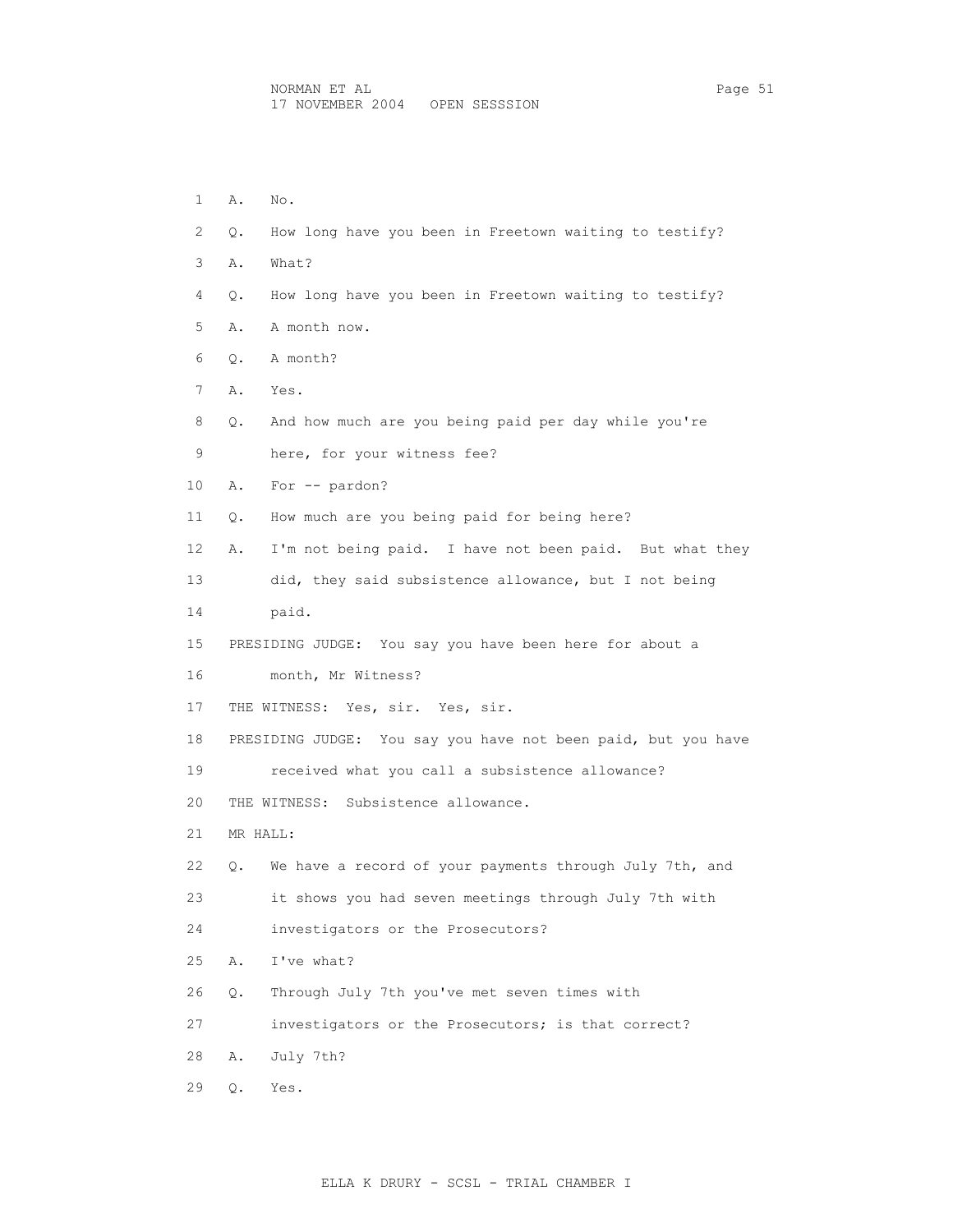| 1  | Α.       | No.                                                           |
|----|----------|---------------------------------------------------------------|
| 2  | Q.       | How long have you been in Freetown waiting to testify?        |
| 3  | Α.       | What?                                                         |
| 4  | Q.       | How long have you been in Freetown waiting to testify?        |
| 5  | Α.       | A month now.                                                  |
| 6  | Q.       | A month?                                                      |
| 7  | Α.       | Yes.                                                          |
| 8  | О.       | And how much are you being paid per day while you're          |
| 9  |          | here, for your witness fee?                                   |
| 10 | Α.       | For $--$ pardon?                                              |
| 11 | Q.       | How much are you being paid for being here?                   |
| 12 | Α.       | I'm not being paid. I have not been paid. But what they       |
| 13 |          | did, they said subsistence allowance, but I not being         |
| 14 |          | paid.                                                         |
| 15 |          | PRESIDING JUDGE: You say you have been here for about a       |
| 16 |          | month, Mr Witness?                                            |
| 17 |          | THE WITNESS: Yes, sir. Yes, sir.                              |
| 18 |          | PRESIDING JUDGE: You say you have not been paid, but you have |
| 19 |          | received what you call a subsistence allowance?               |
| 20 |          | THE WITNESS: Subsistence allowance.                           |
| 21 | MR HALL: |                                                               |
| 22 | Q.       | We have a record of your payments through July 7th, and       |
| 23 |          | it shows you had seven meetings through July 7th with         |
| 24 |          | investigators or the Prosecutors?                             |
| 25 | Α.       | I've what?                                                    |
| 26 | Q.       | Through July 7th you've met seven times with                  |
| 27 |          | investigators or the Prosecutors; is that correct?            |
| 28 | Α.       | July 7th?                                                     |
| 29 | Q.       | Yes.                                                          |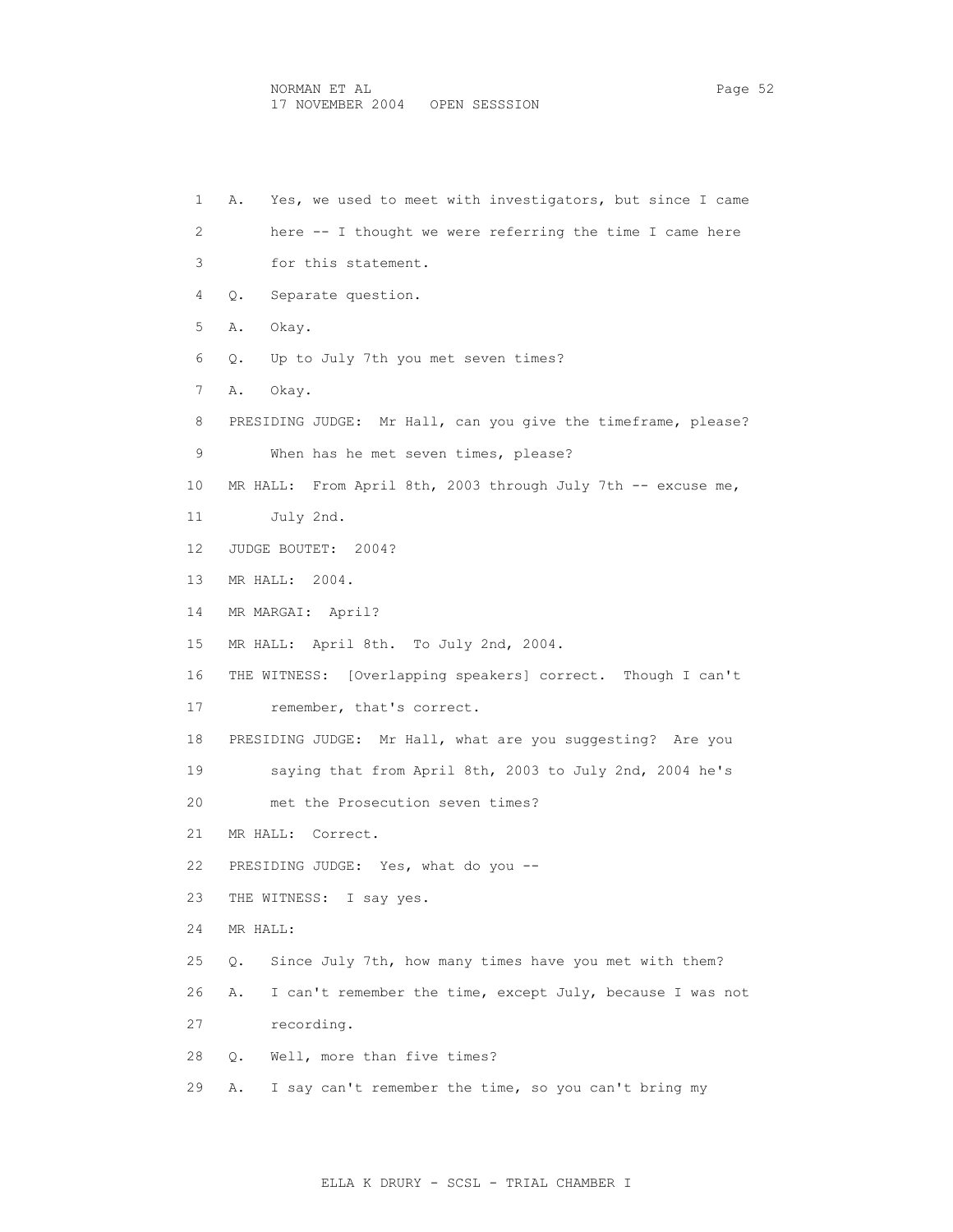| 1  | Yes, we used to meet with investigators, but since I came<br>Α. |
|----|-----------------------------------------------------------------|
| 2  | here -- I thought we were referring the time I came here        |
| 3  | for this statement.                                             |
| 4  | Separate question.<br>Q.                                        |
| 5  | Α.<br>Okay.                                                     |
| 6  | Up to July 7th you met seven times?<br>Q.                       |
| 7  | Okay.<br>Α.                                                     |
| 8  | PRESIDING JUDGE: Mr Hall, can you give the timeframe, please?   |
| 9  | When has he met seven times, please?                            |
| 10 | MR HALL: From April 8th, 2003 through July 7th -- excuse me,    |
| 11 | July 2nd.                                                       |
| 12 | JUDGE BOUTET: 2004?                                             |
| 13 | MR HALL: 2004.                                                  |
| 14 | MR MARGAI: April?                                               |
| 15 | MR HALL: April 8th. To July 2nd, 2004.                          |
| 16 | THE WITNESS: [Overlapping speakers] correct. Though I can't     |
| 17 | remember, that's correct.                                       |
| 18 | PRESIDING JUDGE: Mr Hall, what are you suggesting? Are you      |
| 19 | saying that from April 8th, 2003 to July 2nd, 2004 he's         |
| 20 | met the Prosecution seven times?                                |
| 21 | MR HALL: Correct.                                               |
| 22 | PRESIDING JUDGE: Yes, what do you --                            |
| 23 | THE WITNESS: I say yes.                                         |
| 24 | MR HALL:                                                        |
| 25 | Since July 7th, how many times have you met with them?<br>Q.    |
| 26 | I can't remember the time, except July, because I was not<br>Α. |
| 27 | recording.                                                      |
| 28 | Well, more than five times?<br>О.                               |
| 29 | I say can't remember the time, so you can't bring my<br>Α.      |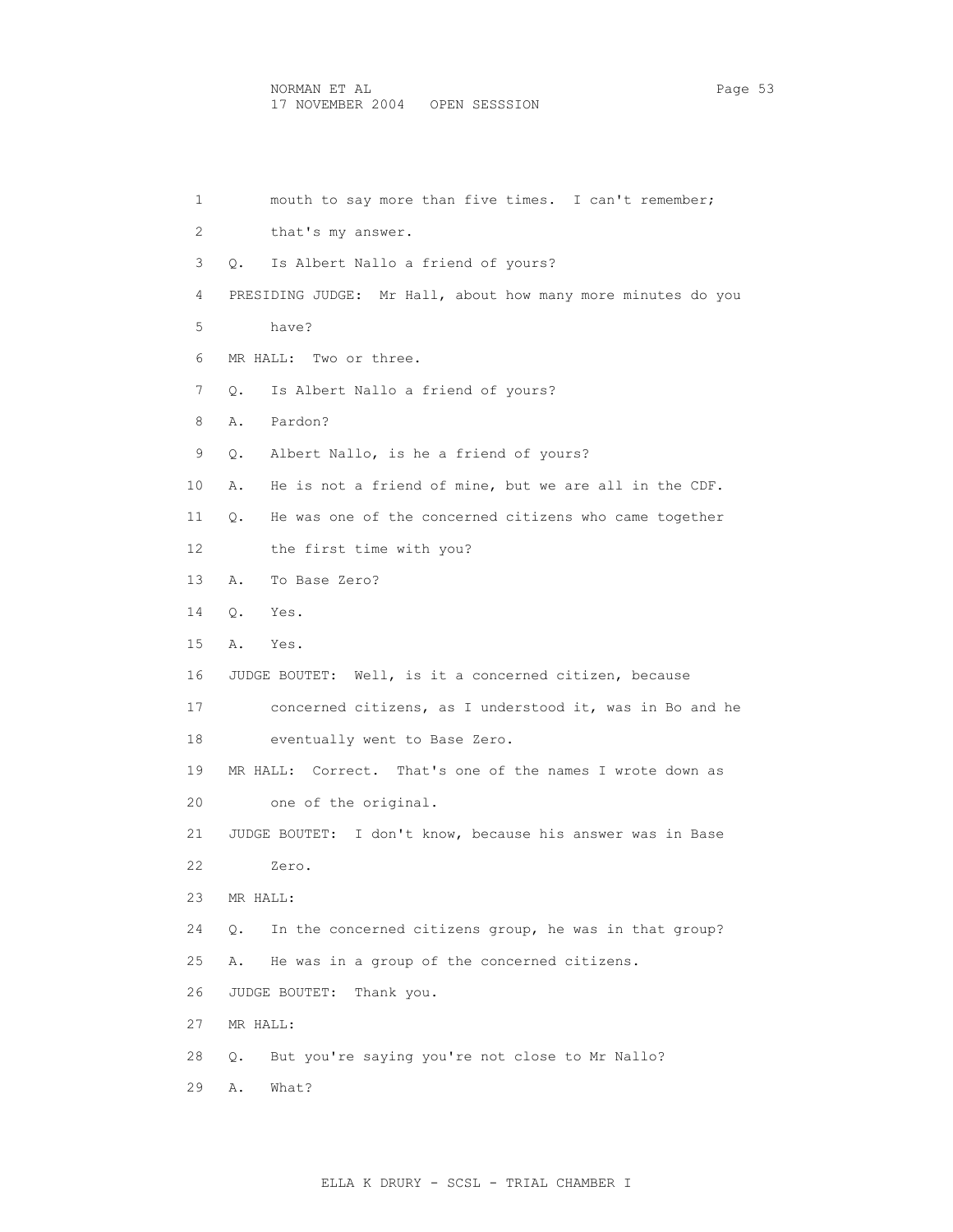```
 1 mouth to say more than five times. I can't remember; 
 2 that's my answer. 
 3 Q. Is Albert Nallo a friend of yours? 
 4 PRESIDING JUDGE: Mr Hall, about how many more minutes do you 
 5 have? 
 6 MR HALL: Two or three. 
 7 Q. Is Albert Nallo a friend of yours? 
 8 A. Pardon? 
 9 Q. Albert Nallo, is he a friend of yours? 
10 A. He is not a friend of mine, but we are all in the CDF. 
11 Q. He was one of the concerned citizens who came together 
12 the first time with you? 
13 A. To Base Zero? 
14 Q. Yes. 
15 A. Yes. 
16 JUDGE BOUTET: Well, is it a concerned citizen, because 
17 concerned citizens, as I understood it, was in Bo and he 
18 eventually went to Base Zero. 
19 MR HALL: Correct. That's one of the names I wrote down as 
20 one of the original. 
21 JUDGE BOUTET: I don't know, because his answer was in Base 
22 Zero. 
23 MR HALL: 
24 Q. In the concerned citizens group, he was in that group? 
25 A. He was in a group of the concerned citizens. 
26 JUDGE BOUTET: Thank you. 
27 MR HALL: 
28 Q. But you're saying you're not close to Mr Nallo? 
29 A. What?
```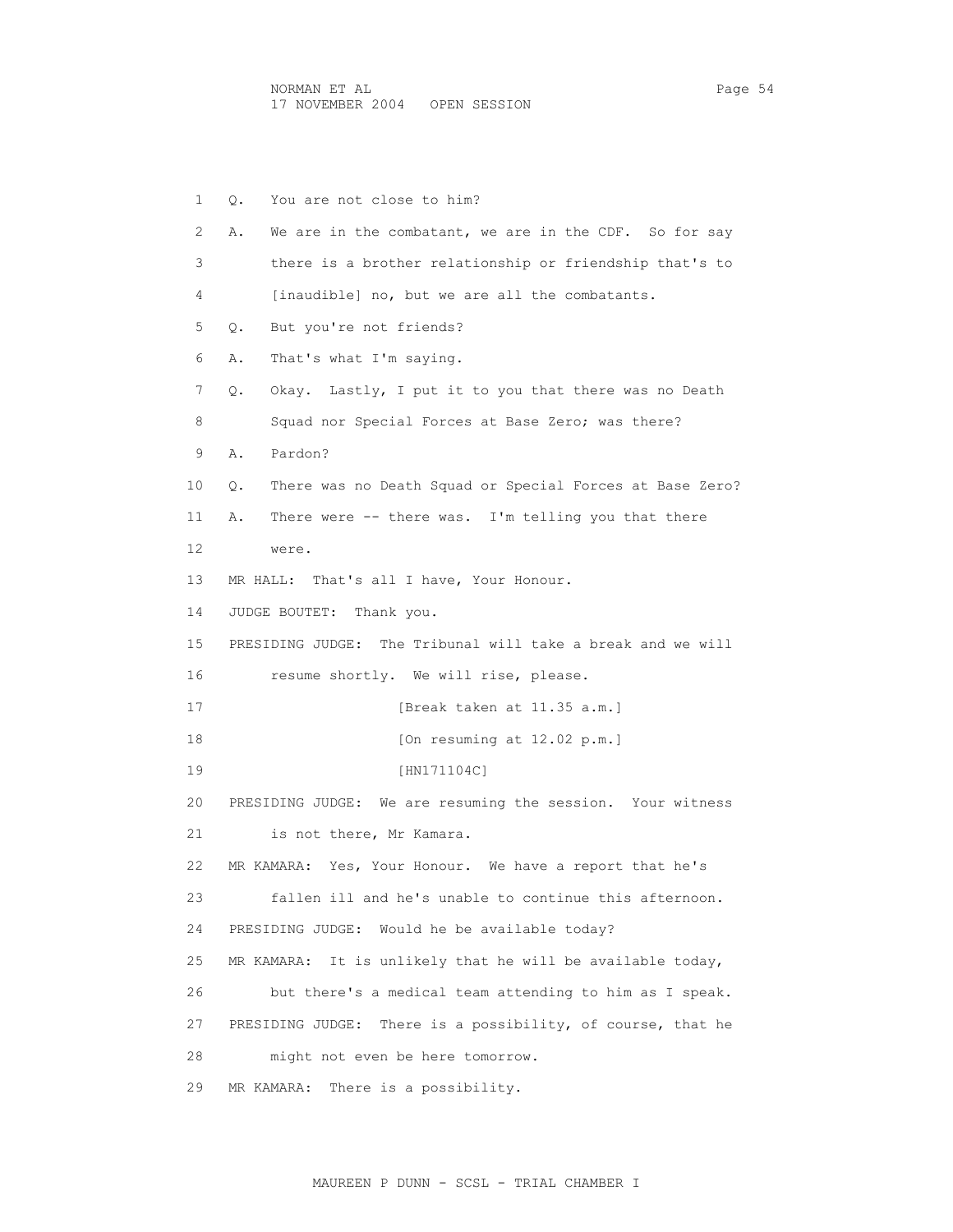1 Q. You are not close to him? 2 A. We are in the combatant, we are in the CDF. So for say 3 there is a brother relationship or friendship that's to 4 [inaudible] no, but we are all the combatants. 5 Q. But you're not friends? 6 A. That's what I'm saying. 7 Q. Okay. Lastly, I put it to you that there was no Death 8 Squad nor Special Forces at Base Zero; was there? 9 A. Pardon? 10 Q. There was no Death Squad or Special Forces at Base Zero? 11 A. There were -- there was. I'm telling you that there 12 were. 13 MR HALL: That's all I have, Your Honour. 14 JUDGE BOUTET: Thank you. 15 PRESIDING JUDGE: The Tribunal will take a break and we will 16 resume shortly. We will rise, please. 17 [Break taken at 11.35 a.m.] 18 [On resuming at 12.02 p.m.] 19 [HN171104C] 20 PRESIDING JUDGE: We are resuming the session. Your witness 21 is not there, Mr Kamara. 22 MR KAMARA: Yes, Your Honour. We have a report that he's 23 fallen ill and he's unable to continue this afternoon. 24 PRESIDING JUDGE: Would he be available today? 25 MR KAMARA: It is unlikely that he will be available today, 26 but there's a medical team attending to him as I speak. 27 PRESIDING JUDGE: There is a possibility, of course, that he 28 might not even be here tomorrow. 29 MR KAMARA: There is a possibility.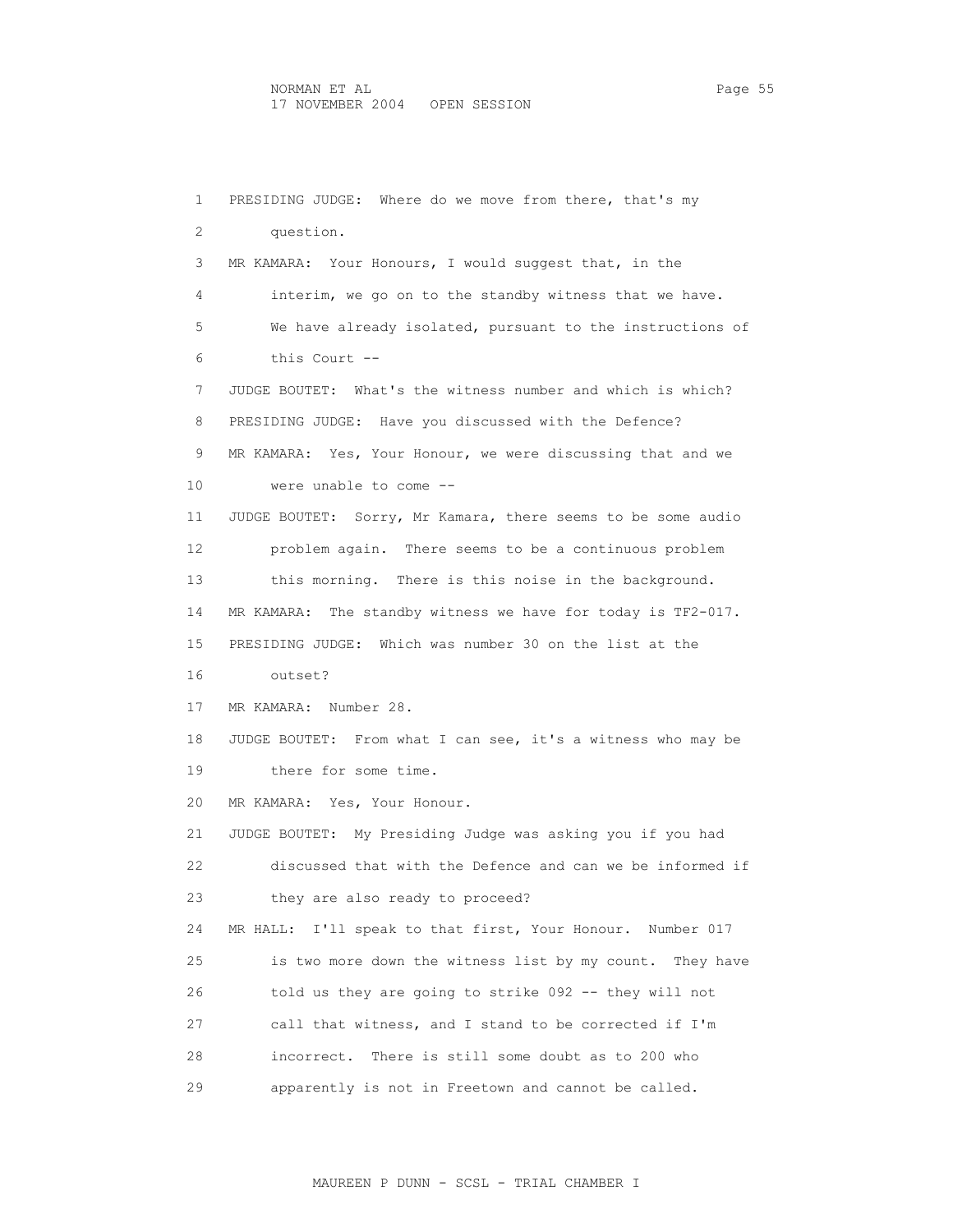1 PRESIDING JUDGE: Where do we move from there, that's my 2 question. 3 MR KAMARA: Your Honours, I would suggest that, in the 4 interim, we go on to the standby witness that we have. 5 We have already isolated, pursuant to the instructions of 6 this Court -- 7 JUDGE BOUTET: What's the witness number and which is which? 8 PRESIDING JUDGE: Have you discussed with the Defence? 9 MR KAMARA: Yes, Your Honour, we were discussing that and we 10 were unable to come -- 11 JUDGE BOUTET: Sorry, Mr Kamara, there seems to be some audio 12 problem again. There seems to be a continuous problem 13 this morning. There is this noise in the background. 14 MR KAMARA: The standby witness we have for today is TF2-017. 15 PRESIDING JUDGE: Which was number 30 on the list at the 16 outset? 17 MR KAMARA: Number 28. 18 JUDGE BOUTET: From what I can see, it's a witness who may be 19 there for some time. 20 MR KAMARA: Yes, Your Honour. 21 JUDGE BOUTET: My Presiding Judge was asking you if you had 22 discussed that with the Defence and can we be informed if 23 they are also ready to proceed? 24 MR HALL: I'll speak to that first, Your Honour. Number 017 25 is two more down the witness list by my count. They have 26 told us they are going to strike 092 -- they will not 27 call that witness, and I stand to be corrected if I'm 28 incorrect. There is still some doubt as to 200 who 29 apparently is not in Freetown and cannot be called.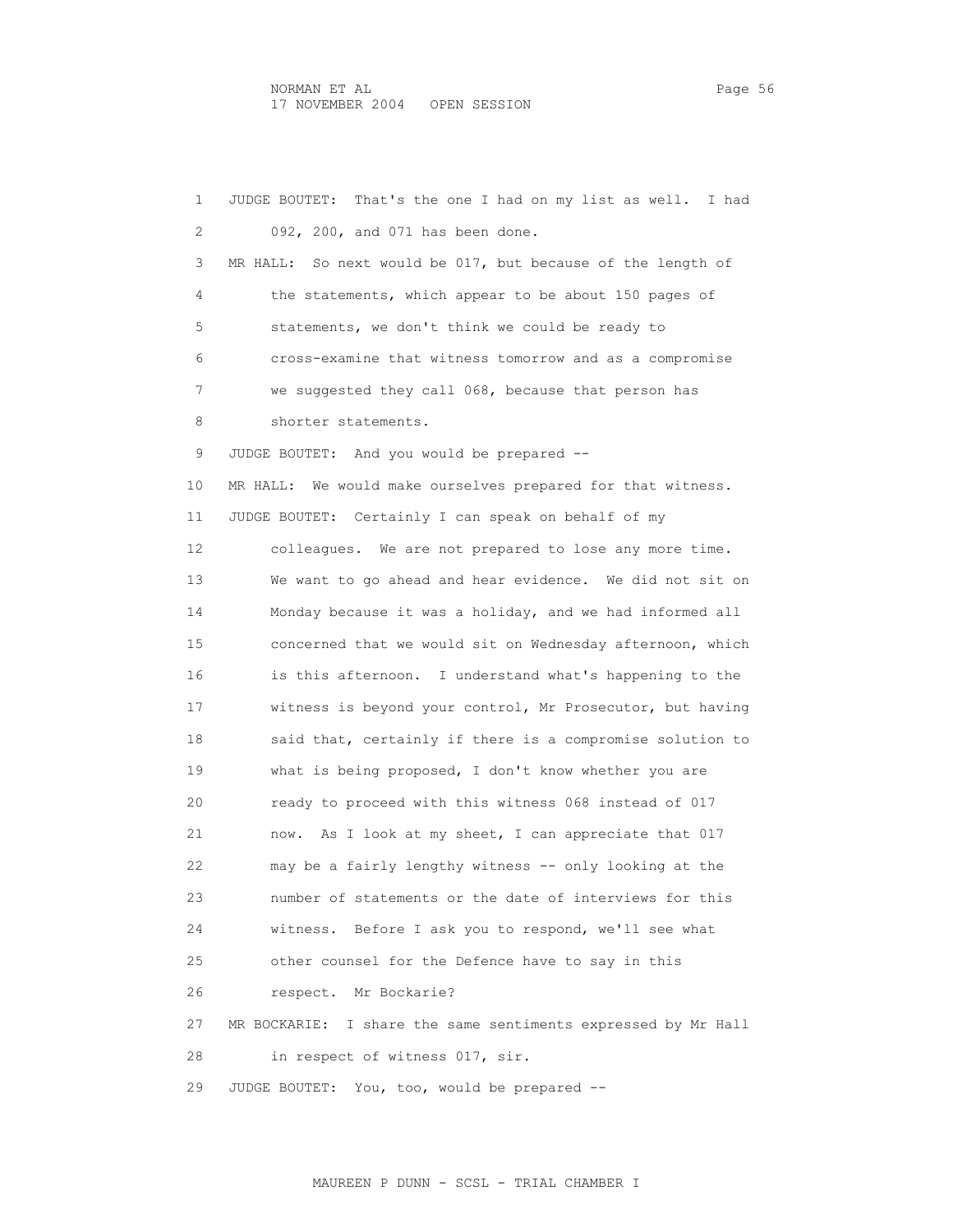1 JUDGE BOUTET: That's the one I had on my list as well. I had 2 092, 200, and 071 has been done. 3 MR HALL: So next would be 017, but because of the length of 4 the statements, which appear to be about 150 pages of 5 statements, we don't think we could be ready to 6 cross-examine that witness tomorrow and as a compromise 7 we suggested they call 068, because that person has 8 shorter statements. 9 JUDGE BOUTET: And you would be prepared -- 10 MR HALL: We would make ourselves prepared for that witness. 11 JUDGE BOUTET: Certainly I can speak on behalf of my 12 colleagues. We are not prepared to lose any more time. 13 We want to go ahead and hear evidence. We did not sit on 14 Monday because it was a holiday, and we had informed all 15 concerned that we would sit on Wednesday afternoon, which 16 is this afternoon. I understand what's happening to the 17 witness is beyond your control, Mr Prosecutor, but having 18 said that, certainly if there is a compromise solution to 19 what is being proposed, I don't know whether you are 20 ready to proceed with this witness 068 instead of 017 21 now. As I look at my sheet, I can appreciate that 017 22 may be a fairly lengthy witness -- only looking at the 23 number of statements or the date of interviews for this 24 witness. Before I ask you to respond, we'll see what 25 other counsel for the Defence have to say in this 26 respect. Mr Bockarie? 27 MR BOCKARIE: I share the same sentiments expressed by Mr Hall 28 in respect of witness 017, sir. 29 JUDGE BOUTET: You, too, would be prepared --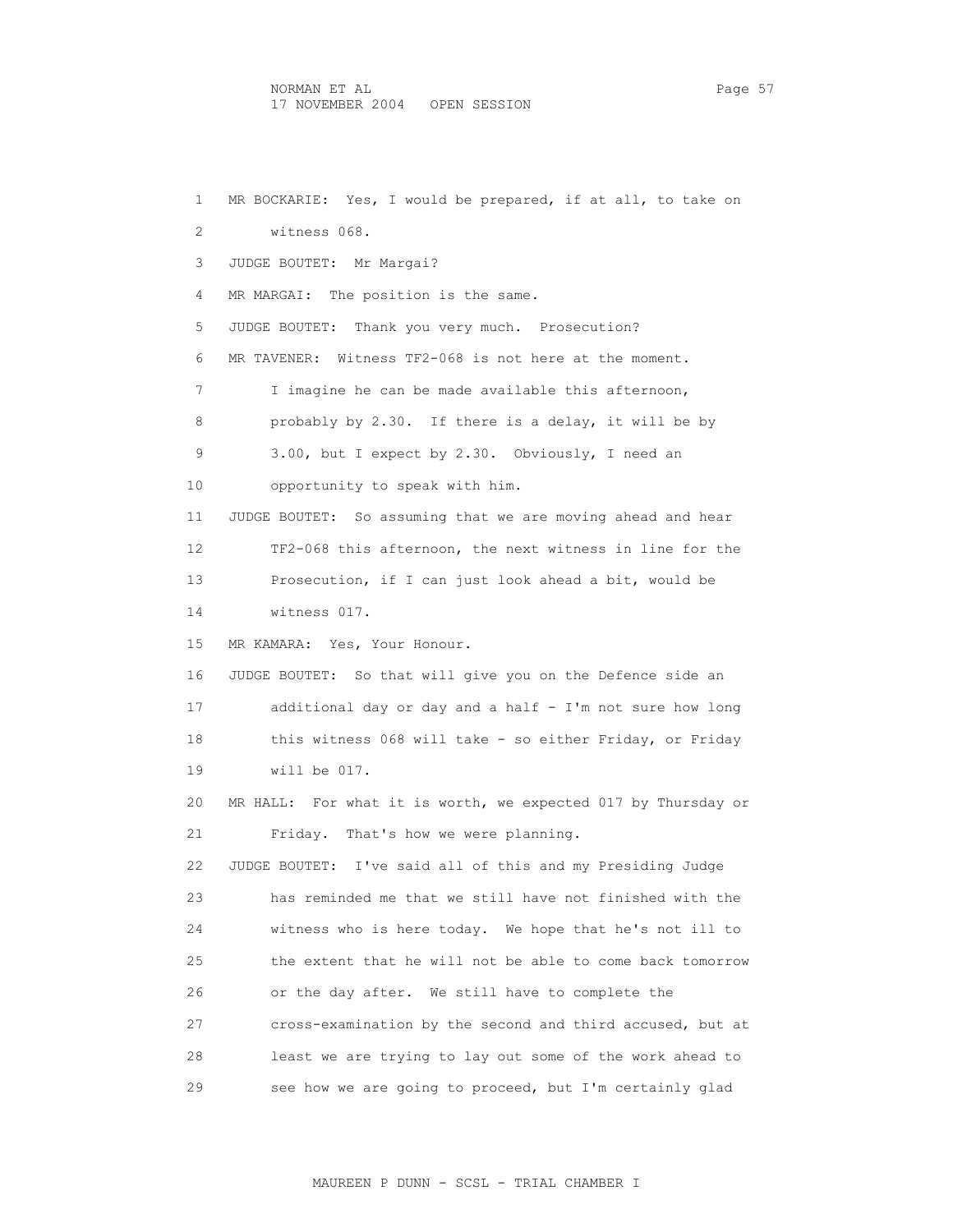1 MR BOCKARIE: Yes, I would be prepared, if at all, to take on 2 witness 068. 3 JUDGE BOUTET: Mr Margai? 4 MR MARGAI: The position is the same. 5 JUDGE BOUTET: Thank you very much. Prosecution? 6 MR TAVENER: Witness TF2-068 is not here at the moment. 7 I imagine he can be made available this afternoon, 8 probably by 2.30. If there is a delay, it will be by 9 3.00, but I expect by 2.30. Obviously, I need an 10 opportunity to speak with him. 11 JUDGE BOUTET: So assuming that we are moving ahead and hear 12 TF2-068 this afternoon, the next witness in line for the 13 Prosecution, if I can just look ahead a bit, would be 14 witness 017. 15 MR KAMARA: Yes, Your Honour. 16 JUDGE BOUTET: So that will give you on the Defence side an 17 additional day or day and a half - I'm not sure how long 18 this witness 068 will take - so either Friday, or Friday 19 will be 017. 20 MR HALL: For what it is worth, we expected 017 by Thursday or 21 Friday. That's how we were planning. 22 JUDGE BOUTET: I've said all of this and my Presiding Judge 23 has reminded me that we still have not finished with the 24 witness who is here today. We hope that he's not ill to 25 the extent that he will not be able to come back tomorrow 26 or the day after. We still have to complete the 27 cross-examination by the second and third accused, but at 28 least we are trying to lay out some of the work ahead to 29 see how we are going to proceed, but I'm certainly glad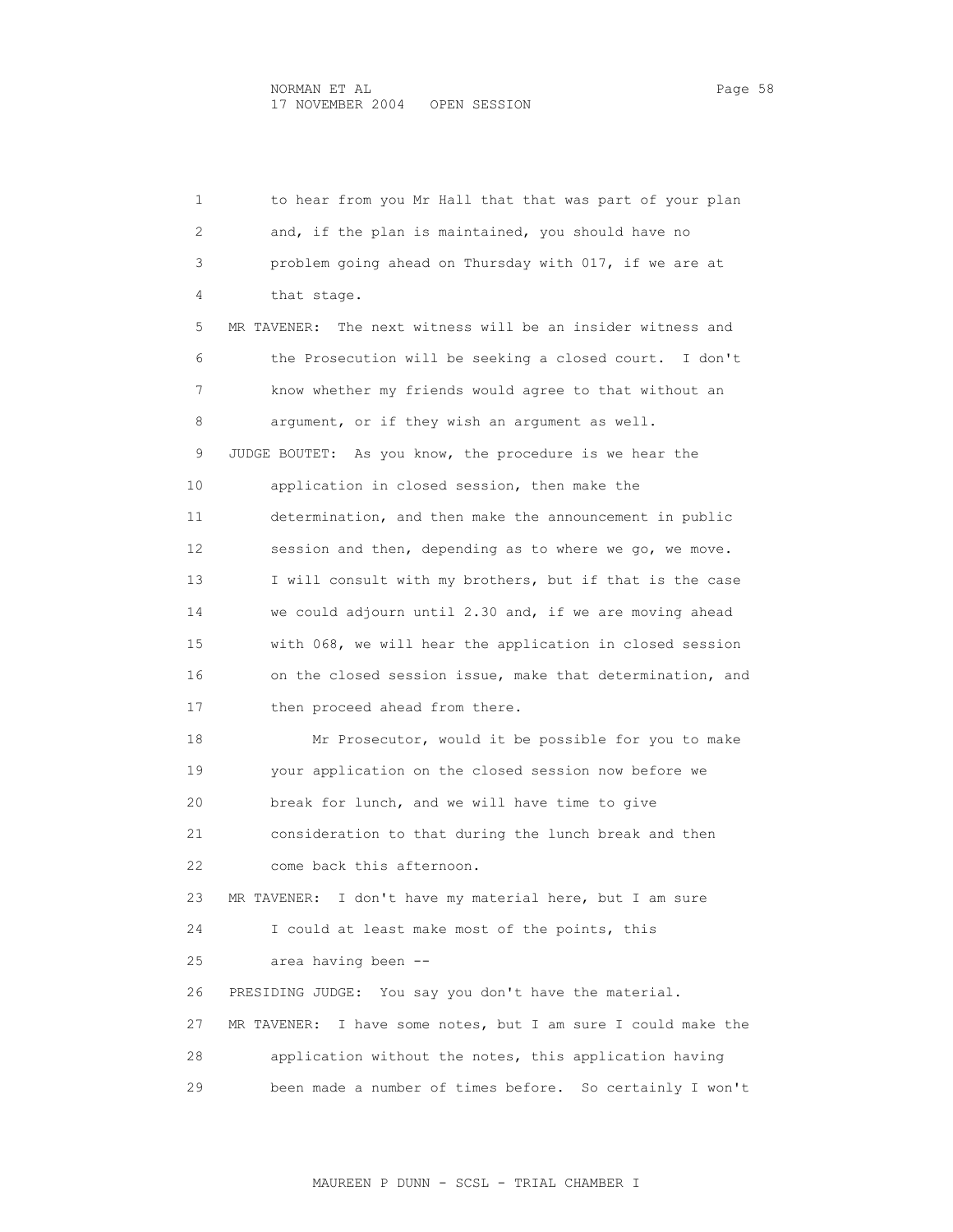1 to hear from you Mr Hall that that was part of your plan 2 and, if the plan is maintained, you should have no 3 problem going ahead on Thursday with 017, if we are at 4 that stage. 5 MR TAVENER: The next witness will be an insider witness and 6 the Prosecution will be seeking a closed court. I don't 7 know whether my friends would agree to that without an 8 argument, or if they wish an argument as well. 9 JUDGE BOUTET: As you know, the procedure is we hear the 10 application in closed session, then make the 11 determination, and then make the announcement in public 12 session and then, depending as to where we go, we move. 13 I will consult with my brothers, but if that is the case 14 we could adjourn until 2.30 and, if we are moving ahead 15 with 068, we will hear the application in closed session 16 on the closed session issue, make that determination, and 17 then proceed ahead from there. 18 Mr Prosecutor, would it be possible for you to make 19 your application on the closed session now before we 20 break for lunch, and we will have time to give 21 consideration to that during the lunch break and then 22 come back this afternoon. 23 MR TAVENER: I don't have my material here, but I am sure 24 I could at least make most of the points, this 25 area having been -- 26 PRESIDING JUDGE: You say you don't have the material. 27 MR TAVENER: I have some notes, but I am sure I could make the 28 application without the notes, this application having 29 been made a number of times before. So certainly I won't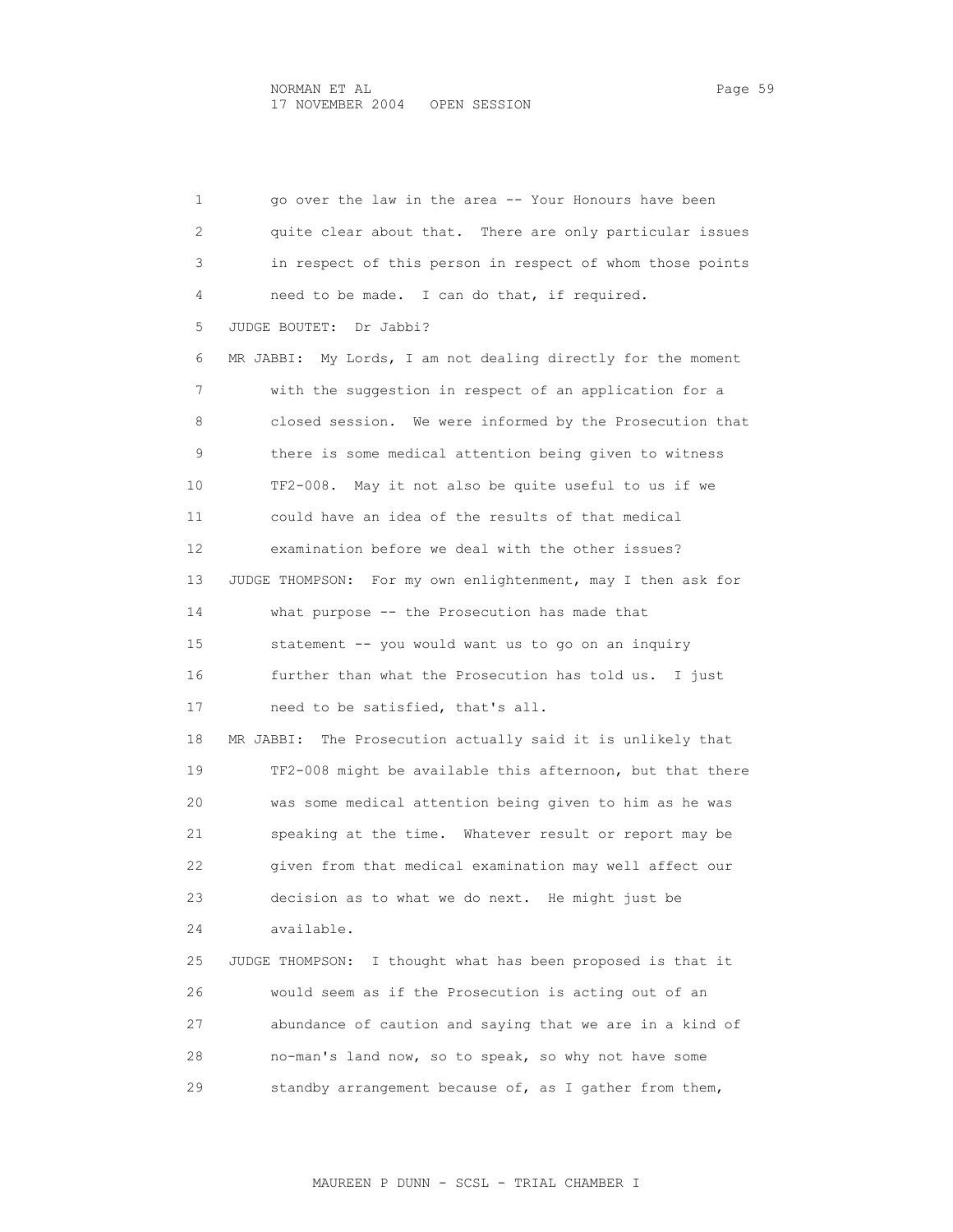1 go over the law in the area -- Your Honours have been 2 quite clear about that. There are only particular issues 3 in respect of this person in respect of whom those points 4 need to be made. I can do that, if required. 5 JUDGE BOUTET: Dr Jabbi? 6 MR JABBI: My Lords, I am not dealing directly for the moment 7 with the suggestion in respect of an application for a 8 closed session. We were informed by the Prosecution that 9 there is some medical attention being given to witness 10 TF2-008. May it not also be quite useful to us if we 11 could have an idea of the results of that medical 12 examination before we deal with the other issues? 13 JUDGE THOMPSON: For my own enlightenment, may I then ask for 14 what purpose -- the Prosecution has made that 15 statement -- you would want us to go on an inquiry 16 further than what the Prosecution has told us. I just 17 need to be satisfied, that's all. 18 MR JABBI: The Prosecution actually said it is unlikely that 19 TF2-008 might be available this afternoon, but that there 20 was some medical attention being given to him as he was 21 speaking at the time. Whatever result or report may be 22 given from that medical examination may well affect our 23 decision as to what we do next. He might just be 24 available. 25 JUDGE THOMPSON: I thought what has been proposed is that it 26 would seem as if the Prosecution is acting out of an 27 abundance of caution and saying that we are in a kind of 28 no-man's land now, so to speak, so why not have some 29 standby arrangement because of, as I gather from them,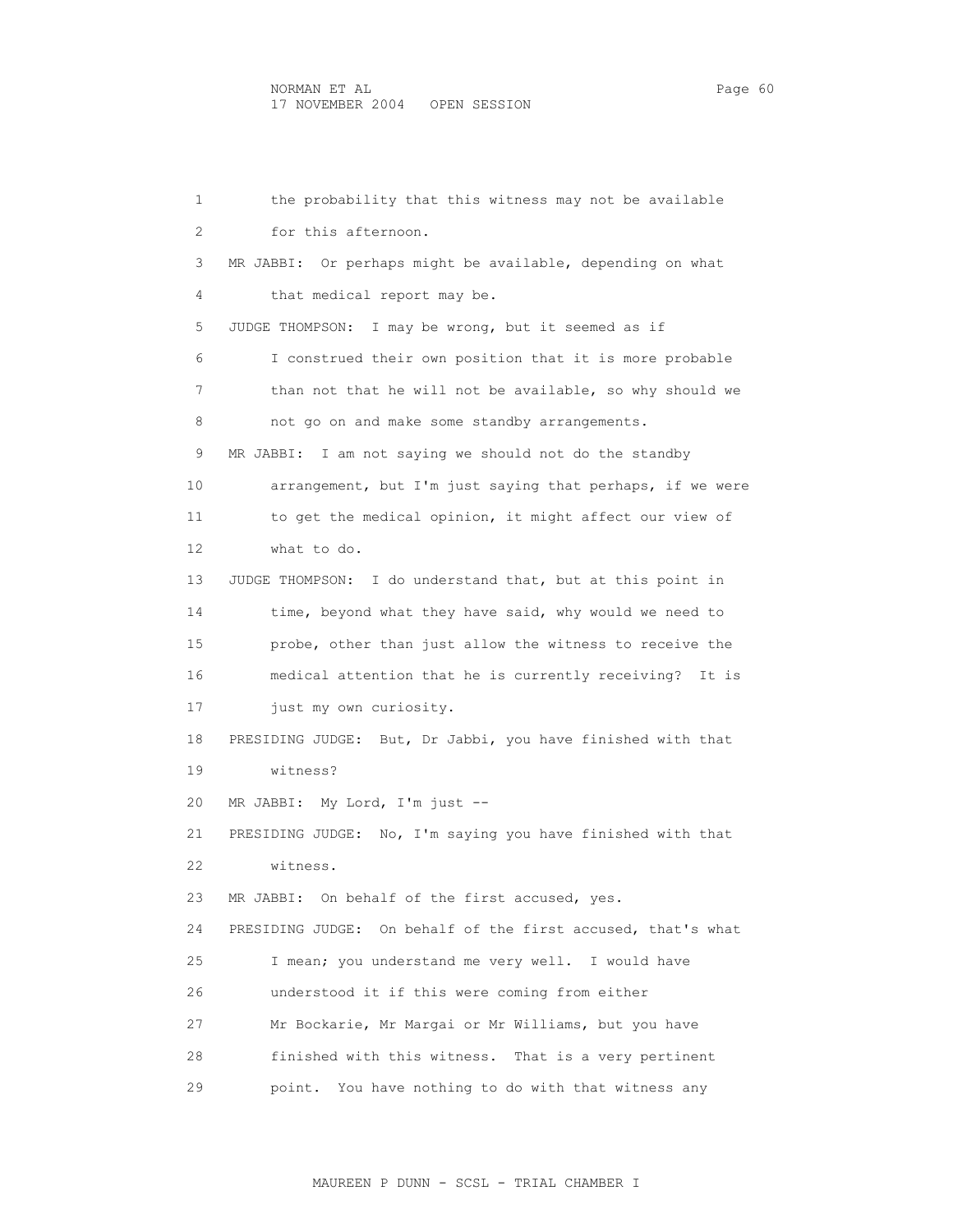1 the probability that this witness may not be available 2 for this afternoon. 3 MR JABBI: Or perhaps might be available, depending on what 4 that medical report may be. 5 JUDGE THOMPSON: I may be wrong, but it seemed as if 6 I construed their own position that it is more probable 7 than not that he will not be available, so why should we 8 not go on and make some standby arrangements. 9 MR JABBI: I am not saying we should not do the standby 10 arrangement, but I'm just saying that perhaps, if we were 11 to get the medical opinion, it might affect our view of 12 what to do. 13 JUDGE THOMPSON: I do understand that, but at this point in 14 time, beyond what they have said, why would we need to 15 probe, other than just allow the witness to receive the 16 medical attention that he is currently receiving? It is 17 just my own curiosity. 18 PRESIDING JUDGE: But, Dr Jabbi, you have finished with that 19 witness? 20 MR JABBI: My Lord, I'm just -- 21 PRESIDING JUDGE: No, I'm saying you have finished with that 22 witness. 23 MR JABBI: On behalf of the first accused, yes. 24 PRESIDING JUDGE: On behalf of the first accused, that's what 25 I mean; you understand me very well. I would have 26 understood it if this were coming from either 27 Mr Bockarie, Mr Margai or Mr Williams, but you have 28 finished with this witness. That is a very pertinent 29 point. You have nothing to do with that witness any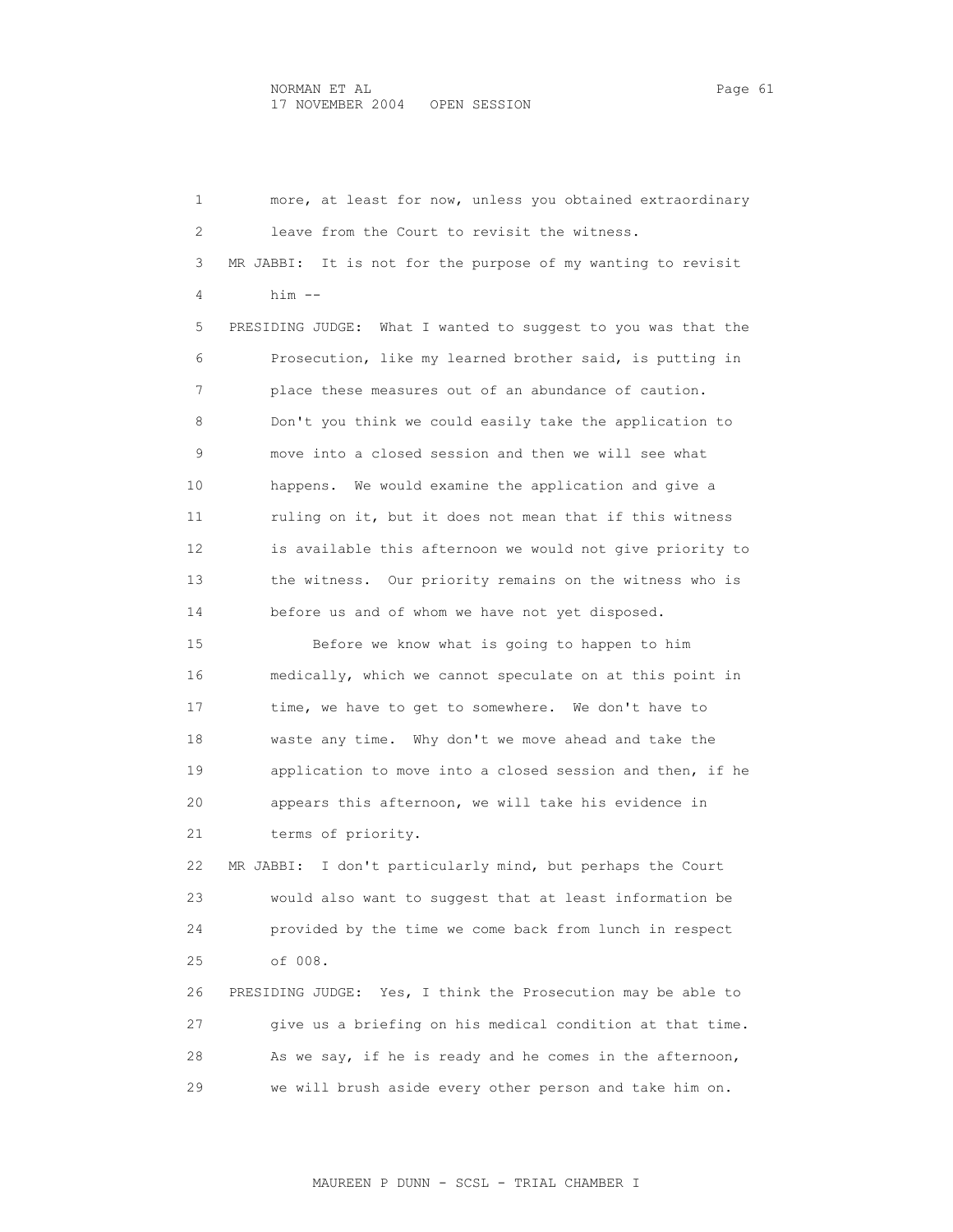1 more, at least for now, unless you obtained extraordinary 2 leave from the Court to revisit the witness. 3 MR JABBI: It is not for the purpose of my wanting to revisit 4 him -- 5 PRESIDING JUDGE: What I wanted to suggest to you was that the 6 Prosecution, like my learned brother said, is putting in 7 place these measures out of an abundance of caution. 8 Don't you think we could easily take the application to 9 move into a closed session and then we will see what 10 happens. We would examine the application and give a 11 ruling on it, but it does not mean that if this witness 12 is available this afternoon we would not give priority to 13 the witness. Our priority remains on the witness who is 14 before us and of whom we have not yet disposed. 15 Before we know what is going to happen to him 16 medically, which we cannot speculate on at this point in 17 time, we have to get to somewhere. We don't have to 18 waste any time. Why don't we move ahead and take the 19 application to move into a closed session and then, if he 20 appears this afternoon, we will take his evidence in 21 terms of priority. 22 MR JABBI: I don't particularly mind, but perhaps the Court 23 would also want to suggest that at least information be 24 provided by the time we come back from lunch in respect 25 of 008. 26 PRESIDING JUDGE: Yes, I think the Prosecution may be able to 27 give us a briefing on his medical condition at that time. 28 As we say, if he is ready and he comes in the afternoon, 29 we will brush aside every other person and take him on.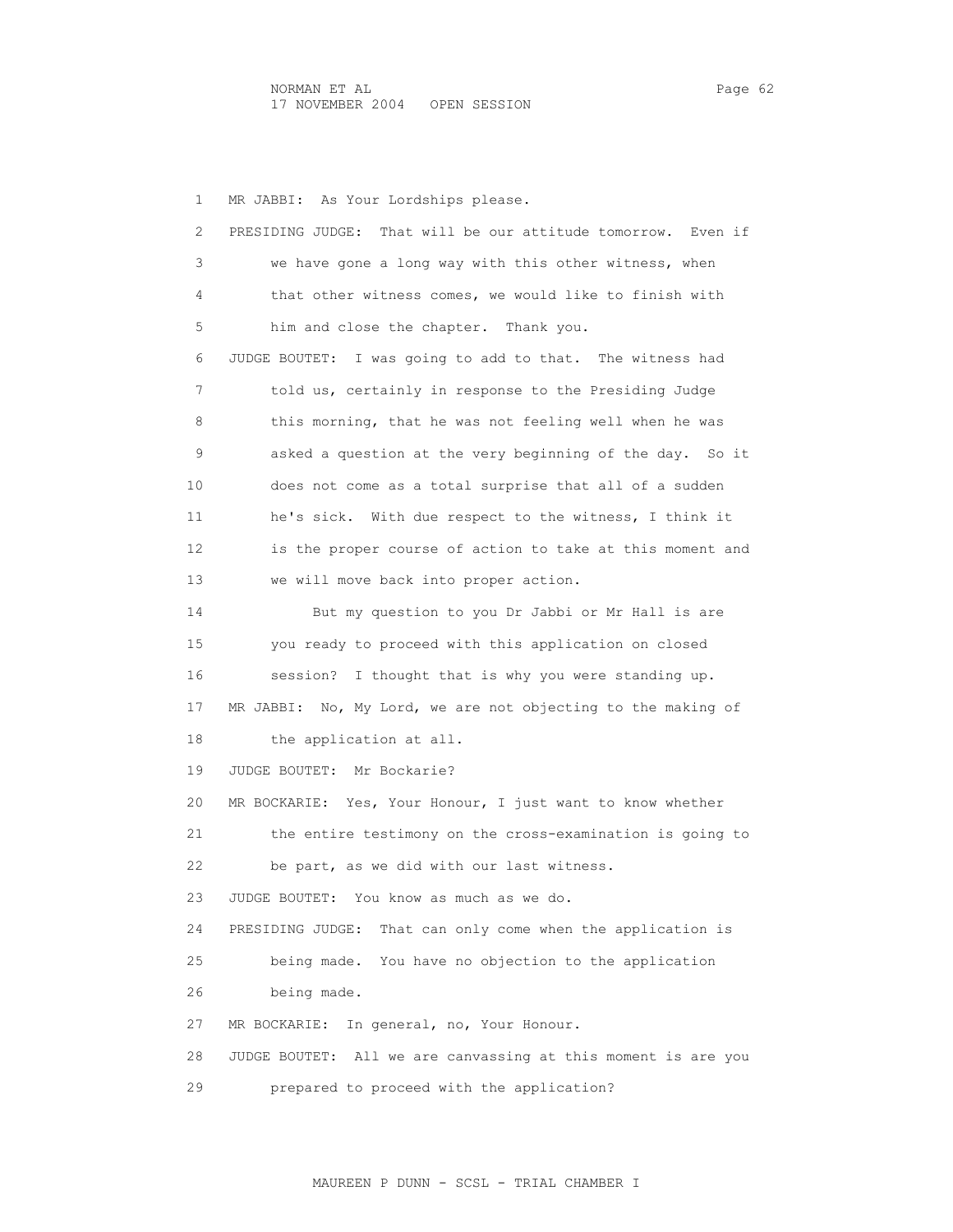1 MR JABBI: As Your Lordships please. 2 PRESIDING JUDGE: That will be our attitude tomorrow. Even if 3 we have gone a long way with this other witness, when 4 that other witness comes, we would like to finish with 5 him and close the chapter. Thank you. 6 JUDGE BOUTET: I was going to add to that. The witness had 7 told us, certainly in response to the Presiding Judge 8 this morning, that he was not feeling well when he was 9 asked a question at the very beginning of the day. So it 10 does not come as a total surprise that all of a sudden 11 he's sick. With due respect to the witness, I think it 12 is the proper course of action to take at this moment and 13 we will move back into proper action. 14 But my question to you Dr Jabbi or Mr Hall is are 15 you ready to proceed with this application on closed 16 session? I thought that is why you were standing up. 17 MR JABBI: No, My Lord, we are not objecting to the making of 18 the application at all. 19 JUDGE BOUTET: Mr Bockarie? 20 MR BOCKARIE: Yes, Your Honour, I just want to know whether 21 the entire testimony on the cross-examination is going to 22 be part, as we did with our last witness. 23 JUDGE BOUTET: You know as much as we do. 24 PRESIDING JUDGE: That can only come when the application is 25 being made. You have no objection to the application 26 being made. 27 MR BOCKARIE: In general, no, Your Honour. 28 JUDGE BOUTET: All we are canvassing at this moment is are you 29 prepared to proceed with the application?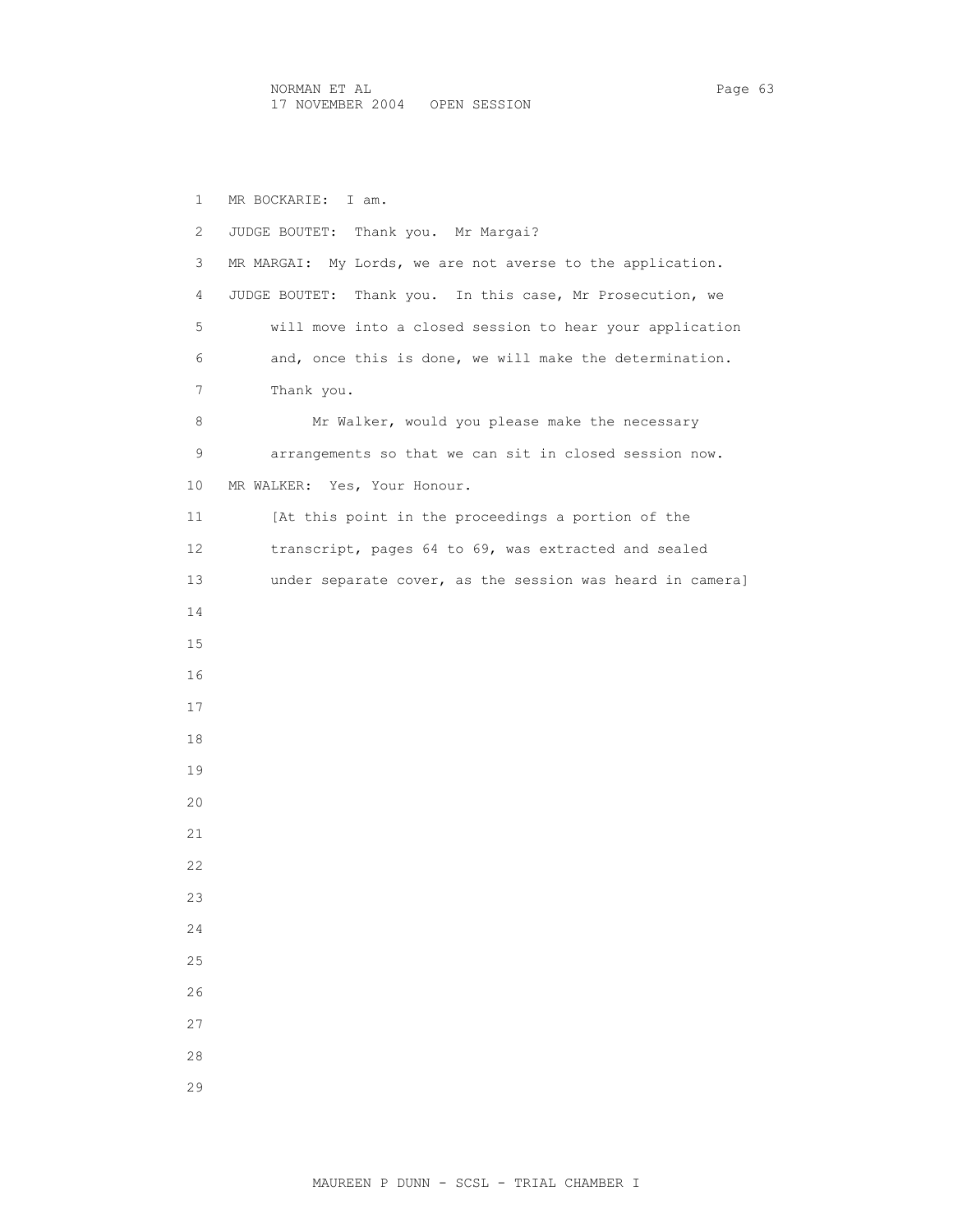1 MR BOCKARIE: I am. 2 JUDGE BOUTET: Thank you. Mr Margai? 3 MR MARGAI: My Lords, we are not averse to the application. 4 JUDGE BOUTET: Thank you. In this case, Mr Prosecution, we 5 will move into a closed session to hear your application 6 and, once this is done, we will make the determination. 7 Thank you. 8 Mr Walker, would you please make the necessary 9 arrangements so that we can sit in closed session now. 10 MR WALKER: Yes, Your Honour. 11 [At this point in the proceedings a portion of the 12 transcript, pages 64 to 69, was extracted and sealed 13 under separate cover, as the session was heard in camera] 14 15 16 17 18 19 20 21 22 23 24 25 26 27 28

29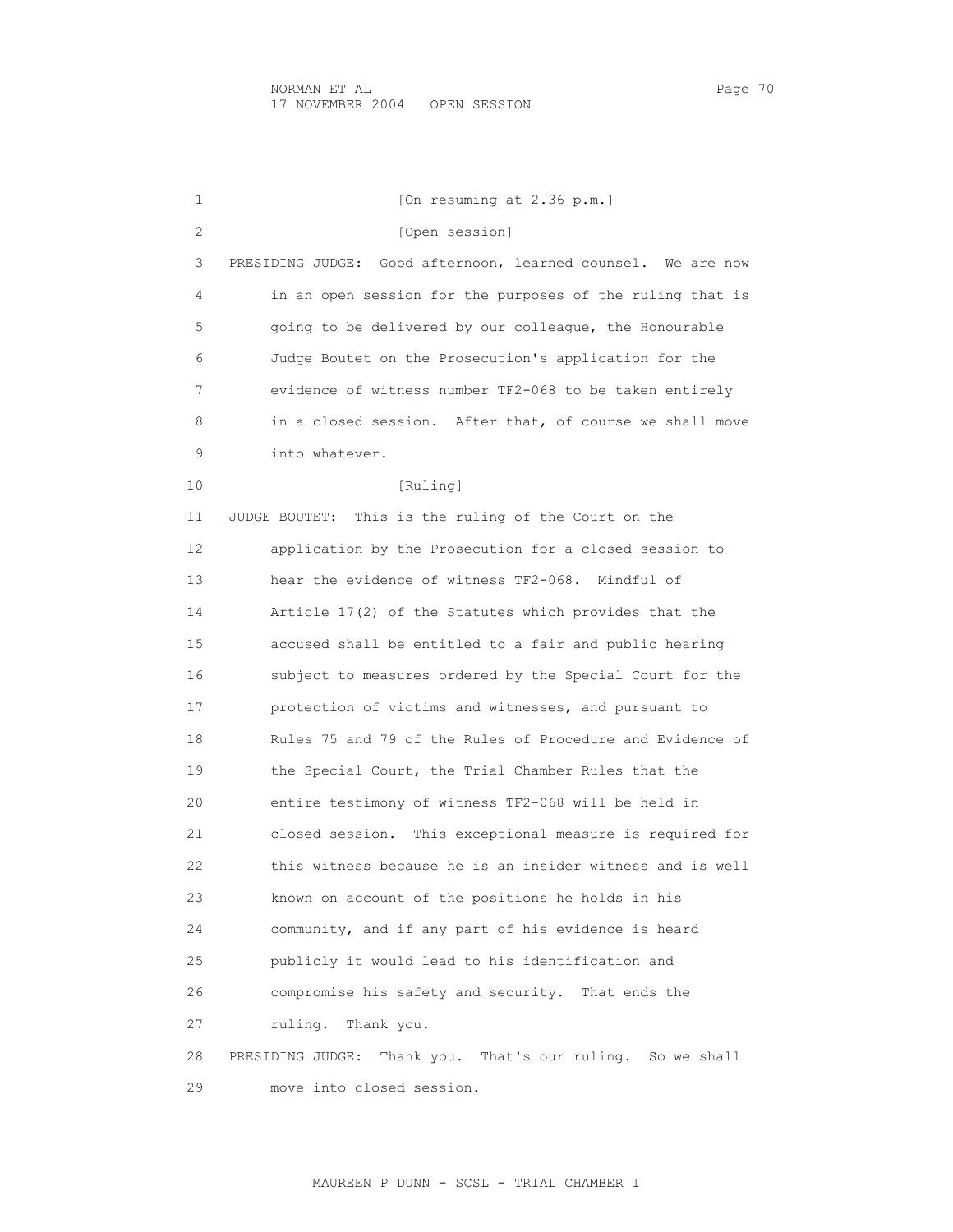1 [On resuming at 2.36 p.m.] 2 [Open session] 3 PRESIDING JUDGE: Good afternoon, learned counsel. We are now 4 in an open session for the purposes of the ruling that is 5 going to be delivered by our colleague, the Honourable 6 Judge Boutet on the Prosecution's application for the 7 evidence of witness number TF2-068 to be taken entirely 8 in a closed session. After that, of course we shall move 9 into whatever. 10 [Ruling] 11 JUDGE BOUTET: This is the ruling of the Court on the 12 application by the Prosecution for a closed session to 13 hear the evidence of witness TF2-068. Mindful of 14 Article 17(2) of the Statutes which provides that the 15 accused shall be entitled to a fair and public hearing 16 subject to measures ordered by the Special Court for the 17 protection of victims and witnesses, and pursuant to 18 Rules 75 and 79 of the Rules of Procedure and Evidence of 19 the Special Court, the Trial Chamber Rules that the 20 entire testimony of witness TF2-068 will be held in 21 closed session. This exceptional measure is required for 22 this witness because he is an insider witness and is well 23 known on account of the positions he holds in his 24 community, and if any part of his evidence is heard 25 publicly it would lead to his identification and 26 compromise his safety and security. That ends the 27 ruling. Thank you. 28 PRESIDING JUDGE: Thank you. That's our ruling. So we shall 29 move into closed session.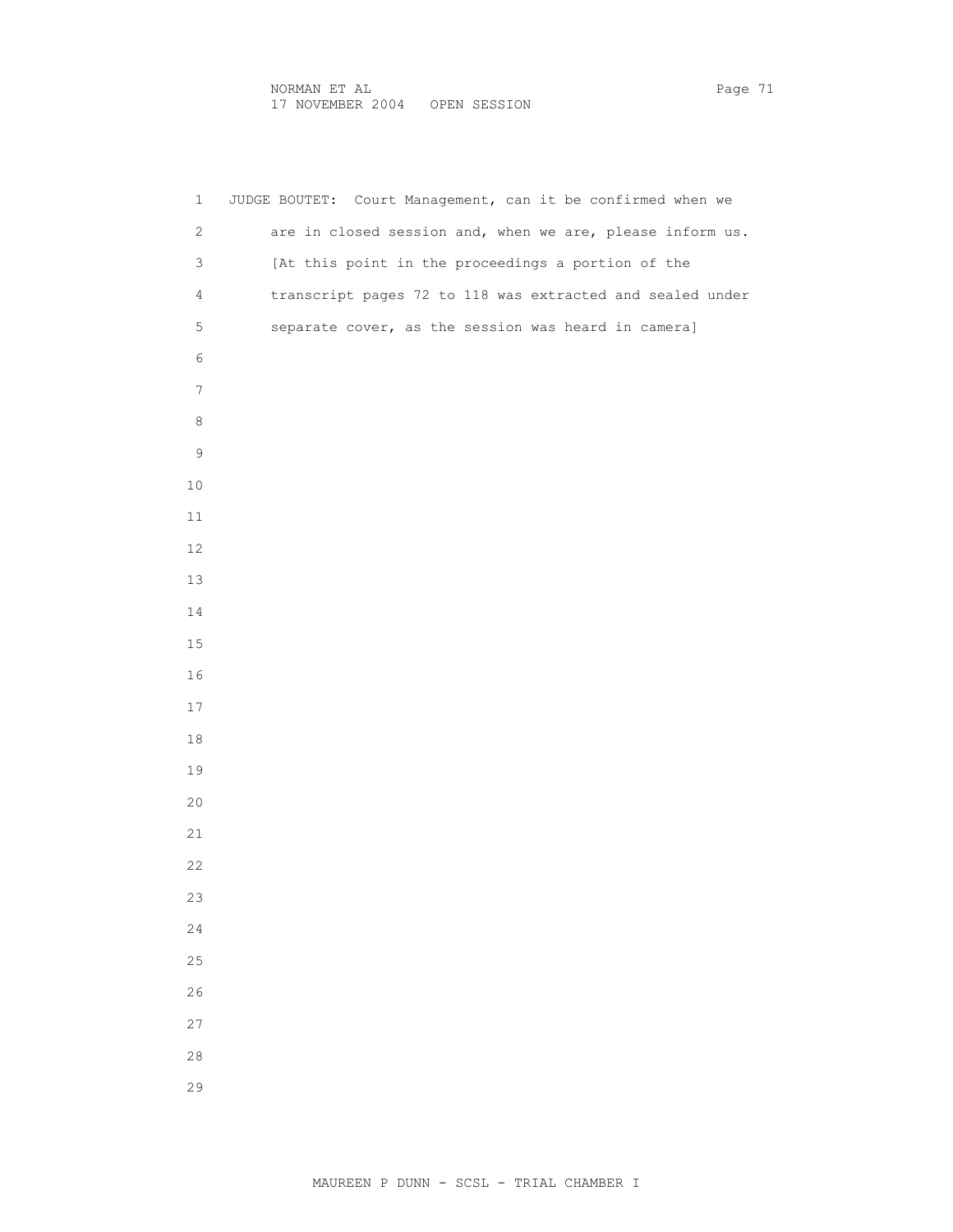| $\mathbf{1}$   | JUDGE BOUTET: Court Management, can it be confirmed when we |  |
|----------------|-------------------------------------------------------------|--|
| $\mathbf{2}$   | are in closed session and, when we are, please inform us.   |  |
| $\mathfrak{Z}$ | [At this point in the proceedings a portion of the          |  |
| 4              | transcript pages 72 to 118 was extracted and sealed under   |  |
| 5              | separate cover, as the session was heard in camera]         |  |
| $\epsilon$     |                                                             |  |
| 7              |                                                             |  |
| $\,8\,$        |                                                             |  |
| 9              |                                                             |  |
| $10$           |                                                             |  |
| 11             |                                                             |  |
| $12\,$         |                                                             |  |
| 13             |                                                             |  |
| 14             |                                                             |  |
| $15\,$         |                                                             |  |
| 16             |                                                             |  |
| 17             |                                                             |  |
| $1\,8$         |                                                             |  |
| 19             |                                                             |  |
| $20$           |                                                             |  |
| 21             |                                                             |  |
| 22             |                                                             |  |
| 23             |                                                             |  |
| 24             |                                                             |  |
| 25             |                                                             |  |
| 26             |                                                             |  |
| 27             |                                                             |  |
| 28             |                                                             |  |
| 29             |                                                             |  |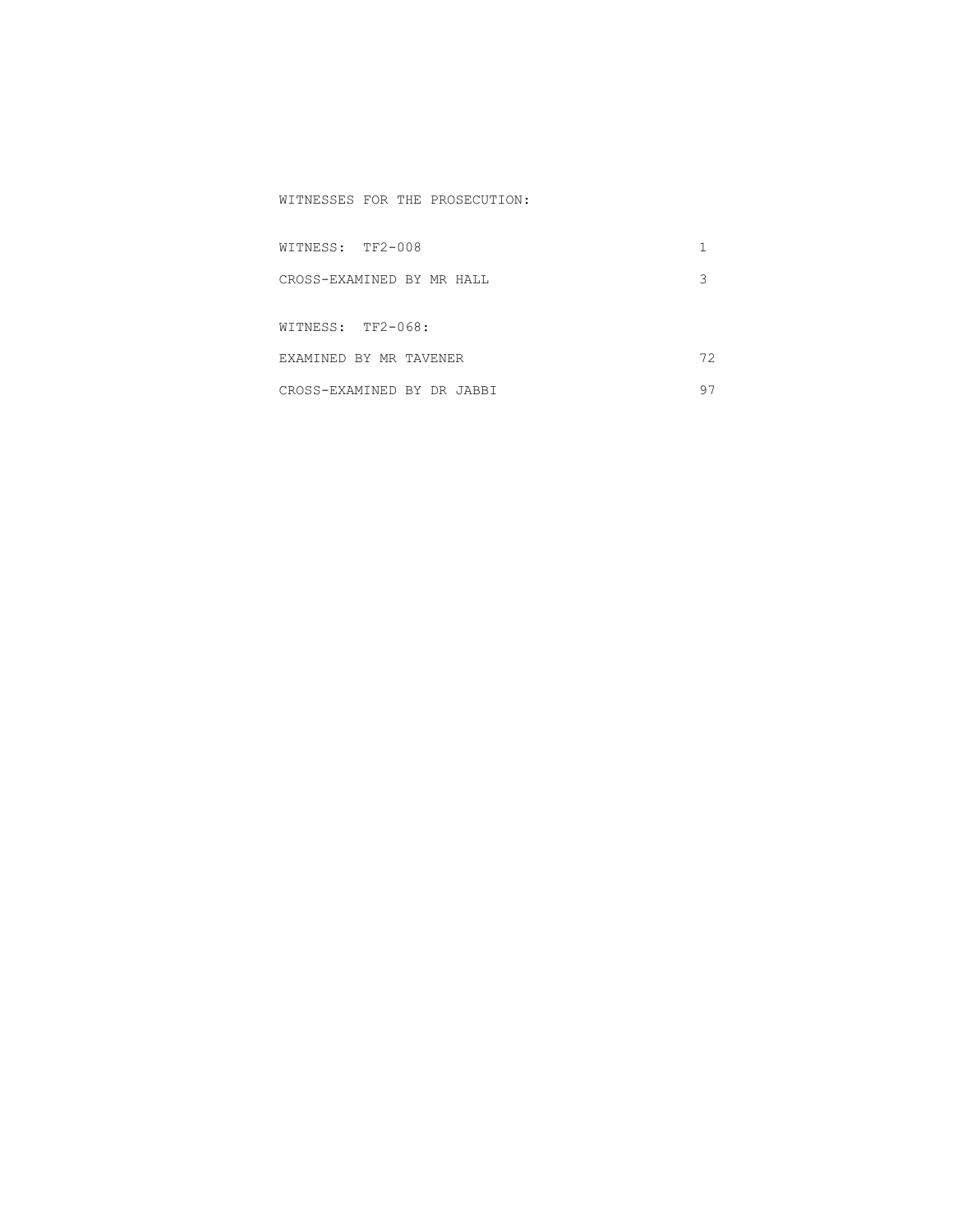## WITNESSES FOR THE PROSECUTION:

| WITNESS: TF2-008           |    |
|----------------------------|----|
| CROSS-EXAMINED BY MR HALL  | 3  |
| WITNESS: TF2-068:          |    |
| EXAMINED BY MR TAVENER     | 72 |
| CROSS-EXAMINED BY DR JABBI | -9 |